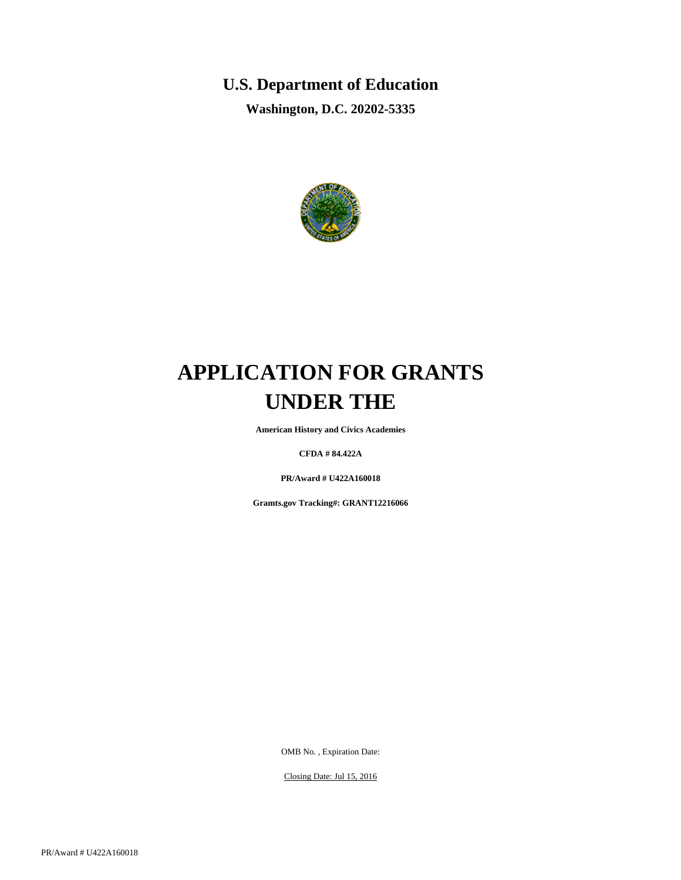# **U.S. Department of Education**

**Washington, D.C. 20202-5335**



# **APPLICATION FOR GRANTS UNDER THE**

**American History and Civics Academies**

**CFDA # 84.422A**

**PR/Award # U422A160018**

**Gramts.gov Tracking#: GRANT12216066**

OMB No. , Expiration Date:

Closing Date: Jul 15, 2016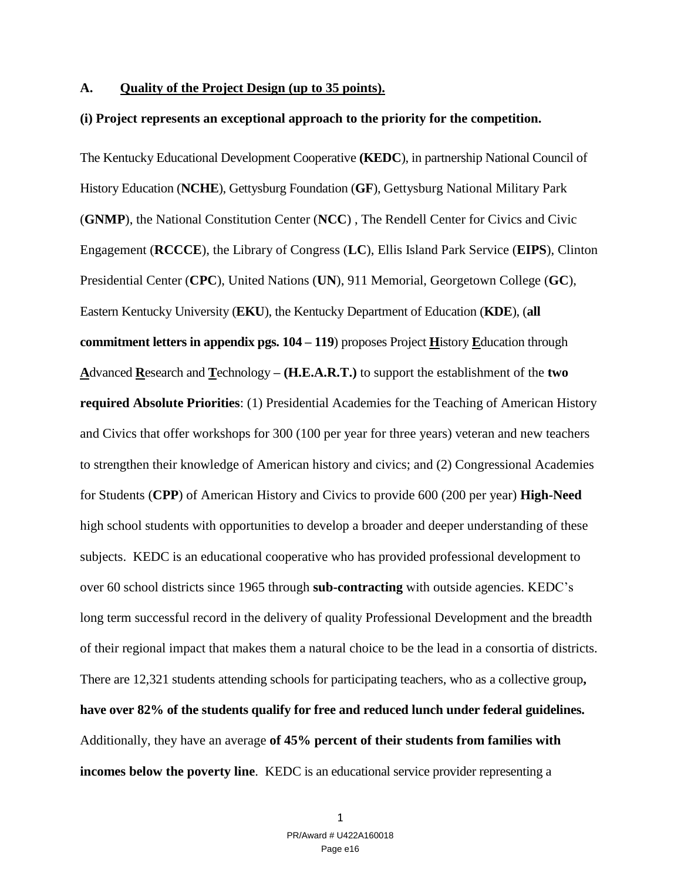#### **A. Quality of the Project Design (up to 35 points).**

#### **(i) Project represents an exceptional approach to the priority for the competition.**

The Kentucky Educational Development Cooperative **(KEDC**), in partnership National Council of History Education (**NCHE**), Gettysburg Foundation (**GF**), Gettysburg National Military Park (**GNMP**), the National Constitution Center (**NCC**) , The Rendell Center for Civics and Civic Engagement (**RCCCE**), the Library of Congress (**LC**), Ellis Island Park Service (**EIPS**), Clinton Presidential Center (**CPC**), United Nations (**UN**), 911 Memorial, Georgetown College (**GC**), Eastern Kentucky University (**EKU**), the Kentucky Department of Education (**KDE**), (**all commitment letters in appendix pgs. 104 – 119**) proposes Project **H**istory **E**ducation through **A**dvanced **R**esearch and **T**echnology **– (H.E.A.R.T.)** to support the establishment of the **two required Absolute Priorities**: (1) Presidential Academies for the Teaching of American History and Civics that offer workshops for 300 (100 per year for three years) veteran and new teachers to strengthen their knowledge of American history and civics; and (2) Congressional Academies for Students (**CPP**) of American History and Civics to provide 600 (200 per year) **High-Need** high school students with opportunities to develop a broader and deeper understanding of these subjects. KEDC is an educational cooperative who has provided professional development to over 60 school districts since 1965 through **sub-contracting** with outside agencies. KEDC's long term successful record in the delivery of quality Professional Development and the breadth of their regional impact that makes them a natural choice to be the lead in a consortia of districts. There are 12,321 students attending schools for participating teachers, who as a collective group**, have over 82% of the students qualify for free and reduced lunch under federal guidelines.** Additionally, they have an average **of 45% percent of their students from families with incomes below the poverty line.** KEDC is an educational service provider representing a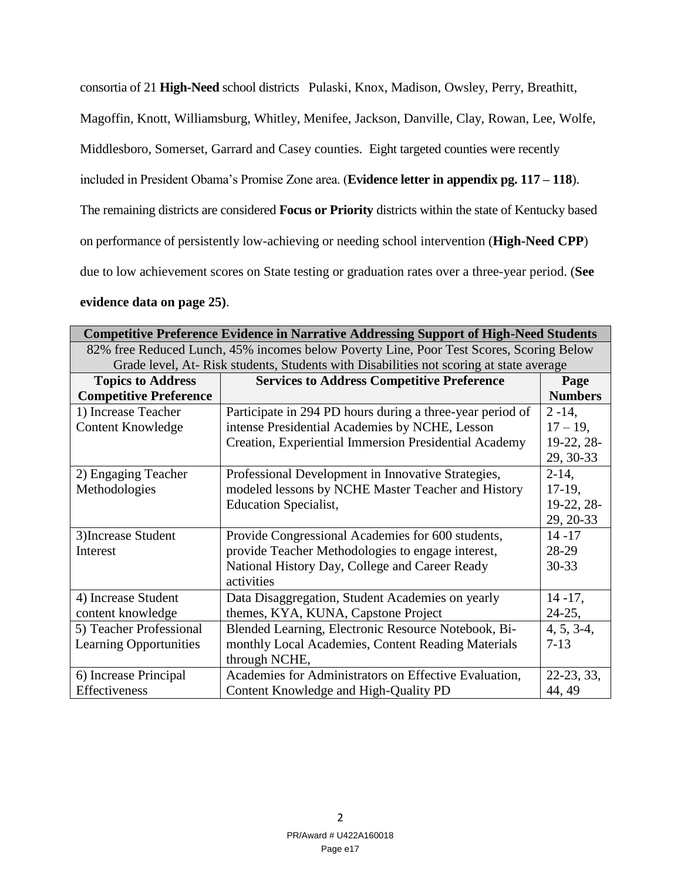consortia of 21 **High-Need** school districts Pulaski, Knox, Madison, Owsley, Perry, Breathitt,

Magoffin, Knott, Williamsburg, Whitley, Menifee, Jackson, Danville, Clay, Rowan, Lee, Wolfe,

Middlesboro, Somerset, Garrard and Casey counties. Eight targeted counties were recently

included in President Obama's Promise Zone area. (**Evidence letter in appendix pg. 117 – 118**).

The remaining districts are considered **Focus or Priority** districts within the state of Kentucky based

on performance of persistently low-achieving or needing school intervention (**High-Need CPP**)

due to low achievement scores on State testing or graduation rates over a three-year period. (**See** 

## **evidence data on page 25)**.

| <b>Competitive Preference Evidence in Narrative Addressing Support of High-Need Students</b> |                                                           |                |  |  |  |  |
|----------------------------------------------------------------------------------------------|-----------------------------------------------------------|----------------|--|--|--|--|
| 82% free Reduced Lunch, 45% incomes below Poverty Line, Poor Test Scores, Scoring Below      |                                                           |                |  |  |  |  |
| Grade level, At-Risk students, Students with Disabilities not scoring at state average       |                                                           |                |  |  |  |  |
| <b>Topics to Address</b>                                                                     | <b>Services to Address Competitive Preference</b>         | Page           |  |  |  |  |
| <b>Competitive Preference</b>                                                                |                                                           | <b>Numbers</b> |  |  |  |  |
| 1) Increase Teacher                                                                          | Participate in 294 PD hours during a three-year period of | $2 - 14$ ,     |  |  |  |  |
| <b>Content Knowledge</b>                                                                     | intense Presidential Academies by NCHE, Lesson            | $17 - 19$ ,    |  |  |  |  |
|                                                                                              | Creation, Experiential Immersion Presidential Academy     | 19-22, 28-     |  |  |  |  |
|                                                                                              |                                                           | 29, 30-33      |  |  |  |  |
| 2) Engaging Teacher                                                                          | Professional Development in Innovative Strategies,        | $2-14$ ,       |  |  |  |  |
| Methodologies                                                                                | modeled lessons by NCHE Master Teacher and History        | $17-19$ ,      |  |  |  |  |
|                                                                                              | <b>Education Specialist,</b>                              | 19-22, 28-     |  |  |  |  |
|                                                                                              |                                                           | 29, 20-33      |  |  |  |  |
| 3) Increase Student                                                                          | Provide Congressional Academies for 600 students,         | $14 - 17$      |  |  |  |  |
| Interest                                                                                     | provide Teacher Methodologies to engage interest,         | 28-29          |  |  |  |  |
|                                                                                              | National History Day, College and Career Ready            | $30 - 33$      |  |  |  |  |
|                                                                                              | activities                                                |                |  |  |  |  |
| 4) Increase Student                                                                          | Data Disaggregation, Student Academies on yearly          | $14 - 17$ ,    |  |  |  |  |
| content knowledge                                                                            | themes, KYA, KUNA, Capstone Project                       | $24-25,$       |  |  |  |  |
| 5) Teacher Professional                                                                      | Blended Learning, Electronic Resource Notebook, Bi-       | $4, 5, 3-4,$   |  |  |  |  |
| <b>Learning Opportunities</b>                                                                | monthly Local Academies, Content Reading Materials        | $7-13$         |  |  |  |  |
|                                                                                              | through NCHE,                                             |                |  |  |  |  |
| 6) Increase Principal                                                                        | Academies for Administrators on Effective Evaluation,     | 22-23, 33,     |  |  |  |  |
| Effectiveness                                                                                | Content Knowledge and High-Quality PD                     | 44, 49         |  |  |  |  |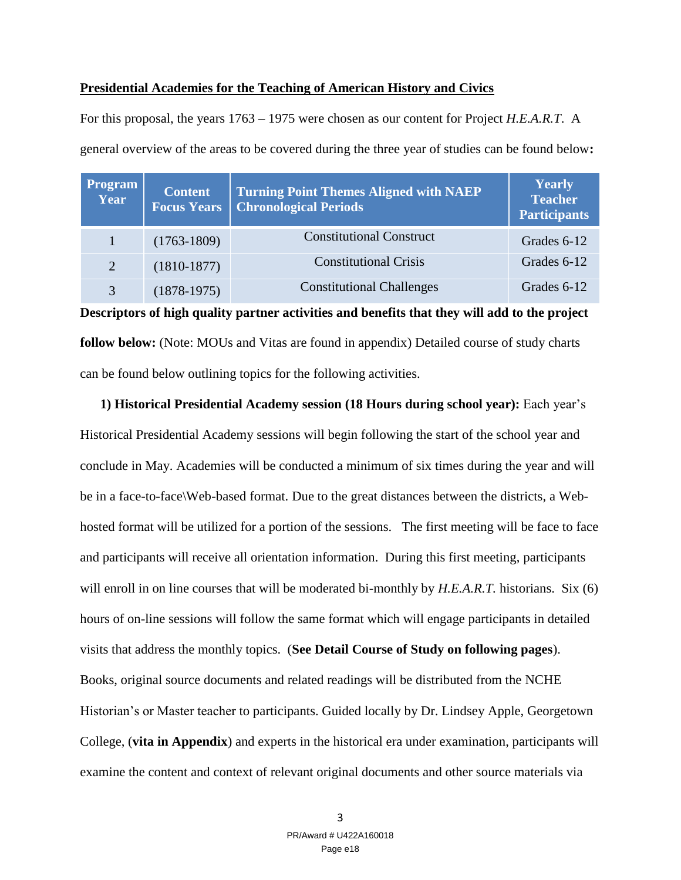## **Presidential Academies for the Teaching of American History and Civics**

For this proposal, the years 1763 – 1975 were chosen as our content for Project *H.E.A.R.T*. A general overview of the areas to be covered during the three year of studies can be found below**:** 

| <b>Program</b><br><b>Year</b> | <b>Content</b><br><b>Focus Years</b> | <b>Turning Point Themes Aligned with NAEP</b><br><b>Chronological Periods</b> | <b>Yearly</b><br><b>Teacher</b><br><b>Participants</b> |
|-------------------------------|--------------------------------------|-------------------------------------------------------------------------------|--------------------------------------------------------|
| 1                             | $(1763-1809)$                        | <b>Constitutional Construct</b>                                               | Grades 6-12                                            |
| 2                             | $(1810-1877)$                        | <b>Constitutional Crisis</b>                                                  | Grades 6-12                                            |
| 3                             | $(1878-1975)$                        | <b>Constitutional Challenges</b>                                              | Grades 6-12                                            |

**Descriptors of high quality partner activities and benefits that they will add to the project follow below:** (Note: MOUs and Vitas are found in appendix) Detailed course of study charts can be found below outlining topics for the following activities.

 **1) Historical Presidential Academy session (18 Hours during school year):** Each year's Historical Presidential Academy sessions will begin following the start of the school year and conclude in May. Academies will be conducted a minimum of six times during the year and will be in a face-to-face\Web-based format. Due to the great distances between the districts, a Webhosted format will be utilized for a portion of the sessions. The first meeting will be face to face and participants will receive all orientation information. During this first meeting, participants will enroll in on line courses that will be moderated bi-monthly by *H.E.A.R.T.* historians. Six (6) hours of on-line sessions will follow the same format which will engage participants in detailed visits that address the monthly topics. (**See Detail Course of Study on following pages**). Books, original source documents and related readings will be distributed from the NCHE Historian's or Master teacher to participants. Guided locally by Dr. Lindsey Apple, Georgetown College, (**vita in Appendix**) and experts in the historical era under examination, participants will examine the content and context of relevant original documents and other source materials via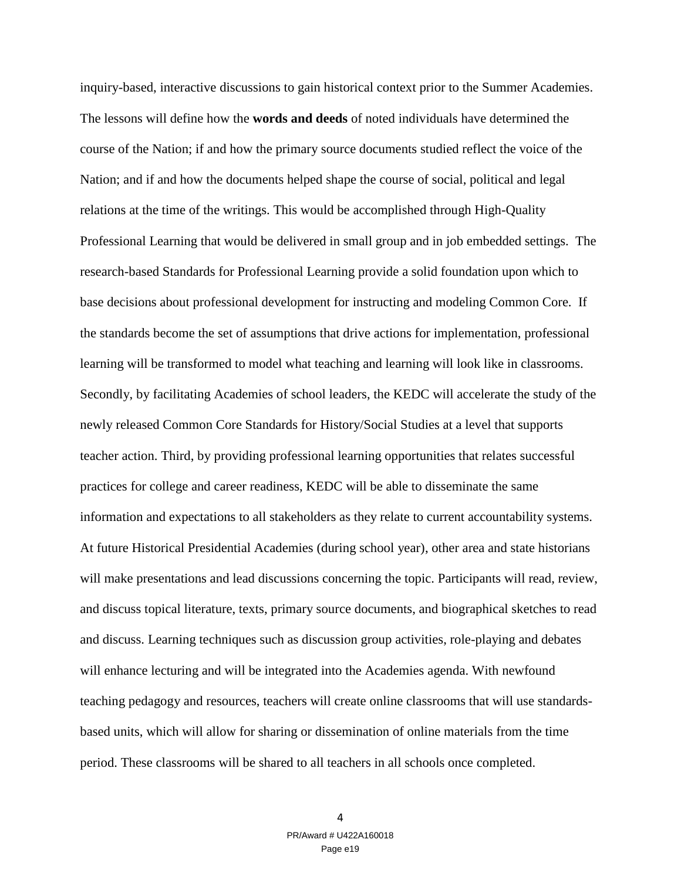inquiry-based, interactive discussions to gain historical context prior to the Summer Academies. The lessons will define how the **words and deeds** of noted individuals have determined the course of the Nation; if and how the primary source documents studied reflect the voice of the Nation; and if and how the documents helped shape the course of social, political and legal relations at the time of the writings. This would be accomplished through High-Quality Professional Learning that would be delivered in small group and in job embedded settings. The research-based Standards for Professional Learning provide a solid foundation upon which to base decisions about professional development for instructing and modeling Common Core. If the standards become the set of assumptions that drive actions for implementation, professional learning will be transformed to model what teaching and learning will look like in classrooms. Secondly, by facilitating Academies of school leaders, the KEDC will accelerate the study of the newly released Common Core Standards for History/Social Studies at a level that supports teacher action. Third, by providing professional learning opportunities that relates successful practices for college and career readiness, KEDC will be able to disseminate the same information and expectations to all stakeholders as they relate to current accountability systems. At future Historical Presidential Academies (during school year), other area and state historians will make presentations and lead discussions concerning the topic. Participants will read, review, and discuss topical literature, texts, primary source documents, and biographical sketches to read and discuss. Learning techniques such as discussion group activities, role-playing and debates will enhance lecturing and will be integrated into the Academies agenda. With newfound teaching pedagogy and resources, teachers will create online classrooms that will use standardsbased units, which will allow for sharing or dissemination of online materials from the time period. These classrooms will be shared to all teachers in all schools once completed.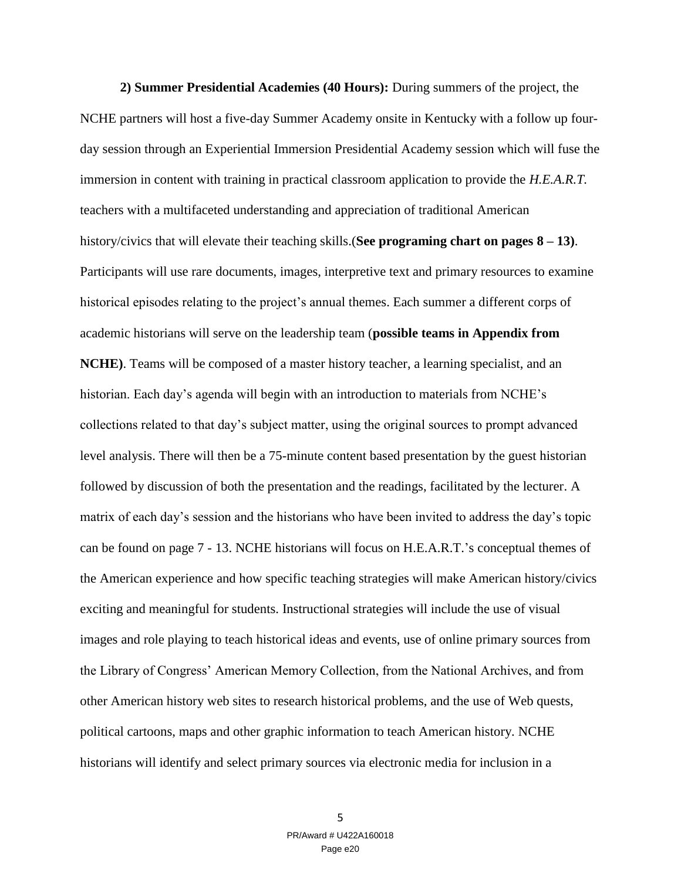**2) Summer Presidential Academies (40 Hours):** During summers of the project, the NCHE partners will host a five-day Summer Academy onsite in Kentucky with a follow up fourday session through an Experiential Immersion Presidential Academy session which will fuse the immersion in content with training in practical classroom application to provide the *H.E.A.R.T.*  teachers with a multifaceted understanding and appreciation of traditional American history/civics that will elevate their teaching skills.(**See programing chart on pages 8 – 13)**. Participants will use rare documents, images, interpretive text and primary resources to examine historical episodes relating to the project's annual themes. Each summer a different corps of academic historians will serve on the leadership team (**possible teams in Appendix from NCHE)**. Teams will be composed of a master history teacher, a learning specialist, and an historian. Each day's agenda will begin with an introduction to materials from NCHE's collections related to that day's subject matter, using the original sources to prompt advanced level analysis. There will then be a 75-minute content based presentation by the guest historian followed by discussion of both the presentation and the readings, facilitated by the lecturer. A matrix of each day's session and the historians who have been invited to address the day's topic can be found on page 7 - 13. NCHE historians will focus on H.E.A.R.T.'s conceptual themes of the American experience and how specific teaching strategies will make American history/civics exciting and meaningful for students. Instructional strategies will include the use of visual images and role playing to teach historical ideas and events, use of online primary sources from the Library of Congress' American Memory Collection, from the National Archives, and from other American history web sites to research historical problems, and the use of Web quests, political cartoons, maps and other graphic information to teach American history. NCHE historians will identify and select primary sources via electronic media for inclusion in a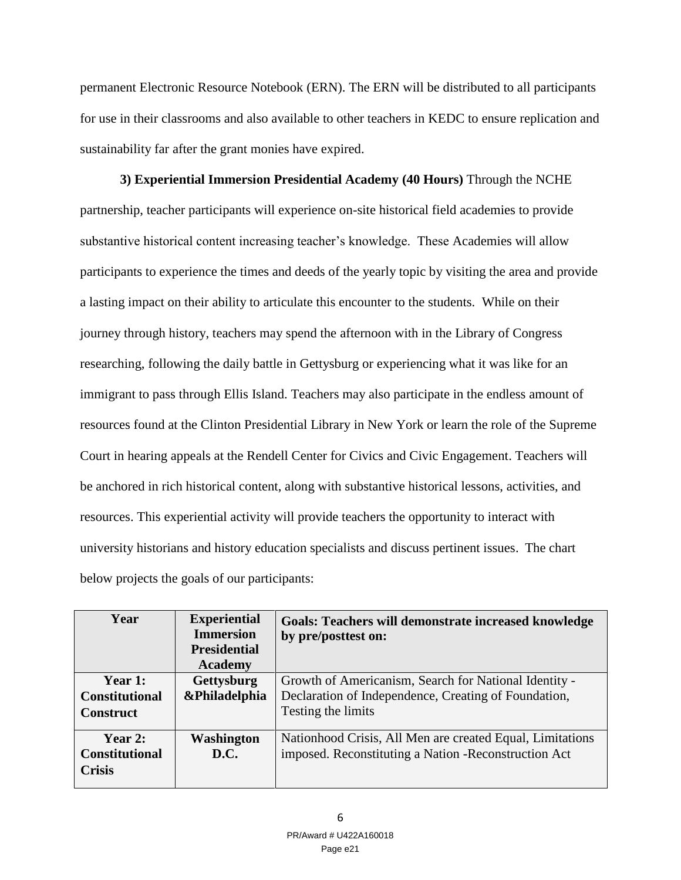permanent Electronic Resource Notebook (ERN). The ERN will be distributed to all participants for use in their classrooms and also available to other teachers in KEDC to ensure replication and sustainability far after the grant monies have expired.

**3) Experiential Immersion Presidential Academy (40 Hours)** Through the NCHE partnership, teacher participants will experience on-site historical field academies to provide substantive historical content increasing teacher's knowledge. These Academies will allow participants to experience the times and deeds of the yearly topic by visiting the area and provide a lasting impact on their ability to articulate this encounter to the students. While on their journey through history, teachers may spend the afternoon with in the Library of Congress researching, following the daily battle in Gettysburg or experiencing what it was like for an immigrant to pass through Ellis Island. Teachers may also participate in the endless amount of resources found at the Clinton Presidential Library in New York or learn the role of the Supreme Court in hearing appeals at the Rendell Center for Civics and Civic Engagement. Teachers will be anchored in rich historical content, along with substantive historical lessons, activities, and resources. This experiential activity will provide teachers the opportunity to interact with university historians and history education specialists and discuss pertinent issues. The chart below projects the goals of our participants:

| Year                                                 | <b>Experiential</b><br><b>Immersion</b><br><b>Presidential</b><br><b>Academy</b> | <b>Goals: Teachers will demonstrate increased knowledge</b><br>by pre/posttest on:                                                  |
|------------------------------------------------------|----------------------------------------------------------------------------------|-------------------------------------------------------------------------------------------------------------------------------------|
| Year 1:<br><b>Constitutional</b><br><b>Construct</b> | <b>Gettysburg</b><br>&Philadelphia                                               | Growth of Americanism, Search for National Identity -<br>Declaration of Independence, Creating of Foundation,<br>Testing the limits |
| Year 2:<br><b>Constitutional</b><br><b>Crisis</b>    | <b>Washington</b><br><b>D.C.</b>                                                 | Nationhood Crisis, All Men are created Equal, Limitations<br>imposed. Reconstituting a Nation - Reconstruction Act                  |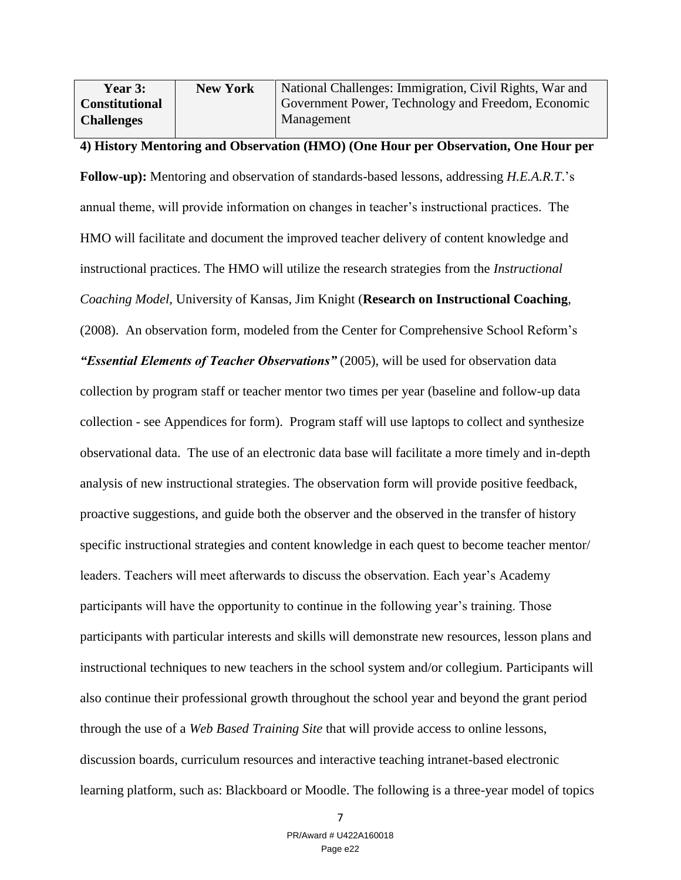| <b>Year 3:</b>        | <b>New York</b> | National Challenges: Immigration, Civil Rights, War and |
|-----------------------|-----------------|---------------------------------------------------------|
| <b>Constitutional</b> |                 | Government Power, Technology and Freedom, Economic      |
| <b>Challenges</b>     |                 | Management                                              |

## **4) History Mentoring and Observation (HMO) (One Hour per Observation, One Hour per**

**Follow-up):** Mentoring and observation of standards-based lessons, addressing *H.E.A.R.T*.'s annual theme, will provide information on changes in teacher's instructional practices. The HMO will facilitate and document the improved teacher delivery of content knowledge and instructional practices. The HMO will utilize the research strategies from the *Instructional Coaching Model*, University of Kansas, Jim Knight (**Research on Instructional Coaching**, (2008). An observation form, modeled from the Center for Comprehensive School Reform's *"Essential Elements of Teacher Observations"* (2005), will be used for observation data collection by program staff or teacher mentor two times per year (baseline and follow-up data collection - see Appendices for form). Program staff will use laptops to collect and synthesize observational data. The use of an electronic data base will facilitate a more timely and in-depth analysis of new instructional strategies. The observation form will provide positive feedback, proactive suggestions, and guide both the observer and the observed in the transfer of history specific instructional strategies and content knowledge in each quest to become teacher mentor/ leaders. Teachers will meet afterwards to discuss the observation. Each year's Academy participants will have the opportunity to continue in the following year's training. Those participants with particular interests and skills will demonstrate new resources, lesson plans and instructional techniques to new teachers in the school system and/or collegium. Participants will also continue their professional growth throughout the school year and beyond the grant period through the use of a *Web Based Training Site* that will provide access to online lessons, discussion boards, curriculum resources and interactive teaching intranet-based electronic learning platform, such as: Blackboard or Moodle. The following is a three-year model of topics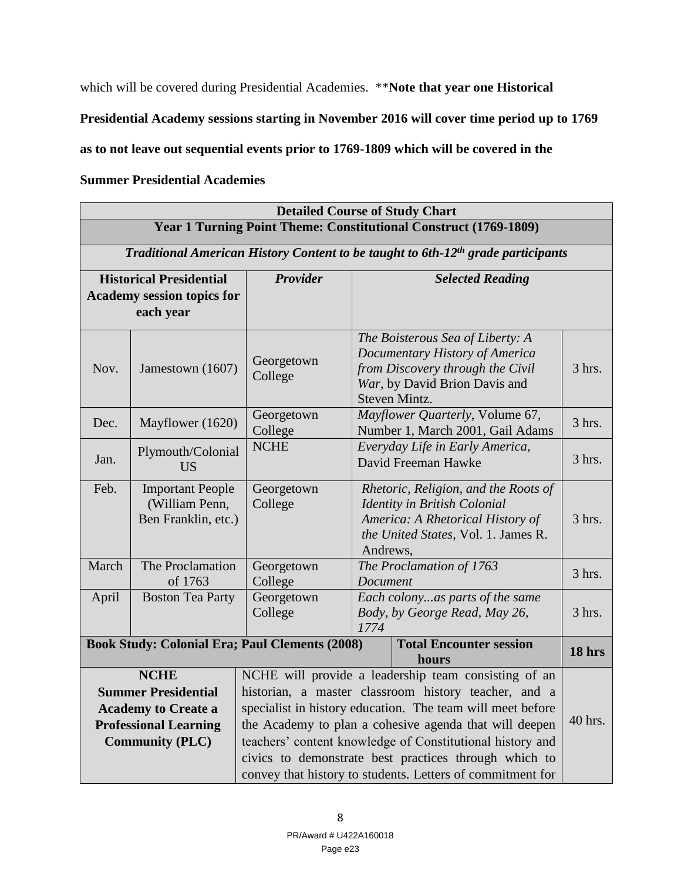which will be covered during Presidential Academies. \*\*Note that year one Historical

**Presidential Academy sessions starting in November 2016 will cover time period up to 1769** 

**as to not leave out sequential events prior to 1769-1809 which will be covered in the** 

## **Summer Presidential Academies**

| <b>Detailed Course of Study Chart</b> |                                                                                                                                   |                                                                                                                                                                                                                                                                                                                                                                                                                          |                                                                                                                                                          |          |  |  |
|---------------------------------------|-----------------------------------------------------------------------------------------------------------------------------------|--------------------------------------------------------------------------------------------------------------------------------------------------------------------------------------------------------------------------------------------------------------------------------------------------------------------------------------------------------------------------------------------------------------------------|----------------------------------------------------------------------------------------------------------------------------------------------------------|----------|--|--|
|                                       |                                                                                                                                   |                                                                                                                                                                                                                                                                                                                                                                                                                          | Year 1 Turning Point Theme: Constitutional Construct (1769-1809)                                                                                         |          |  |  |
|                                       |                                                                                                                                   |                                                                                                                                                                                                                                                                                                                                                                                                                          | Traditional American History Content to be taught to 6th-12 <sup>th</sup> grade participants                                                             |          |  |  |
|                                       | <b>Historical Presidential</b><br><b>Academy session topics for</b><br>each year                                                  | <b>Provider</b>                                                                                                                                                                                                                                                                                                                                                                                                          | <b>Selected Reading</b>                                                                                                                                  |          |  |  |
| Nov.                                  | Jamestown (1607)                                                                                                                  | Georgetown<br>College                                                                                                                                                                                                                                                                                                                                                                                                    | The Boisterous Sea of Liberty: A<br>Documentary History of America<br>from Discovery through the Civil<br>War, by David Brion Davis and<br>Steven Mintz. | 3 hrs.   |  |  |
| Dec.                                  | Mayflower (1620)                                                                                                                  | Georgetown<br>College                                                                                                                                                                                                                                                                                                                                                                                                    | Mayflower Quarterly, Volume 67,<br>Number 1, March 2001, Gail Adams                                                                                      | $3$ hrs. |  |  |
| Jan.                                  | Plymouth/Colonial<br><b>US</b>                                                                                                    | <b>NCHE</b>                                                                                                                                                                                                                                                                                                                                                                                                              | Everyday Life in Early America,<br>David Freeman Hawke                                                                                                   | $3$ hrs. |  |  |
| Feb.                                  | <b>Important People</b><br>(William Penn,<br>Ben Franklin, etc.)                                                                  | Georgetown<br>Rhetoric, Religion, and the Roots of<br>College<br>Identity in British Colonial<br>America: A Rhetorical History of<br>the United States, Vol. 1. James R.<br>Andrews,                                                                                                                                                                                                                                     |                                                                                                                                                          | $3$ hrs. |  |  |
| March                                 | The Proclamation<br>of 1763                                                                                                       | Georgetown<br>College                                                                                                                                                                                                                                                                                                                                                                                                    | The Proclamation of 1763<br>Document                                                                                                                     | $3$ hrs. |  |  |
| April                                 | <b>Boston Tea Party</b>                                                                                                           | Georgetown<br>Each colonyas parts of the same<br>College<br>Body, by George Read, May 26,<br>1774                                                                                                                                                                                                                                                                                                                        |                                                                                                                                                          | $3$ hrs. |  |  |
|                                       | <b>Book Study: Colonial Era; Paul Clements (2008)</b>                                                                             |                                                                                                                                                                                                                                                                                                                                                                                                                          | <b>Total Encounter session</b><br>hours                                                                                                                  | 18 hrs   |  |  |
|                                       | <b>NCHE</b><br><b>Summer Presidential</b><br><b>Academy to Create a</b><br><b>Professional Learning</b><br><b>Community (PLC)</b> | NCHE will provide a leadership team consisting of an<br>historian, a master classroom history teacher, and a<br>specialist in history education. The team will meet before<br>the Academy to plan a cohesive agenda that will deepen<br>teachers' content knowledge of Constitutional history and<br>civics to demonstrate best practices through which to<br>convey that history to students. Letters of commitment for |                                                                                                                                                          | 40 hrs.  |  |  |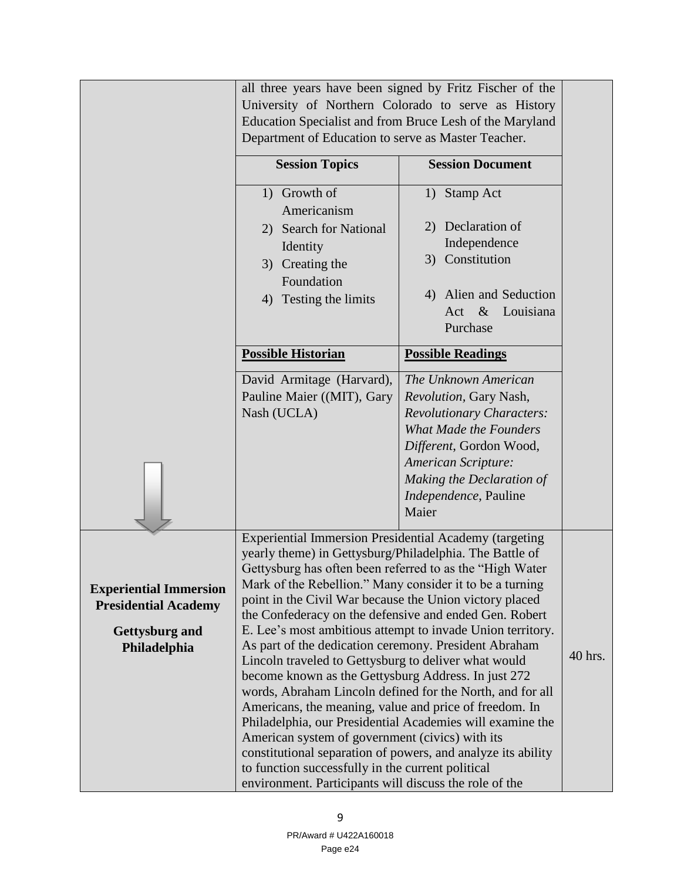|                               |                                                                                                                 | all three years have been signed by Fritz Fischer of the   |         |  |  |  |  |
|-------------------------------|-----------------------------------------------------------------------------------------------------------------|------------------------------------------------------------|---------|--|--|--|--|
|                               | University of Northern Colorado to serve as History                                                             |                                                            |         |  |  |  |  |
|                               | Education Specialist and from Bruce Lesh of the Maryland                                                        |                                                            |         |  |  |  |  |
|                               | Department of Education to serve as Master Teacher.                                                             |                                                            |         |  |  |  |  |
|                               |                                                                                                                 |                                                            |         |  |  |  |  |
|                               | <b>Session Topics</b>                                                                                           | <b>Session Document</b>                                    |         |  |  |  |  |
|                               | 1) Growth of                                                                                                    | 1) Stamp Act                                               |         |  |  |  |  |
|                               | Americanism                                                                                                     |                                                            |         |  |  |  |  |
|                               | 2) Search for National                                                                                          | 2) Declaration of                                          |         |  |  |  |  |
|                               | Identity                                                                                                        | Independence                                               |         |  |  |  |  |
|                               | 3) Creating the                                                                                                 | 3) Constitution                                            |         |  |  |  |  |
|                               | Foundation                                                                                                      |                                                            |         |  |  |  |  |
|                               | 4) Testing the limits                                                                                           | 4) Alien and Seduction                                     |         |  |  |  |  |
|                               |                                                                                                                 | Act<br>$\&$<br>Louisiana                                   |         |  |  |  |  |
|                               |                                                                                                                 | Purchase                                                   |         |  |  |  |  |
|                               | <b>Possible Historian</b>                                                                                       |                                                            |         |  |  |  |  |
|                               |                                                                                                                 | <b>Possible Readings</b>                                   |         |  |  |  |  |
|                               | David Armitage (Harvard),                                                                                       | The Unknown American                                       |         |  |  |  |  |
|                               | Pauline Maier ((MIT), Gary                                                                                      | Revolution, Gary Nash,                                     |         |  |  |  |  |
|                               | Nash (UCLA)                                                                                                     | <b>Revolutionary Characters:</b>                           |         |  |  |  |  |
|                               |                                                                                                                 | <b>What Made the Founders</b>                              |         |  |  |  |  |
|                               |                                                                                                                 | Different, Gordon Wood,                                    |         |  |  |  |  |
|                               |                                                                                                                 | <b>American Scripture:</b>                                 |         |  |  |  |  |
|                               |                                                                                                                 | Making the Declaration of                                  |         |  |  |  |  |
|                               |                                                                                                                 | Independence, Pauline                                      |         |  |  |  |  |
|                               |                                                                                                                 | Maier                                                      |         |  |  |  |  |
|                               | <b>Experiential Immersion Presidential Academy (targeting</b>                                                   |                                                            |         |  |  |  |  |
|                               | yearly theme) in Gettysburg/Philadelphia. The Battle of                                                         |                                                            |         |  |  |  |  |
|                               | Gettysburg has often been referred to as the "High Water                                                        |                                                            |         |  |  |  |  |
| <b>Experiential Immersion</b> | Mark of the Rebellion." Many consider it to be a turning                                                        |                                                            |         |  |  |  |  |
| <b>Presidential Academy</b>   | point in the Civil War because the Union victory placed                                                         |                                                            |         |  |  |  |  |
|                               | the Confederacy on the defensive and ended Gen. Robert                                                          |                                                            |         |  |  |  |  |
| <b>Gettysburg and</b>         |                                                                                                                 | E. Lee's most ambitious attempt to invade Union territory. |         |  |  |  |  |
| Philadelphia                  | As part of the dedication ceremony. President Abraham                                                           |                                                            | 40 hrs. |  |  |  |  |
|                               | Lincoln traveled to Gettysburg to deliver what would                                                            |                                                            |         |  |  |  |  |
|                               | become known as the Gettysburg Address. In just 272                                                             |                                                            |         |  |  |  |  |
|                               | words, Abraham Lincoln defined for the North, and for all                                                       |                                                            |         |  |  |  |  |
|                               | Americans, the meaning, value and price of freedom. In                                                          |                                                            |         |  |  |  |  |
|                               |                                                                                                                 | Philadelphia, our Presidential Academies will examine the  |         |  |  |  |  |
|                               | American system of government (civics) with its<br>constitutional separation of powers, and analyze its ability |                                                            |         |  |  |  |  |
|                               | to function successfully in the current political                                                               |                                                            |         |  |  |  |  |
|                               |                                                                                                                 |                                                            |         |  |  |  |  |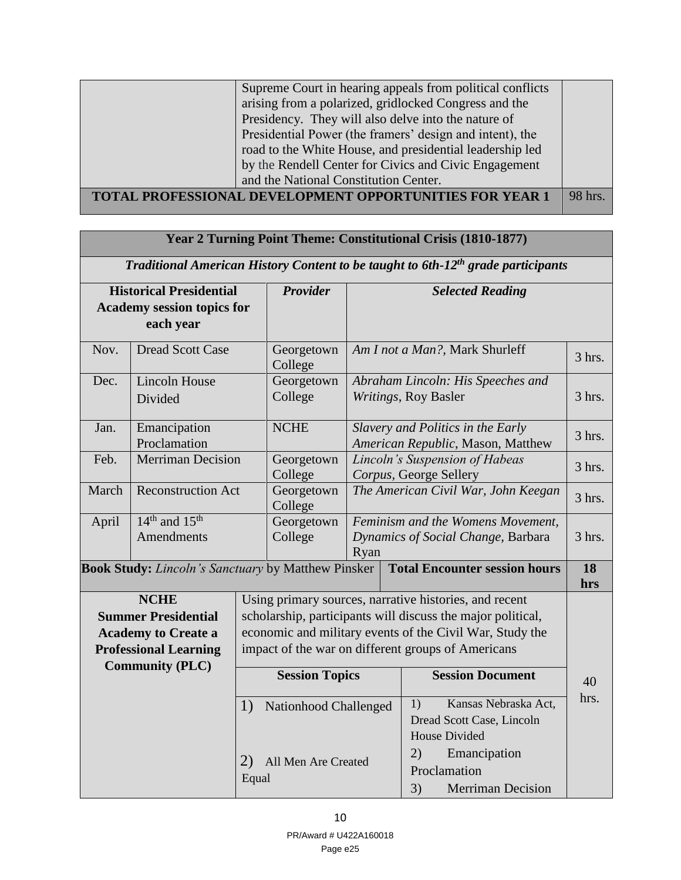| Supreme Court in hearing appeals from political conflicts<br>arising from a polarized, gridlocked Congress and the<br>Presidency. They will also delve into the nature of<br>Presidential Power (the framers' design and intent), the<br>road to the White House, and presidential leadership led<br>by the Rendell Center for Civics and Civic Engagement<br>and the National Constitution Center. |         |
|-----------------------------------------------------------------------------------------------------------------------------------------------------------------------------------------------------------------------------------------------------------------------------------------------------------------------------------------------------------------------------------------------------|---------|
| <b>TOTAL PROFESSIONAL DEVELOPMENT OPPORTUNITIES FOR YEAR 1</b>                                                                                                                                                                                                                                                                                                                                      | 98 hrs. |
|                                                                                                                                                                                                                                                                                                                                                                                                     |         |

| Year 2 Turning Point Theme: Constitutional Crisis (1810-1877)                                |                                                           |             |                                                             |                                                                                 |                                                           |                                                                                 |           |
|----------------------------------------------------------------------------------------------|-----------------------------------------------------------|-------------|-------------------------------------------------------------|---------------------------------------------------------------------------------|-----------------------------------------------------------|---------------------------------------------------------------------------------|-----------|
| Traditional American History Content to be taught to 6th-12 <sup>th</sup> grade participants |                                                           |             |                                                             |                                                                                 |                                                           |                                                                                 |           |
|                                                                                              | <b>Historical Presidential</b>                            |             | <b>Provider</b>                                             |                                                                                 |                                                           | <b>Selected Reading</b>                                                         |           |
|                                                                                              | <b>Academy session topics for</b>                         |             |                                                             |                                                                                 |                                                           |                                                                                 |           |
|                                                                                              | each year                                                 |             |                                                             |                                                                                 |                                                           |                                                                                 |           |
| Nov.                                                                                         | <b>Dread Scott Case</b>                                   |             | Georgetown<br>College                                       |                                                                                 |                                                           | Am I not a Man?, Mark Shurleff                                                  | $3$ hrs.  |
| Dec.                                                                                         | <b>Lincoln House</b><br>Divided                           |             | Georgetown<br>College                                       |                                                                                 | Abraham Lincoln: His Speeches and<br>Writings, Roy Basler |                                                                                 | $3$ hrs.  |
| Jan.                                                                                         | Emancipation<br>Proclamation                              |             | <b>NCHE</b>                                                 |                                                                                 |                                                           | Slavery and Politics in the Early<br>American Republic, Mason, Matthew          |           |
| Feb.                                                                                         | <b>Merriman Decision</b>                                  |             | Georgetown<br>College                                       |                                                                                 | Lincoln's Suspension of Habeas<br>Corpus, George Sellery  |                                                                                 | 3 hrs.    |
| March                                                                                        | <b>Reconstruction Act</b>                                 |             | Georgetown<br>College                                       | The American Civil War, John Keegan                                             |                                                           | $3$ hrs.                                                                        |           |
| April                                                                                        | $14th$ and $15th$<br><b>Amendments</b>                    |             | Georgetown<br>College                                       | Feminism and the Womens Movement,<br>Dynamics of Social Change, Barbara<br>Ryan |                                                           | $3$ hrs.                                                                        |           |
|                                                                                              | <b>Book Study:</b> Lincoln's Sanctuary by Matthew Pinsker |             |                                                             |                                                                                 |                                                           | <b>Total Encounter session hours</b>                                            | 18<br>hrs |
|                                                                                              | <b>NCHE</b>                                               |             |                                                             |                                                                                 |                                                           | Using primary sources, narrative histories, and recent                          |           |
|                                                                                              | <b>Summer Presidential</b>                                |             | scholarship, participants will discuss the major political, |                                                                                 |                                                           |                                                                                 |           |
|                                                                                              | <b>Academy to Create a</b>                                |             | economic and military events of the Civil War, Study the    |                                                                                 |                                                           |                                                                                 |           |
|                                                                                              | <b>Professional Learning</b>                              |             |                                                             |                                                                                 |                                                           | impact of the war on different groups of Americans                              |           |
| <b>Community (PLC)</b>                                                                       |                                                           |             | <b>Session Topics</b>                                       |                                                                                 |                                                           | <b>Session Document</b>                                                         | 40        |
|                                                                                              |                                                           | 1)          | Nationhood Challenged                                       |                                                                                 |                                                           | Kansas Nebraska Act,<br>1)<br>Dread Scott Case, Lincoln<br><b>House Divided</b> | hrs.      |
|                                                                                              |                                                           | 2)<br>Equal | All Men Are Created                                         |                                                                                 |                                                           | 2)<br>Emancipation<br>Proclamation<br>3)<br><b>Merriman Decision</b>            |           |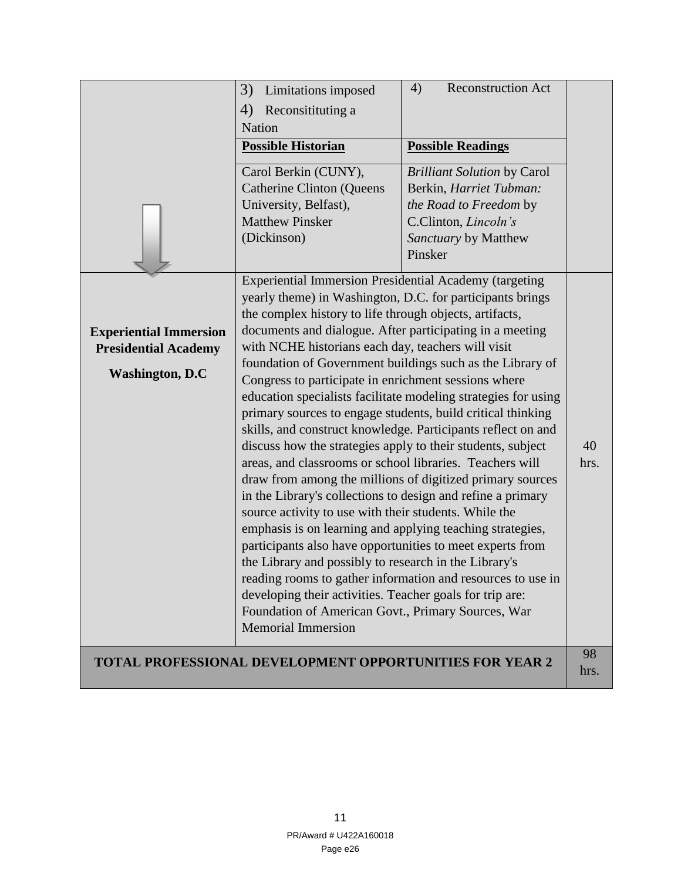|                                                                                        | 3)<br>Limitations imposed<br>Reconsitituting a<br>4)<br>Nation<br><b>Possible Historian</b><br>Carol Berkin (CUNY),<br><b>Catherine Clinton (Queens</b><br>University, Belfast),<br><b>Matthew Pinsker</b><br>(Dickinson)                                                                                                                                                                                                                                                                                                                                                                                                                                                                                                                                                                                                                                                                                                                                                                                                                                                                                                                                                                                     | 4)<br><b>Reconstruction Act</b><br><b>Possible Readings</b><br><b>Brilliant Solution by Carol</b><br>Berkin, Harriet Tubman:<br>the Road to Freedom by<br>C.Clinton, Lincoln's<br>Sanctuary by Matthew<br>Pinsker |            |
|----------------------------------------------------------------------------------------|---------------------------------------------------------------------------------------------------------------------------------------------------------------------------------------------------------------------------------------------------------------------------------------------------------------------------------------------------------------------------------------------------------------------------------------------------------------------------------------------------------------------------------------------------------------------------------------------------------------------------------------------------------------------------------------------------------------------------------------------------------------------------------------------------------------------------------------------------------------------------------------------------------------------------------------------------------------------------------------------------------------------------------------------------------------------------------------------------------------------------------------------------------------------------------------------------------------|-------------------------------------------------------------------------------------------------------------------------------------------------------------------------------------------------------------------|------------|
| <b>Experiential Immersion</b><br><b>Presidential Academy</b><br><b>Washington, D.C</b> | <b>Experiential Immersion Presidential Academy (targeting</b><br>yearly theme) in Washington, D.C. for participants brings<br>the complex history to life through objects, artifacts,<br>documents and dialogue. After participating in a meeting<br>with NCHE historians each day, teachers will visit<br>foundation of Government buildings such as the Library of<br>Congress to participate in enrichment sessions where<br>primary sources to engage students, build critical thinking<br>skills, and construct knowledge. Participants reflect on and<br>discuss how the strategies apply to their students, subject<br>areas, and classrooms or school libraries. Teachers will<br>draw from among the millions of digitized primary sources<br>in the Library's collections to design and refine a primary<br>source activity to use with their students. While the<br>emphasis is on learning and applying teaching strategies,<br>participants also have opportunities to meet experts from<br>the Library and possibly to research in the Library's<br>developing their activities. Teacher goals for trip are:<br>Foundation of American Govt., Primary Sources, War<br><b>Memorial Immersion</b> | education specialists facilitate modeling strategies for using<br>reading rooms to gather information and resources to use in                                                                                     | 40<br>hrs. |
|                                                                                        | <b>TOTAL PROFESSIONAL DEVELOPMENT OPPORTUNITIES FOR YEAR 2</b>                                                                                                                                                                                                                                                                                                                                                                                                                                                                                                                                                                                                                                                                                                                                                                                                                                                                                                                                                                                                                                                                                                                                                |                                                                                                                                                                                                                   | 98<br>hrs. |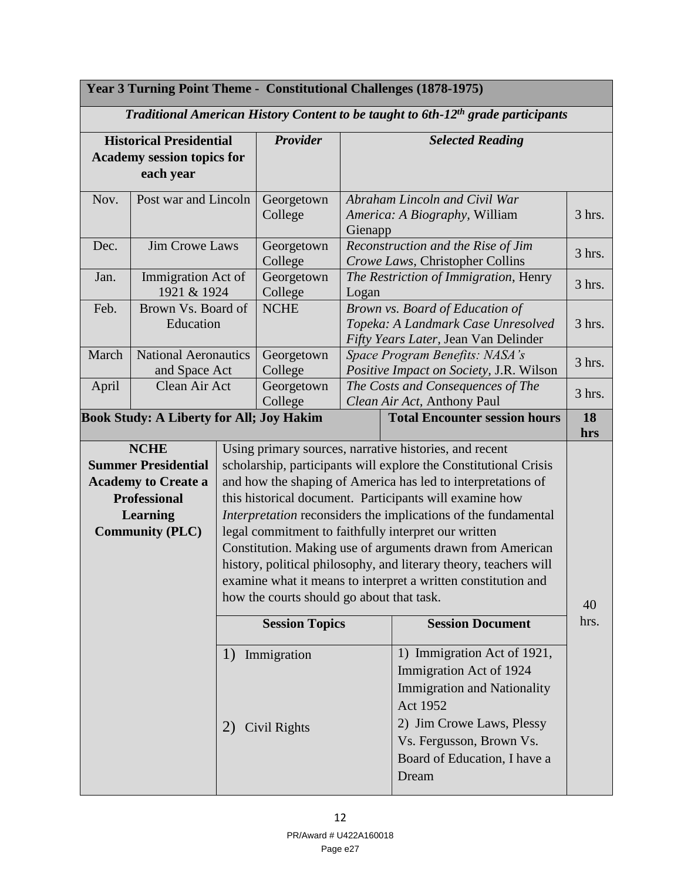| Year 3 Turning Point Theme - Constitutional Challenges (1878-1975)                                                                                |                                              |                       |                                                                                   |                                                                                                               |                                                                                                                                                                                                                                                                                                                                                                                                                                                                                                                                                                                                                                              |            |  |
|---------------------------------------------------------------------------------------------------------------------------------------------------|----------------------------------------------|-----------------------|-----------------------------------------------------------------------------------|---------------------------------------------------------------------------------------------------------------|----------------------------------------------------------------------------------------------------------------------------------------------------------------------------------------------------------------------------------------------------------------------------------------------------------------------------------------------------------------------------------------------------------------------------------------------------------------------------------------------------------------------------------------------------------------------------------------------------------------------------------------------|------------|--|
|                                                                                                                                                   |                                              |                       |                                                                                   |                                                                                                               | Traditional American History Content to be taught to 6th-12 <sup>th</sup> grade participants                                                                                                                                                                                                                                                                                                                                                                                                                                                                                                                                                 |            |  |
| <b>Historical Presidential</b><br><b>Academy session topics for</b><br>each year                                                                  |                                              | Provider              |                                                                                   | <b>Selected Reading</b>                                                                                       |                                                                                                                                                                                                                                                                                                                                                                                                                                                                                                                                                                                                                                              |            |  |
| Nov.                                                                                                                                              | Post war and Lincoln                         |                       | Georgetown<br>College                                                             |                                                                                                               | Abraham Lincoln and Civil War<br>America: A Biography, William<br>Gienapp                                                                                                                                                                                                                                                                                                                                                                                                                                                                                                                                                                    |            |  |
| Dec.                                                                                                                                              | <b>Jim Crowe Laws</b>                        |                       | Georgetown<br>College                                                             |                                                                                                               | Reconstruction and the Rise of Jim<br>Crowe Laws, Christopher Collins                                                                                                                                                                                                                                                                                                                                                                                                                                                                                                                                                                        | 3 hrs.     |  |
| Jan.                                                                                                                                              | Immigration Act of<br>1921 & 1924            |                       | Georgetown<br>College                                                             | Logan                                                                                                         | The Restriction of Immigration, Henry                                                                                                                                                                                                                                                                                                                                                                                                                                                                                                                                                                                                        | 3 hrs.     |  |
| Feb.                                                                                                                                              | Brown Vs. Board of<br>Education              |                       | <b>NCHE</b>                                                                       | Brown vs. Board of Education of<br>Topeka: A Landmark Case Unresolved<br>Fifty Years Later, Jean Van Delinder |                                                                                                                                                                                                                                                                                                                                                                                                                                                                                                                                                                                                                                              | 3 hrs.     |  |
| March                                                                                                                                             | <b>National Aeronautics</b><br>and Space Act |                       | Georgetown<br>College                                                             |                                                                                                               | Space Program Benefits: NASA's<br>Positive Impact on Society, J.R. Wilson                                                                                                                                                                                                                                                                                                                                                                                                                                                                                                                                                                    |            |  |
| April<br>Clean Air Act                                                                                                                            |                                              | Georgetown<br>College | The Costs and Consequences of The<br>Clean Air Act, Anthony Paul                  |                                                                                                               | 3 hrs.                                                                                                                                                                                                                                                                                                                                                                                                                                                                                                                                                                                                                                       |            |  |
| <b>Book Study: A Liberty for All; Joy Hakim</b>                                                                                                   |                                              |                       |                                                                                   | <b>Total Encounter session hours</b>                                                                          | 18<br>hrs                                                                                                                                                                                                                                                                                                                                                                                                                                                                                                                                                                                                                                    |            |  |
| <b>NCHE</b><br><b>Summer Presidential</b><br><b>Academy to Create a</b><br><b>Professional</b><br><b>Learning</b><br><b>Community (PLC)</b><br>1) |                                              |                       | how the courts should go about that task.<br><b>Session Topics</b><br>Immigration |                                                                                                               | Using primary sources, narrative histories, and recent<br>scholarship, participants will explore the Constitutional Crisis<br>and how the shaping of America has led to interpretations of<br>this historical document. Participants will examine how<br>Interpretation reconsiders the implications of the fundamental<br>legal commitment to faithfully interpret our written<br>Constitution. Making use of arguments drawn from American<br>history, political philosophy, and literary theory, teachers will<br>examine what it means to interpret a written constitution and<br><b>Session Document</b><br>1) Immigration Act of 1921, | 40<br>hrs. |  |
|                                                                                                                                                   |                                              | 2)                    | Civil Rights                                                                      |                                                                                                               | Immigration Act of 1924<br><b>Immigration and Nationality</b><br>Act 1952<br>2) Jim Crowe Laws, Plessy<br>Vs. Fergusson, Brown Vs.<br>Board of Education, I have a<br>Dream                                                                                                                                                                                                                                                                                                                                                                                                                                                                  |            |  |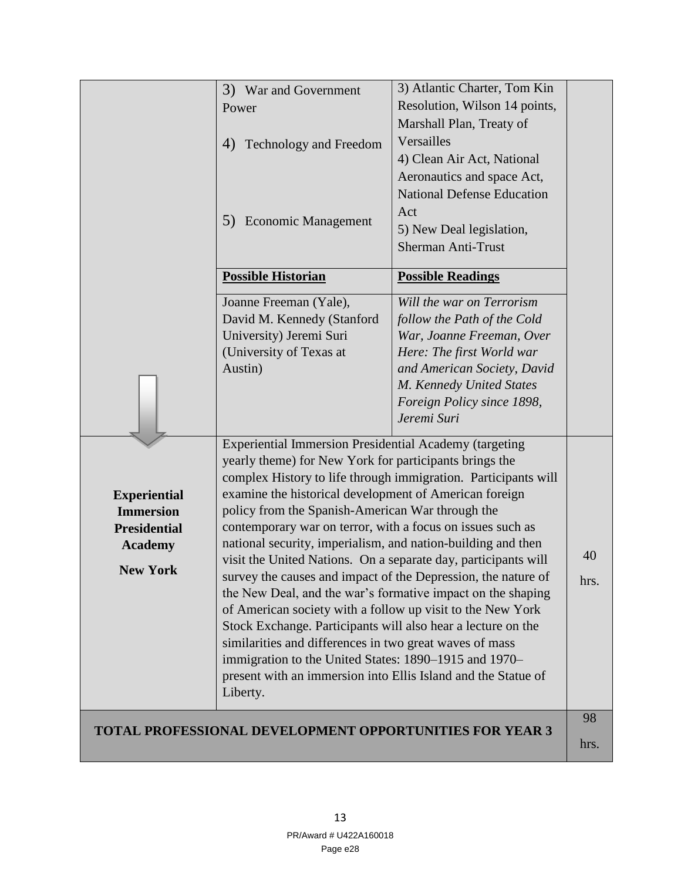|                                                                                                     | 3) War and Government<br>Power                                                                                                                                                                                                                                                                                                                                                                                                                                                                                                                                                                                                                                                                                                                                                                                                                                                                       | 3) Atlantic Charter, Tom Kin<br>Resolution, Wilson 14 points,<br>Marshall Plan, Treaty of                                                                                                                                  |            |
|-----------------------------------------------------------------------------------------------------|------------------------------------------------------------------------------------------------------------------------------------------------------------------------------------------------------------------------------------------------------------------------------------------------------------------------------------------------------------------------------------------------------------------------------------------------------------------------------------------------------------------------------------------------------------------------------------------------------------------------------------------------------------------------------------------------------------------------------------------------------------------------------------------------------------------------------------------------------------------------------------------------------|----------------------------------------------------------------------------------------------------------------------------------------------------------------------------------------------------------------------------|------------|
|                                                                                                     | Technology and Freedom<br>4)                                                                                                                                                                                                                                                                                                                                                                                                                                                                                                                                                                                                                                                                                                                                                                                                                                                                         | Versailles<br>4) Clean Air Act, National                                                                                                                                                                                   |            |
|                                                                                                     | <b>Economic Management</b><br>5)                                                                                                                                                                                                                                                                                                                                                                                                                                                                                                                                                                                                                                                                                                                                                                                                                                                                     | Aeronautics and space Act,<br><b>National Defense Education</b><br>Act<br>5) New Deal legislation,<br><b>Sherman Anti-Trust</b>                                                                                            |            |
|                                                                                                     | <b>Possible Historian</b>                                                                                                                                                                                                                                                                                                                                                                                                                                                                                                                                                                                                                                                                                                                                                                                                                                                                            | <b>Possible Readings</b>                                                                                                                                                                                                   |            |
|                                                                                                     | Joanne Freeman (Yale),<br>David M. Kennedy (Stanford<br>University) Jeremi Suri<br>(University of Texas at<br>Austin)                                                                                                                                                                                                                                                                                                                                                                                                                                                                                                                                                                                                                                                                                                                                                                                | Will the war on Terrorism<br>follow the Path of the Cold<br>War, Joanne Freeman, Over<br>Here: The first World war<br>and American Society, David<br>M. Kennedy United States<br>Foreign Policy since 1898,<br>Jeremi Suri |            |
| <b>Experiential</b><br><b>Immersion</b><br><b>Presidential</b><br><b>Academy</b><br><b>New York</b> | <b>Experiential Immersion Presidential Academy (targeting</b><br>yearly theme) for New York for participants brings the<br>examine the historical development of American foreign<br>policy from the Spanish-American War through the<br>contemporary war on terror, with a focus on issues such as<br>national security, imperialism, and nation-building and then<br>visit the United Nations. On a separate day, participants will<br>survey the causes and impact of the Depression, the nature of<br>the New Deal, and the war's formative impact on the shaping<br>of American society with a follow up visit to the New York<br>Stock Exchange. Participants will also hear a lecture on the<br>similarities and differences in two great waves of mass<br>immigration to the United States: 1890-1915 and 1970-<br>present with an immersion into Ellis Island and the Statue of<br>Liberty. | complex History to life through immigration. Participants will                                                                                                                                                             | 40<br>hrs. |
|                                                                                                     | <b>TOTAL PROFESSIONAL DEVELOPMENT OPPORTUNITIES FOR YEAR 3</b>                                                                                                                                                                                                                                                                                                                                                                                                                                                                                                                                                                                                                                                                                                                                                                                                                                       |                                                                                                                                                                                                                            | 98         |
|                                                                                                     |                                                                                                                                                                                                                                                                                                                                                                                                                                                                                                                                                                                                                                                                                                                                                                                                                                                                                                      |                                                                                                                                                                                                                            | hrs.       |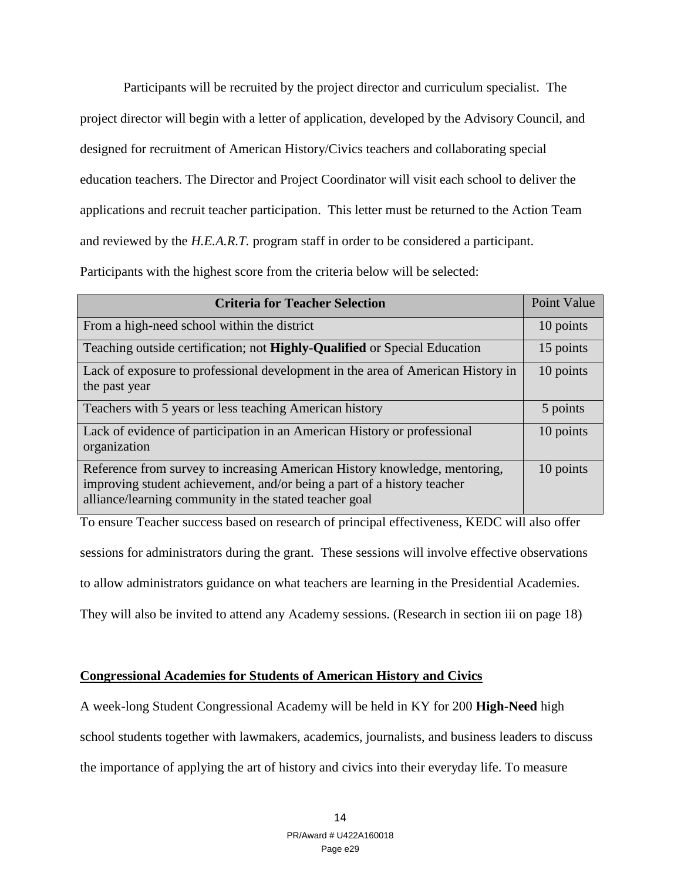Participants will be recruited by the project director and curriculum specialist. The project director will begin with a letter of application, developed by the Advisory Council, and designed for recruitment of American History/Civics teachers and collaborating special education teachers. The Director and Project Coordinator will visit each school to deliver the applications and recruit teacher participation. This letter must be returned to the Action Team and reviewed by the *H.E.A.R.T.* program staff in order to be considered a participant. Participants with the highest score from the criteria below will be selected:

| <b>Criteria for Teacher Selection</b>                                                                                                                                                                           | Point Value |
|-----------------------------------------------------------------------------------------------------------------------------------------------------------------------------------------------------------------|-------------|
| From a high-need school within the district                                                                                                                                                                     | 10 points   |
| Teaching outside certification; not <b>Highly-Qualified</b> or Special Education                                                                                                                                | 15 points   |
| Lack of exposure to professional development in the area of American History in<br>the past year                                                                                                                | 10 points   |
| Teachers with 5 years or less teaching American history                                                                                                                                                         | 5 points    |
| Lack of evidence of participation in an American History or professional<br>organization                                                                                                                        | 10 points   |
| Reference from survey to increasing American History knowledge, mentoring,<br>improving student achievement, and/or being a part of a history teacher<br>alliance/learning community in the stated teacher goal | 10 points   |

To ensure Teacher success based on research of principal effectiveness, KEDC will also offer

sessions for administrators during the grant. These sessions will involve effective observations

to allow administrators guidance on what teachers are learning in the Presidential Academies.

They will also be invited to attend any Academy sessions. (Research in section iii on page 18)

## **Congressional Academies for Students of American History and Civics**

A week-long Student Congressional Academy will be held in KY for 200 **High-Need** high school students together with lawmakers, academics, journalists, and business leaders to discuss the importance of applying the art of history and civics into their everyday life. To measure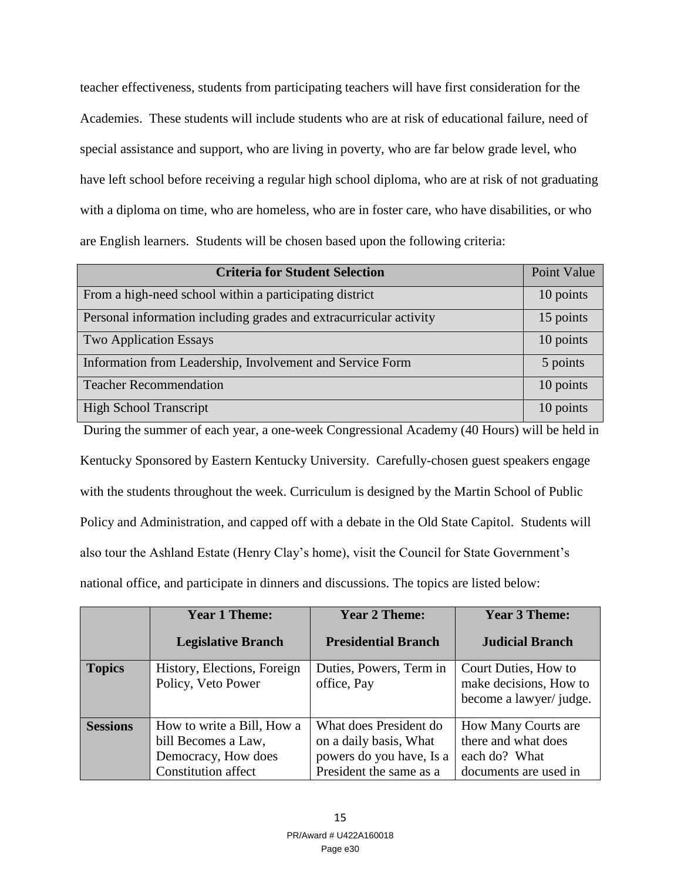teacher effectiveness, students from participating teachers will have first consideration for the Academies. These students will include students who are at risk of educational failure, need of special assistance and support, who are living in poverty, who are far below grade level, who have left school before receiving a regular high school diploma, who are at risk of not graduating with a diploma on time, who are homeless, who are in foster care, who have disabilities, or who are English learners. Students will be chosen based upon the following criteria:

| <b>Criteria for Student Selection</b>                              | Point Value |
|--------------------------------------------------------------------|-------------|
| From a high-need school within a participating district            | 10 points   |
| Personal information including grades and extracurricular activity | 15 points   |
| <b>Two Application Essays</b>                                      | 10 points   |
| Information from Leadership, Involvement and Service Form          | 5 points    |
| <b>Teacher Recommendation</b>                                      | 10 points   |
| <b>High School Transcript</b>                                      | 10 points   |

During the summer of each year, a one-week Congressional Academy (40 Hours) will be held in Kentucky Sponsored by Eastern Kentucky University. Carefully-chosen guest speakers engage with the students throughout the week. Curriculum is designed by the Martin School of Public Policy and Administration, and capped off with a debate in the Old State Capitol. Students will also tour the Ashland Estate (Henry Clay's home), visit the Council for State Government's national office, and participate in dinners and discussions. The topics are listed below:

|                 | <b>Year 1 Theme:</b>                                                                                   | <b>Year 2 Theme:</b>                                                                                    | <b>Year 3 Theme:</b>                                                                 |
|-----------------|--------------------------------------------------------------------------------------------------------|---------------------------------------------------------------------------------------------------------|--------------------------------------------------------------------------------------|
|                 | <b>Legislative Branch</b>                                                                              | <b>Presidential Branch</b>                                                                              | <b>Judicial Branch</b>                                                               |
| <b>Topics</b>   | History, Elections, Foreign<br>Policy, Veto Power                                                      | Duties, Powers, Term in<br>office, Pay                                                                  | Court Duties, How to<br>make decisions, How to<br>become a lawyer/ judge.            |
| <b>Sessions</b> | How to write a Bill, How a<br>bill Becomes a Law,<br>Democracy, How does<br><b>Constitution affect</b> | What does President do<br>on a daily basis, What<br>powers do you have, Is a<br>President the same as a | How Many Courts are<br>there and what does<br>each do? What<br>documents are used in |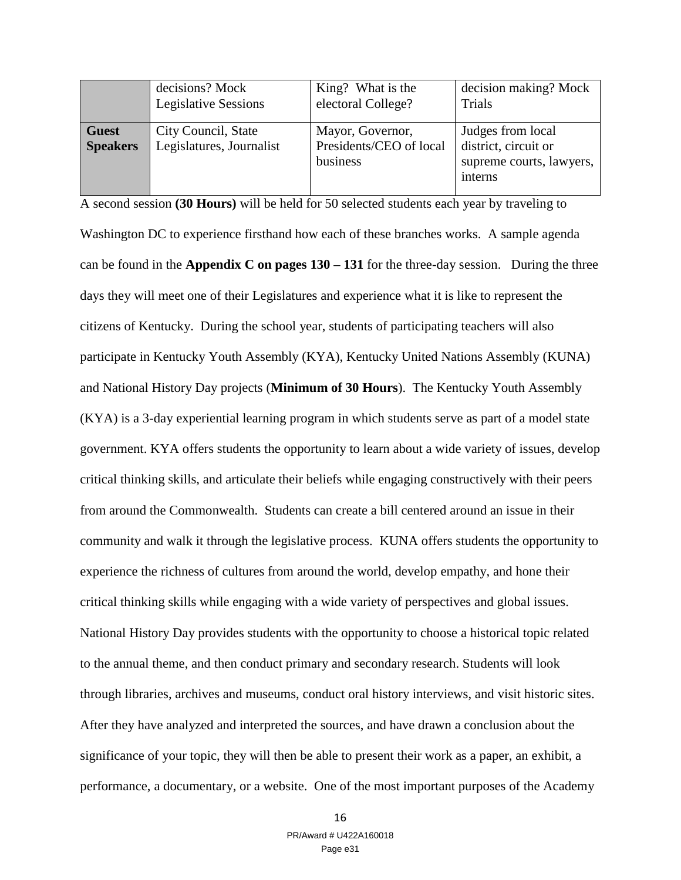|                                 | decisions? Mock                                 | King? What is the                                       | decision making? Mock                                                            |
|---------------------------------|-------------------------------------------------|---------------------------------------------------------|----------------------------------------------------------------------------------|
|                                 | <b>Legislative Sessions</b>                     | electoral College?                                      | Trials                                                                           |
| <b>Guest</b><br><b>Speakers</b> | City Council, State<br>Legislatures, Journalist | Mayor, Governor,<br>Presidents/CEO of local<br>business | Judges from local<br>district, circuit or<br>supreme courts, lawyers,<br>interns |

A second session **(30 Hours)** will be held for 50 selected students each year by traveling to

Washington DC to experience firsthand how each of these branches works. A sample agenda can be found in the **Appendix C on pages 130 – 131** for the three-day session. During the three days they will meet one of their Legislatures and experience what it is like to represent the citizens of Kentucky. During the school year, students of participating teachers will also participate in Kentucky Youth Assembly (KYA), Kentucky United Nations Assembly (KUNA) and National History Day projects (**Minimum of 30 Hours**). The Kentucky Youth Assembly (KYA) is a 3-day experiential learning program in which students serve as part of a model state government. KYA offers students the opportunity to learn about a wide variety of issues, develop critical thinking skills, and articulate their beliefs while engaging constructively with their peers from around the Commonwealth. Students can create a bill centered around an issue in their community and walk it through the legislative process. KUNA offers students the opportunity to experience the richness of cultures from around the world, develop empathy, and hone their critical thinking skills while engaging with a wide variety of perspectives and global issues. National History Day provides students with the opportunity to choose a historical topic related to the annual theme, and then conduct primary and secondary research. Students will look through libraries, archives and museums, conduct oral history interviews, and visit historic sites. After they have analyzed and interpreted the sources, and have drawn a conclusion about the significance of your topic, they will then be able to present their work as a paper, an exhibit, a performance, a documentary, or a website. One of the most important purposes of the Academy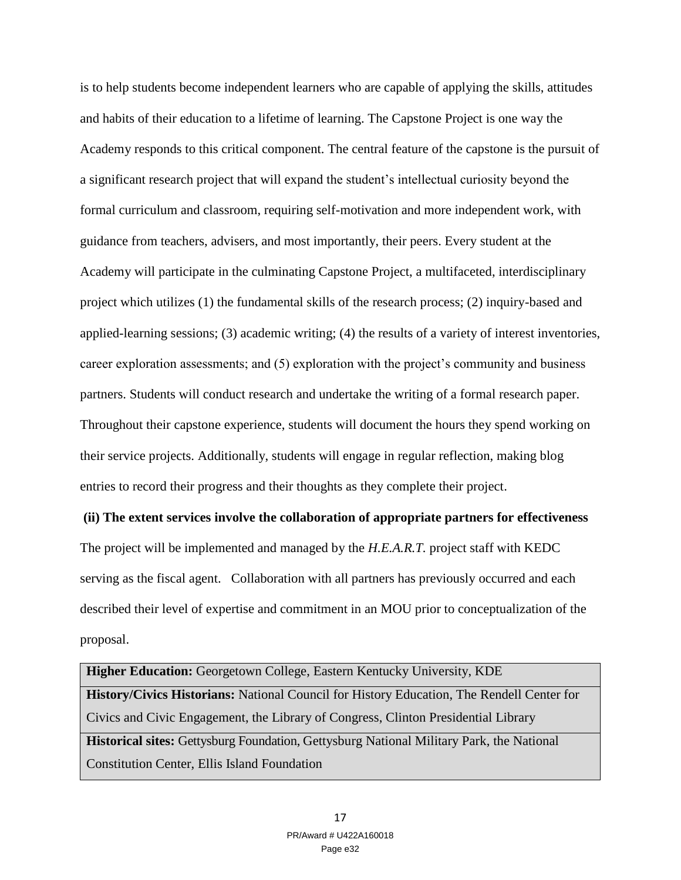is to help students become independent learners who are capable of applying the skills, attitudes and habits of their education to a lifetime of learning. The Capstone Project is one way the Academy responds to this critical component. The central feature of the capstone is the pursuit of a significant research project that will expand the student's intellectual curiosity beyond the formal curriculum and classroom, requiring self-motivation and more independent work, with guidance from teachers, advisers, and most importantly, their peers. Every student at the Academy will participate in the culminating Capstone Project, a multifaceted, interdisciplinary project which utilizes (1) the fundamental skills of the research process; (2) inquiry-based and applied-learning sessions; (3) academic writing; (4) the results of a variety of interest inventories, career exploration assessments; and (5) exploration with the project's community and business partners. Students will conduct research and undertake the writing of a formal research paper. Throughout their capstone experience, students will document the hours they spend working on their service projects. Additionally, students will engage in regular reflection, making blog entries to record their progress and their thoughts as they complete their project.

**(ii) The extent services involve the collaboration of appropriate partners for effectiveness**  The project will be implemented and managed by the *H.E.A.R.T.* project staff with KEDC serving as the fiscal agent. Collaboration with all partners has previously occurred and each described their level of expertise and commitment in an MOU prior to conceptualization of the proposal.

**Higher Education:** Georgetown College, Eastern Kentucky University, KDE **History/Civics Historians:** National Council for History Education, The Rendell Center for Civics and Civic Engagement, the Library of Congress, Clinton Presidential Library **Historical sites:** Gettysburg Foundation, Gettysburg National Military Park, the National Constitution Center, Ellis Island Foundation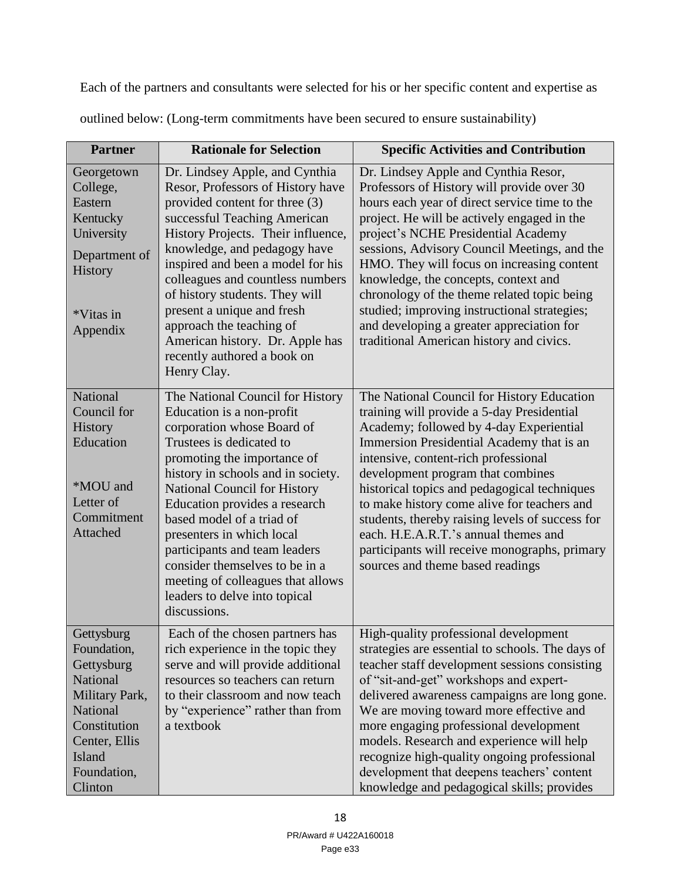Each of the partners and consultants were selected for his or her specific content and expertise as

| <b>Partner</b>                                                                                                                                         | <b>Rationale for Selection</b>                                                                                                                                                                                                                                                                                                                                                                                                                                                   | <b>Specific Activities and Contribution</b>                                                                                                                                                                                                                                                                                                                                                                                                                                                                                                             |
|--------------------------------------------------------------------------------------------------------------------------------------------------------|----------------------------------------------------------------------------------------------------------------------------------------------------------------------------------------------------------------------------------------------------------------------------------------------------------------------------------------------------------------------------------------------------------------------------------------------------------------------------------|---------------------------------------------------------------------------------------------------------------------------------------------------------------------------------------------------------------------------------------------------------------------------------------------------------------------------------------------------------------------------------------------------------------------------------------------------------------------------------------------------------------------------------------------------------|
| Georgetown<br>College,<br>Eastern<br>Kentucky<br>University<br>Department of<br>History<br>*Vitas in<br>Appendix                                       | Dr. Lindsey Apple, and Cynthia<br>Resor, Professors of History have<br>provided content for three (3)<br>successful Teaching American<br>History Projects. Their influence,<br>knowledge, and pedagogy have<br>inspired and been a model for his<br>colleagues and countless numbers<br>of history students. They will<br>present a unique and fresh<br>approach the teaching of<br>American history. Dr. Apple has<br>recently authored a book on<br>Henry Clay.                | Dr. Lindsey Apple and Cynthia Resor,<br>Professors of History will provide over 30<br>hours each year of direct service time to the<br>project. He will be actively engaged in the<br>project's NCHE Presidential Academy<br>sessions, Advisory Council Meetings, and the<br>HMO. They will focus on increasing content<br>knowledge, the concepts, context and<br>chronology of the theme related topic being<br>studied; improving instructional strategies;<br>and developing a greater appreciation for<br>traditional American history and civics. |
| National<br>Council for<br>History<br>Education<br>*MOU and<br>Letter of<br>Commitment<br>Attached                                                     | The National Council for History<br>Education is a non-profit<br>corporation whose Board of<br>Trustees is dedicated to<br>promoting the importance of<br>history in schools and in society.<br>National Council for History<br>Education provides a research<br>based model of a triad of<br>presenters in which local<br>participants and team leaders<br>consider themselves to be in a<br>meeting of colleagues that allows<br>leaders to delve into topical<br>discussions. | The National Council for History Education<br>training will provide a 5-day Presidential<br>Academy; followed by 4-day Experiential<br>Immersion Presidential Academy that is an<br>intensive, content-rich professional<br>development program that combines<br>historical topics and pedagogical techniques<br>to make history come alive for teachers and<br>students, thereby raising levels of success for<br>each. H.E.A.R.T.'s annual themes and<br>participants will receive monographs, primary<br>sources and theme based readings            |
| Gettysburg<br>Foundation,<br>Gettysburg<br>National<br>Military Park,<br>National<br>Constitution<br>Center, Ellis<br>Island<br>Foundation,<br>Clinton | Each of the chosen partners has<br>rich experience in the topic they<br>serve and will provide additional<br>resources so teachers can return<br>to their classroom and now teach<br>by "experience" rather than from<br>a textbook                                                                                                                                                                                                                                              | High-quality professional development<br>strategies are essential to schools. The days of<br>teacher staff development sessions consisting<br>of "sit-and-get" workshops and expert-<br>delivered awareness campaigns are long gone.<br>We are moving toward more effective and<br>more engaging professional development<br>models. Research and experience will help<br>recognize high-quality ongoing professional<br>development that deepens teachers' content<br>knowledge and pedagogical skills; provides                                       |

outlined below: (Long-term commitments have been secured to ensure sustainability)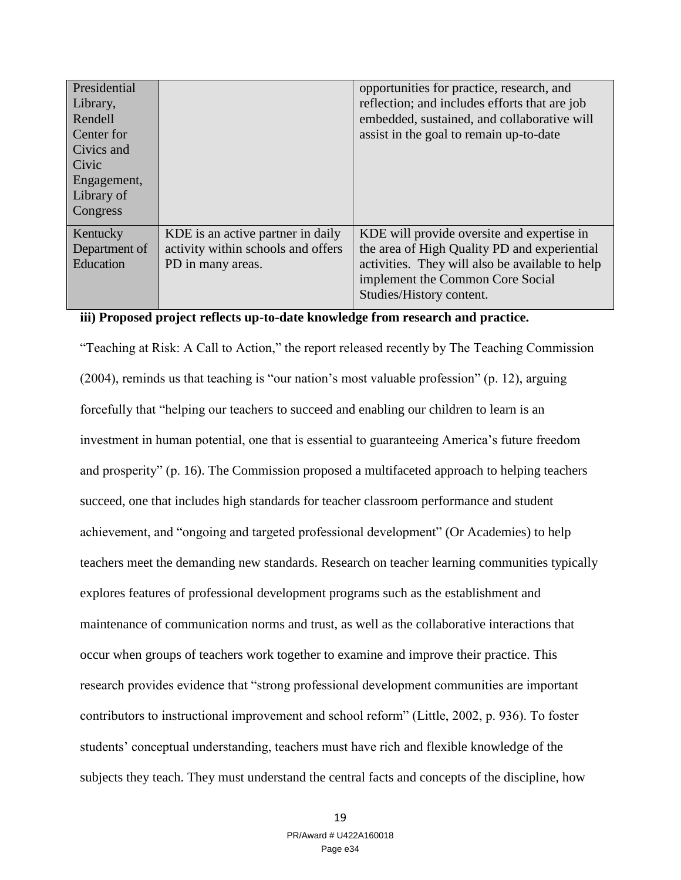| Presidential  |                                    | opportunities for practice, research, and       |
|---------------|------------------------------------|-------------------------------------------------|
| Library,      |                                    | reflection; and includes efforts that are job   |
| Rendell       |                                    | embedded, sustained, and collaborative will     |
| Center for    |                                    | assist in the goal to remain up-to-date         |
| Civics and    |                                    |                                                 |
| Civic         |                                    |                                                 |
| Engagement,   |                                    |                                                 |
| Library of    |                                    |                                                 |
| Congress      |                                    |                                                 |
| Kentucky      | KDE is an active partner in daily  | KDE will provide oversite and expertise in      |
| Department of | activity within schools and offers | the area of High Quality PD and experiential    |
| Education     | PD in many areas.                  | activities. They will also be available to help |
|               |                                    | implement the Common Core Social                |
|               |                                    | Studies/History content.                        |

#### **iii) Proposed project reflects up-to-date knowledge from research and practice.**

"Teaching at Risk: A Call to Action," the report released recently by The Teaching Commission (2004), reminds us that teaching is "our nation's most valuable profession" (p. 12), arguing forcefully that "helping our teachers to succeed and enabling our children to learn is an investment in human potential, one that is essential to guaranteeing America's future freedom and prosperity" (p. 16). The Commission proposed a multifaceted approach to helping teachers succeed, one that includes high standards for teacher classroom performance and student achievement, and "ongoing and targeted professional development" (Or Academies) to help teachers meet the demanding new standards. Research on teacher learning communities typically explores features of professional development programs such as the establishment and maintenance of communication norms and trust, as well as the collaborative interactions that occur when groups of teachers work together to examine and improve their practice. This research provides evidence that "strong professional development communities are important contributors to instructional improvement and school reform" (Little, 2002, p. 936). To foster students' conceptual understanding, teachers must have rich and flexible knowledge of the subjects they teach. They must understand the central facts and concepts of the discipline, how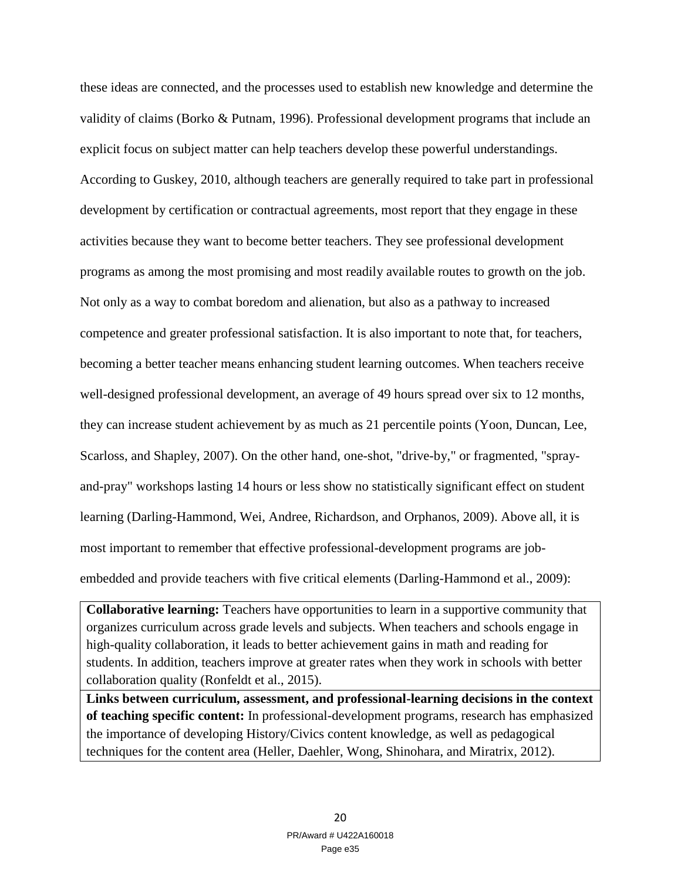these ideas are connected, and the processes used to establish new knowledge and determine the validity of claims (Borko & Putnam, 1996). Professional development programs that include an explicit focus on subject matter can help teachers develop these powerful understandings. According to Guskey, 2010, although teachers are generally required to take part in professional development by certification or contractual agreements, most report that they engage in these activities because they want to become better teachers. They see professional development programs as among the most promising and most readily available routes to growth on the job. Not only as a way to combat boredom and alienation, but also as a pathway to increased competence and greater professional satisfaction. It is also important to note that, for teachers, becoming a better teacher means enhancing student learning outcomes. When teachers receive well-designed professional development, an average of 49 hours spread over six to 12 months, they can increase student achievement by as much as 21 percentile points (Yoon, Duncan, Lee, Scarloss, and Shapley, 2007). On the other hand, one-shot, "drive-by," or fragmented, "sprayand-pray" workshops lasting 14 hours or less show no statistically significant effect on student learning (Darling-Hammond, Wei, Andree, Richardson, and Orphanos, 2009). Above all, it is most important to remember that effective professional-development programs are jobembedded and provide teachers with five critical elements (Darling-Hammond et al., 2009):

**Collaborative learning:** Teachers have opportunities to learn in a supportive community that organizes curriculum across grade levels and subjects. When teachers and schools engage in high-quality collaboration, it leads to better achievement gains in math and reading for students. In addition, teachers improve at greater rates when they work in schools with better collaboration quality (Ronfeldt et al., 2015).

**Links between curriculum, assessment, and professional-learning decisions in the context of teaching specific content:** In professional-development programs, research has emphasized the importance of developing History/Civics content knowledge, as well as pedagogical techniques for the content area (Heller, Daehler, Wong, Shinohara, and Miratrix, 2012).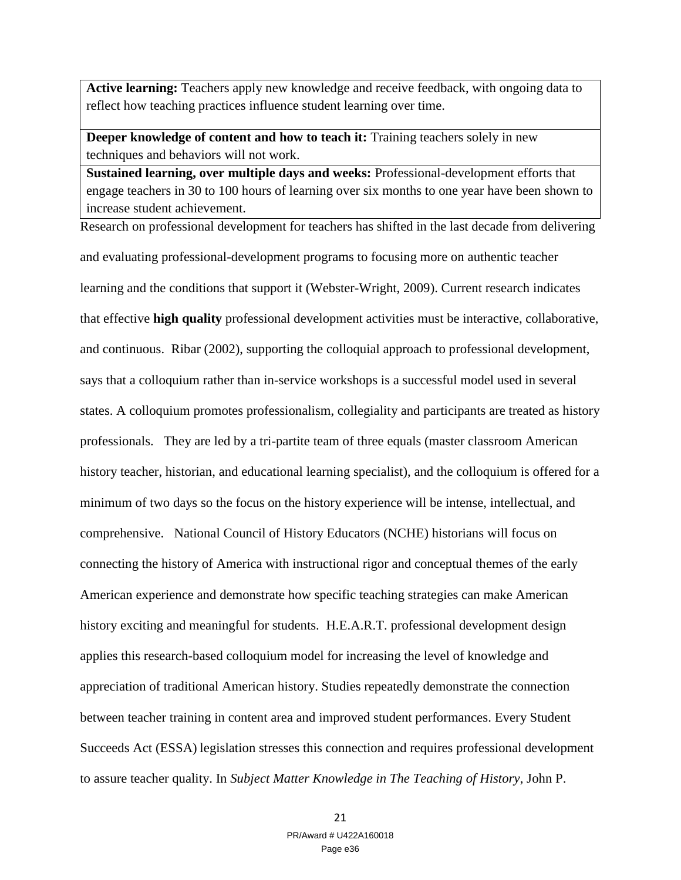**Active learning:** Teachers apply new knowledge and receive feedback, with ongoing data to reflect how teaching practices influence student learning over time.

**Deeper knowledge of content and how to teach it:** Training teachers solely in new techniques and behaviors will not work.

**Sustained learning, over multiple days and weeks:** Professional-development efforts that engage teachers in 30 to 100 hours of learning over six months to one year have been shown to increase student achievement.

Research on professional development for teachers has shifted in the last decade from delivering and evaluating professional-development programs to focusing more on authentic teacher learning and the conditions that support it (Webster-Wright, 2009). Current research indicates that effective **high quality** professional development activities must be interactive, collaborative, and continuous. Ribar (2002), supporting the colloquial approach to professional development, says that a colloquium rather than in-service workshops is a successful model used in several states. A colloquium promotes professionalism, collegiality and participants are treated as history professionals. They are led by a tri-partite team of three equals (master classroom American history teacher, historian, and educational learning specialist), and the colloquium is offered for a minimum of two days so the focus on the history experience will be intense, intellectual, and comprehensive. National Council of History Educators (NCHE) historians will focus on connecting the history of America with instructional rigor and conceptual themes of the early American experience and demonstrate how specific teaching strategies can make American history exciting and meaningful for students. H.E.A.R.T. professional development design applies this research-based colloquium model for increasing the level of knowledge and appreciation of traditional American history. Studies repeatedly demonstrate the connection between teacher training in content area and improved student performances. Every Student Succeeds Act (ESSA) legislation stresses this connection and requires professional development to assure teacher quality. In *Subject Matter Knowledge in The Teaching of History*, John P.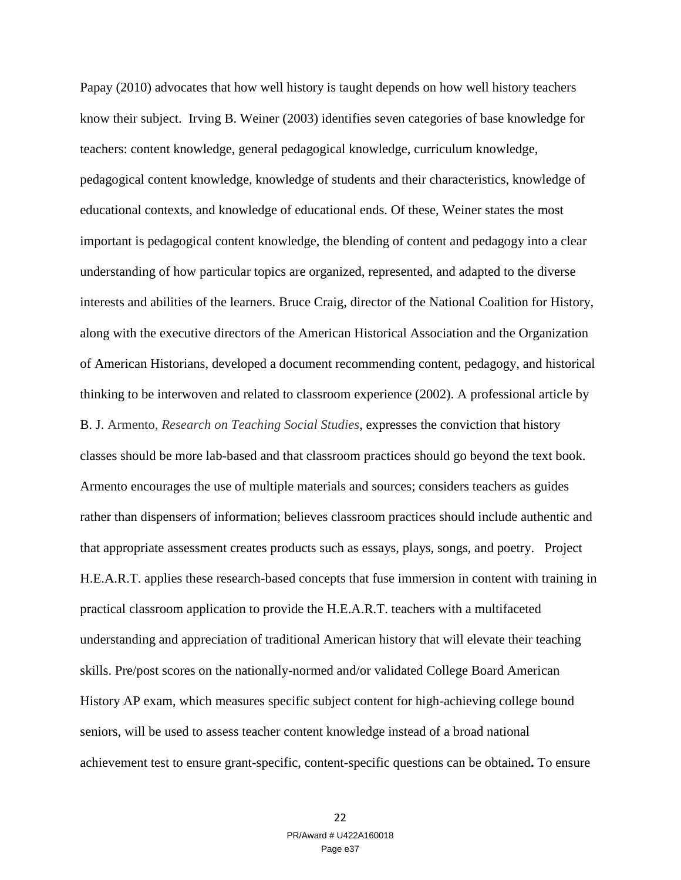Papay (2010) advocates that how well history is taught depends on how well history teachers know their subject. Irving B. Weiner (2003) identifies seven categories of base knowledge for teachers: content knowledge, general pedagogical knowledge, curriculum knowledge, pedagogical content knowledge, knowledge of students and their characteristics, knowledge of educational contexts, and knowledge of educational ends. Of these, Weiner states the most important is pedagogical content knowledge, the blending of content and pedagogy into a clear understanding of how particular topics are organized, represented, and adapted to the diverse interests and abilities of the learners. Bruce Craig, director of the National Coalition for History, along with the executive directors of the American Historical Association and the Organization of American Historians, developed a document recommending content, pedagogy, and historical thinking to be interwoven and related to classroom experience (2002). A professional article by B. J. Armento, *Research on Teaching Social Studies*, expresses the conviction that history classes should be more lab-based and that classroom practices should go beyond the text book. Armento encourages the use of multiple materials and sources; considers teachers as guides rather than dispensers of information; believes classroom practices should include authentic and that appropriate assessment creates products such as essays, plays, songs, and poetry. Project H.E.A.R.T. applies these research-based concepts that fuse immersion in content with training in practical classroom application to provide the H.E.A.R.T. teachers with a multifaceted understanding and appreciation of traditional American history that will elevate their teaching skills. Pre/post scores on the nationally-normed and/or validated College Board American History AP exam, which measures specific subject content for high-achieving college bound seniors, will be used to assess teacher content knowledge instead of a broad national achievement test to ensure grant-specific, content-specific questions can be obtained**.** To ensure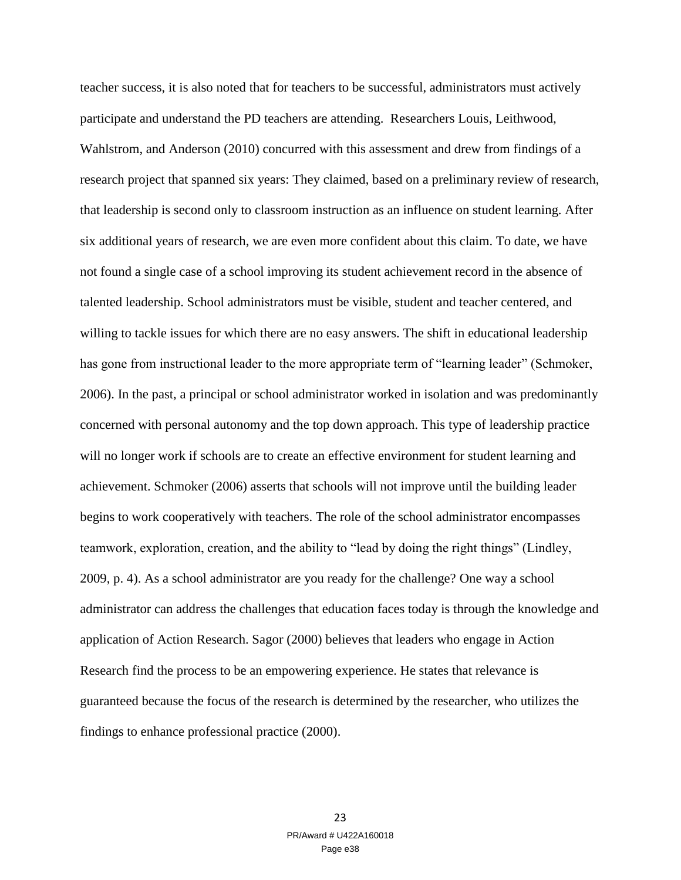teacher success, it is also noted that for teachers to be successful, administrators must actively participate and understand the PD teachers are attending. Researchers Louis, Leithwood, Wahlstrom, and Anderson (2010) concurred with this assessment and drew from findings of a research project that spanned six years: They claimed, based on a preliminary review of research, that leadership is second only to classroom instruction as an influence on student learning. After six additional years of research, we are even more confident about this claim. To date, we have not found a single case of a school improving its student achievement record in the absence of talented leadership. School administrators must be visible, student and teacher centered, and willing to tackle issues for which there are no easy answers. The shift in educational leadership has gone from instructional leader to the more appropriate term of "learning leader" (Schmoker, 2006). In the past, a principal or school administrator worked in isolation and was predominantly concerned with personal autonomy and the top down approach. This type of leadership practice will no longer work if schools are to create an effective environment for student learning and achievement. Schmoker (2006) asserts that schools will not improve until the building leader begins to work cooperatively with teachers. The role of the school administrator encompasses teamwork, exploration, creation, and the ability to "lead by doing the right things" (Lindley, 2009, p. 4). As a school administrator are you ready for the challenge? One way a school administrator can address the challenges that education faces today is through the knowledge and application of Action Research. Sagor (2000) believes that leaders who engage in Action Research find the process to be an empowering experience. He states that relevance is guaranteed because the focus of the research is determined by the researcher, who utilizes the findings to enhance professional practice (2000).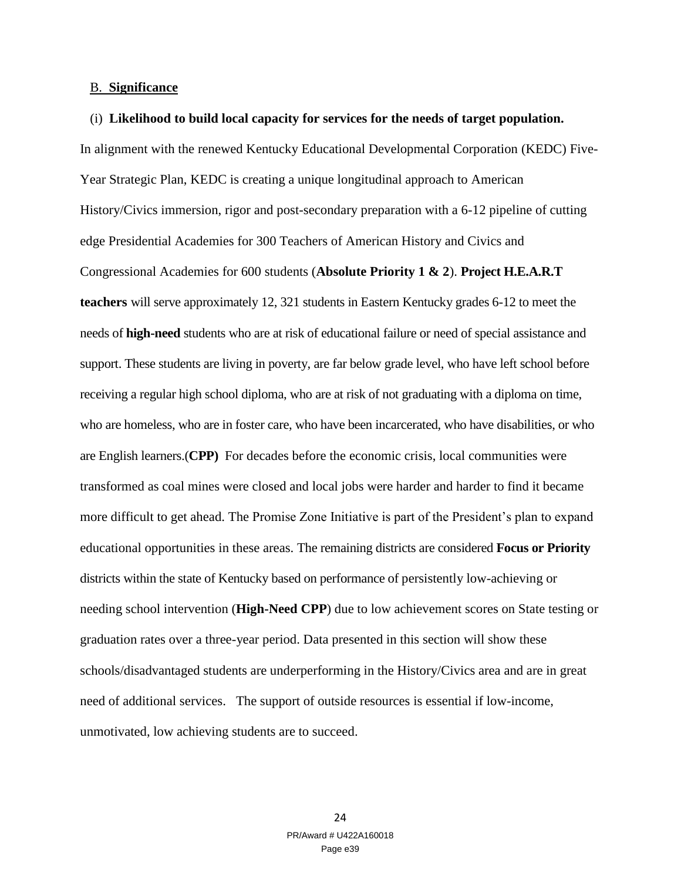#### B. **Significance**

#### (i) **Likelihood to build local capacity for services for the needs of target population.**

In alignment with the renewed Kentucky Educational Developmental Corporation (KEDC) Five-Year Strategic Plan, KEDC is creating a unique longitudinal approach to American History/Civics immersion, rigor and post-secondary preparation with a 6-12 pipeline of cutting edge Presidential Academies for 300 Teachers of American History and Civics and Congressional Academies for 600 students (**Absolute Priority 1 & 2**). **Project H.E.A.R.T teachers** will serve approximately 12, 321 students in Eastern Kentucky grades 6-12 to meet the needs of **high-need** students who are at risk of educational failure or need of special assistance and support. These students are living in poverty, are far below grade level, who have left school before receiving a regular high school diploma, who are at risk of not graduating with a diploma on time, who are homeless, who are in foster care, who have been incarcerated, who have disabilities, or who are English learners.(**CPP)** For decades before the economic crisis, local communities were transformed as coal mines were closed and local jobs were harder and harder to find it became more difficult to get ahead. The Promise Zone Initiative is part of the President's plan to expand educational opportunities in these areas. The remaining districts are considered **Focus or Priority** districts within the state of Kentucky based on performance of persistently low-achieving or needing school intervention (**High-Need CPP**) due to low achievement scores on State testing or graduation rates over a three-year period. Data presented in this section will show these schools/disadvantaged students are underperforming in the History/Civics area and are in great need of additional services. The support of outside resources is essential if low-income, unmotivated, low achieving students are to succeed.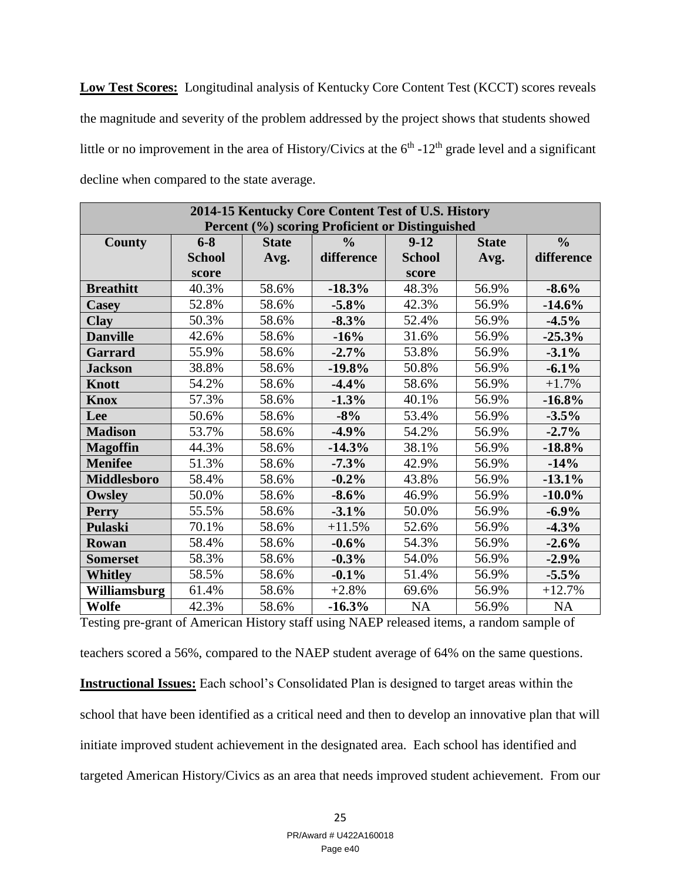**Low Test Scores:** Longitudinal analysis of Kentucky Core Content Test (KCCT) scores reveals the magnitude and severity of the problem addressed by the project shows that students showed little or no improvement in the area of History/Civics at the  $6<sup>th</sup>$  -12<sup>th</sup> grade level and a significant decline when compared to the state average.

| 2014-15 Kentucky Core Content Test of U.S. History |                                                 |              |               |               |              |               |
|----------------------------------------------------|-------------------------------------------------|--------------|---------------|---------------|--------------|---------------|
|                                                    | Percent (%) scoring Proficient or Distinguished |              |               |               |              |               |
| <b>County</b>                                      | $6 - 8$                                         | <b>State</b> | $\frac{6}{6}$ | $9-12$        | <b>State</b> | $\frac{0}{0}$ |
|                                                    | <b>School</b>                                   | Avg.         | difference    | <b>School</b> | Avg.         | difference    |
|                                                    | score                                           |              |               | score         |              |               |
| <b>Breathitt</b>                                   | 40.3%                                           | 58.6%        | $-18.3%$      | 48.3%         | 56.9%        | $-8.6%$       |
| <b>Casey</b>                                       | 52.8%                                           | 58.6%        | $-5.8%$       | 42.3%         | 56.9%        | $-14.6%$      |
| <b>Clay</b>                                        | 50.3%                                           | 58.6%        | $-8.3\%$      | 52.4%         | 56.9%        | $-4.5%$       |
| <b>Danville</b>                                    | 42.6%                                           | 58.6%        | $-16%$        | 31.6%         | 56.9%        | $-25.3%$      |
| <b>Garrard</b>                                     | 55.9%                                           | 58.6%        | $-2.7%$       | 53.8%         | 56.9%        | $-3.1%$       |
| <b>Jackson</b>                                     | 38.8%                                           | 58.6%        | $-19.8%$      | 50.8%         | 56.9%        | $-6.1%$       |
| <b>Knott</b>                                       | 54.2%                                           | 58.6%        | $-4.4%$       | 58.6%         | 56.9%        | $+1.7%$       |
| <b>Knox</b>                                        | 57.3%                                           | 58.6%        | $-1.3%$       | 40.1%         | 56.9%        | $-16.8%$      |
| Lee                                                | 50.6%                                           | 58.6%        | $-8%$         | 53.4%         | 56.9%        | $-3.5%$       |
| <b>Madison</b>                                     | 53.7%                                           | 58.6%        | $-4.9%$       | 54.2%         | 56.9%        | $-2.7%$       |
| <b>Magoffin</b>                                    | 44.3%                                           | 58.6%        | $-14.3%$      | 38.1%         | 56.9%        | $-18.8%$      |
| <b>Menifee</b>                                     | 51.3%                                           | 58.6%        | $-7.3%$       | 42.9%         | 56.9%        | $-14%$        |
| <b>Middlesboro</b>                                 | 58.4%                                           | 58.6%        | $-0.2%$       | 43.8%         | 56.9%        | $-13.1%$      |
| Owsley                                             | 50.0%                                           | 58.6%        | $-8.6%$       | 46.9%         | 56.9%        | $-10.0\%$     |
| <b>Perry</b>                                       | 55.5%                                           | 58.6%        | $-3.1%$       | 50.0%         | 56.9%        | $-6.9\%$      |
| <b>Pulaski</b>                                     | 70.1%                                           | 58.6%        | $+11.5%$      | 52.6%         | 56.9%        | $-4.3%$       |
| Rowan                                              | 58.4%                                           | 58.6%        | $-0.6%$       | 54.3%         | 56.9%        | $-2.6%$       |
| <b>Somerset</b>                                    | 58.3%                                           | 58.6%        | $-0.3%$       | 54.0%         | 56.9%        | $-2.9%$       |
| <b>Whitley</b>                                     | 58.5%                                           | 58.6%        | $-0.1%$       | 51.4%         | 56.9%        | $-5.5%$       |
| Williamsburg                                       | 61.4%                                           | 58.6%        | $+2.8%$       | 69.6%         | 56.9%        | $+12.7%$      |
| Wolfe                                              | 42.3%                                           | 58.6%        | $-16.3%$      | <b>NA</b>     | 56.9%        | <b>NA</b>     |

Testing pre-grant of American History staff using NAEP released items, a random sample of teachers scored a 56%, compared to the NAEP student average of 64% on the same questions. **Instructional Issues:** Each school's Consolidated Plan is designed to target areas within the school that have been identified as a critical need and then to develop an innovative plan that will initiate improved student achievement in the designated area. Each school has identified and

targeted American History/Civics as an area that needs improved student achievement. From our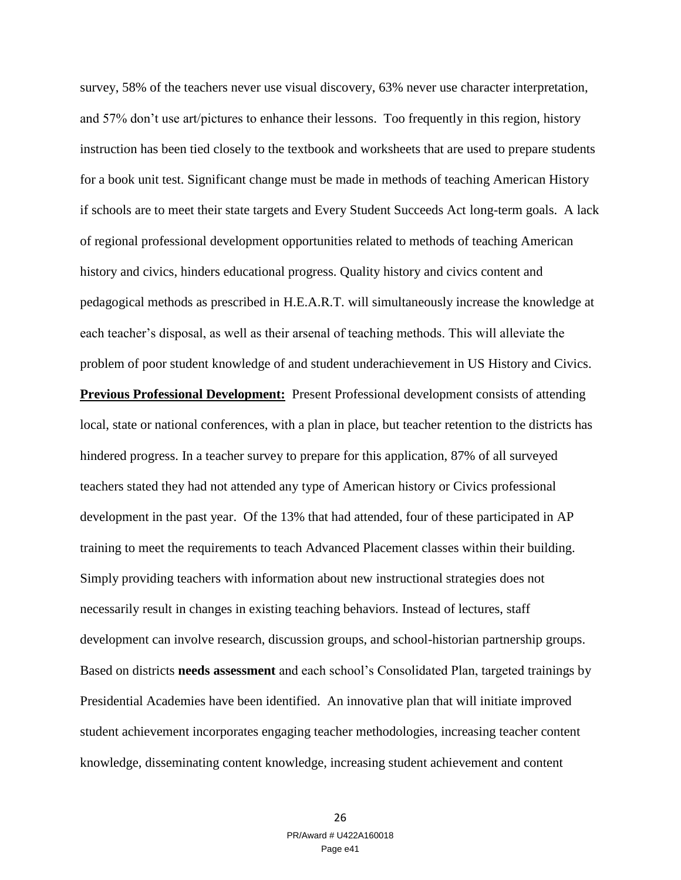survey, 58% of the teachers never use visual discovery, 63% never use character interpretation, and 57% don't use art/pictures to enhance their lessons. Too frequently in this region, history instruction has been tied closely to the textbook and worksheets that are used to prepare students for a book unit test. Significant change must be made in methods of teaching American History if schools are to meet their state targets and Every Student Succeeds Act long-term goals. A lack of regional professional development opportunities related to methods of teaching American history and civics, hinders educational progress. Quality history and civics content and pedagogical methods as prescribed in H.E.A.R.T. will simultaneously increase the knowledge at each teacher's disposal, as well as their arsenal of teaching methods. This will alleviate the problem of poor student knowledge of and student underachievement in US History and Civics. **Previous Professional Development:** Present Professional development consists of attending local, state or national conferences, with a plan in place, but teacher retention to the districts has hindered progress. In a teacher survey to prepare for this application, 87% of all surveyed teachers stated they had not attended any type of American history or Civics professional development in the past year. Of the 13% that had attended, four of these participated in AP training to meet the requirements to teach Advanced Placement classes within their building. Simply providing teachers with information about new instructional strategies does not necessarily result in changes in existing teaching behaviors. Instead of lectures, staff development can involve research, discussion groups, and school-historian partnership groups. Based on districts **needs assessment** and each school's Consolidated Plan, targeted trainings by Presidential Academies have been identified. An innovative plan that will initiate improved student achievement incorporates engaging teacher methodologies, increasing teacher content knowledge, disseminating content knowledge, increasing student achievement and content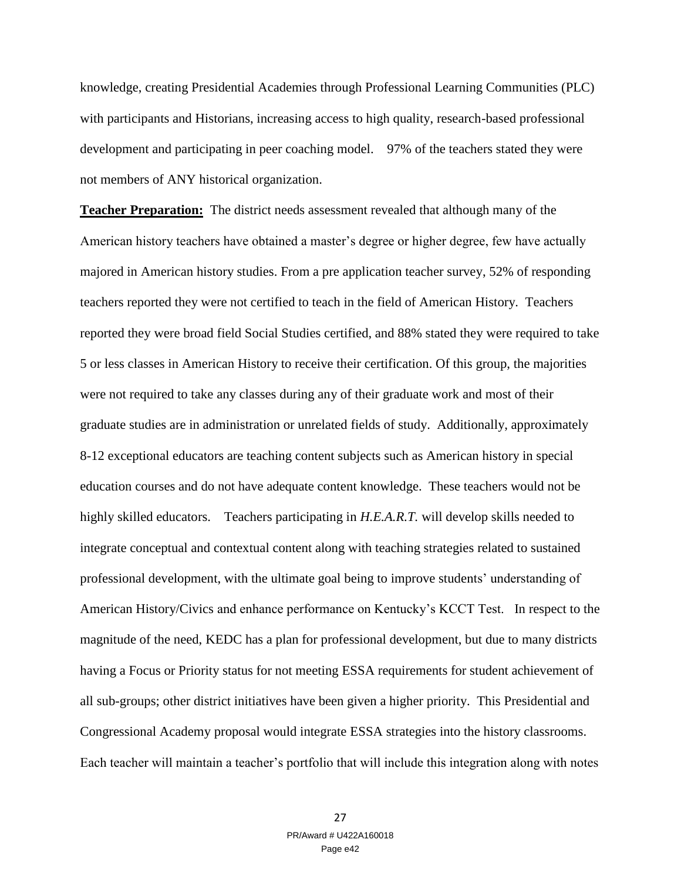knowledge, creating Presidential Academies through Professional Learning Communities (PLC) with participants and Historians, increasing access to high quality, research-based professional development and participating in peer coaching model. 97% of the teachers stated they were not members of ANY historical organization.

**Teacher Preparation:** The district needs assessment revealed that although many of the American history teachers have obtained a master's degree or higher degree, few have actually majored in American history studies. From a pre application teacher survey, 52% of responding teachers reported they were not certified to teach in the field of American History. Teachers reported they were broad field Social Studies certified, and 88% stated they were required to take 5 or less classes in American History to receive their certification. Of this group, the majorities were not required to take any classes during any of their graduate work and most of their graduate studies are in administration or unrelated fields of study. Additionally, approximately 8-12 exceptional educators are teaching content subjects such as American history in special education courses and do not have adequate content knowledge. These teachers would not be highly skilled educators. Teachers participating in *H.E.A.R.T.* will develop skills needed to integrate conceptual and contextual content along with teaching strategies related to sustained professional development, with the ultimate goal being to improve students' understanding of American History/Civics and enhance performance on Kentucky's KCCT Test. In respect to the magnitude of the need, KEDC has a plan for professional development, but due to many districts having a Focus or Priority status for not meeting ESSA requirements for student achievement of all sub-groups; other district initiatives have been given a higher priority. This Presidential and Congressional Academy proposal would integrate ESSA strategies into the history classrooms. Each teacher will maintain a teacher's portfolio that will include this integration along with notes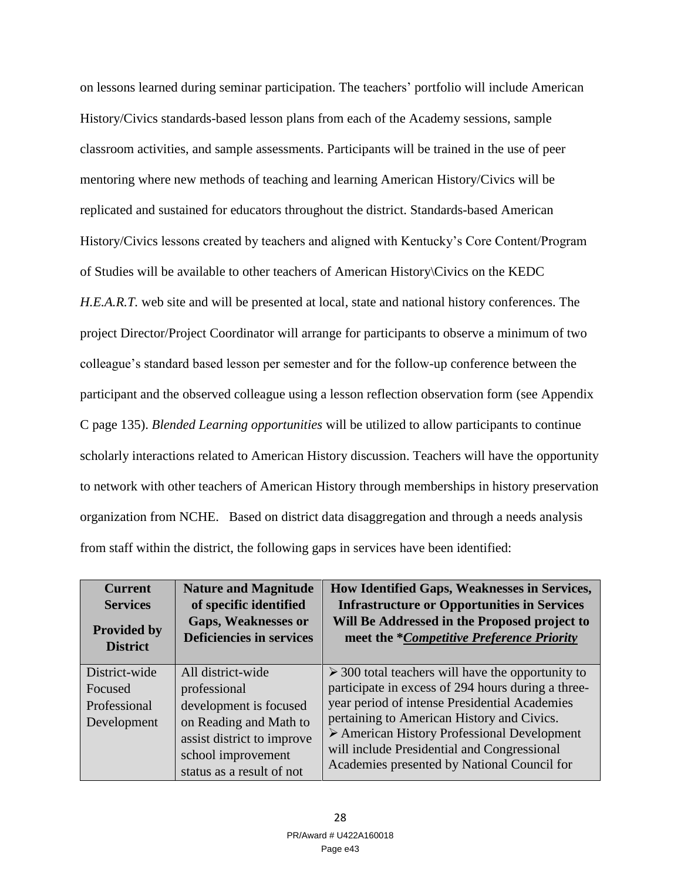on lessons learned during seminar participation. The teachers' portfolio will include American History/Civics standards-based lesson plans from each of the Academy sessions, sample classroom activities, and sample assessments. Participants will be trained in the use of peer mentoring where new methods of teaching and learning American History/Civics will be replicated and sustained for educators throughout the district. Standards-based American History/Civics lessons created by teachers and aligned with Kentucky's Core Content/Program of Studies will be available to other teachers of American History\Civics on the KEDC *H.E.A.R.T.* web site and will be presented at local, state and national history conferences. The project Director/Project Coordinator will arrange for participants to observe a minimum of two colleague's standard based lesson per semester and for the follow-up conference between the participant and the observed colleague using a lesson reflection observation form (see Appendix C page 135). *Blended Learning opportunities* will be utilized to allow participants to continue scholarly interactions related to American History discussion. Teachers will have the opportunity to network with other teachers of American History through memberships in history preservation organization from NCHE. Based on district data disaggregation and through a needs analysis from staff within the district, the following gaps in services have been identified:

| <b>Current</b>                                          | <b>Nature and Magnitude</b>                                                                                                                                            | How Identified Gaps, Weaknesses in Services,                                                                                                                                                                                                                                                                                                                            |
|---------------------------------------------------------|------------------------------------------------------------------------------------------------------------------------------------------------------------------------|-------------------------------------------------------------------------------------------------------------------------------------------------------------------------------------------------------------------------------------------------------------------------------------------------------------------------------------------------------------------------|
| <b>Services</b>                                         | of specific identified                                                                                                                                                 | <b>Infrastructure or Opportunities in Services</b>                                                                                                                                                                                                                                                                                                                      |
| <b>Provided by</b>                                      | <b>Gaps, Weaknesses or</b>                                                                                                                                             | Will Be Addressed in the Proposed project to                                                                                                                                                                                                                                                                                                                            |
| <b>District</b>                                         | <b>Deficiencies in services</b>                                                                                                                                        | meet the *Competitive Preference Priority                                                                                                                                                                                                                                                                                                                               |
| District-wide<br>Focused<br>Professional<br>Development | All district-wide<br>professional<br>development is focused<br>on Reading and Math to<br>assist district to improve<br>school improvement<br>status as a result of not | $\geq$ 300 total teachers will have the opportunity to<br>participate in excess of 294 hours during a three-<br>year period of intense Presidential Academies<br>pertaining to American History and Civics.<br>$\triangleright$ American History Professional Development<br>will include Presidential and Congressional<br>Academies presented by National Council for |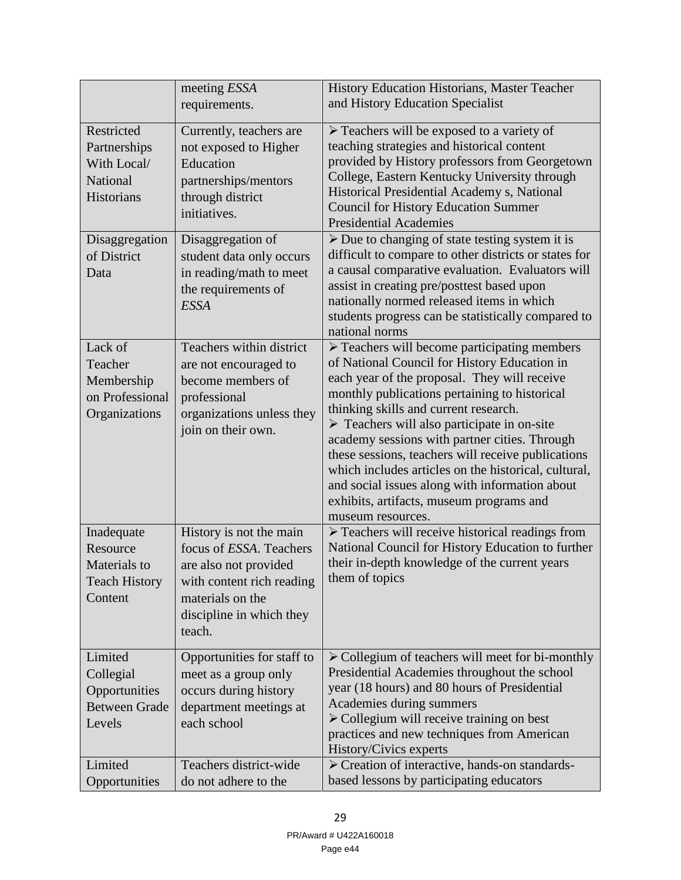|                                                                           | meeting ESSA                                                                                                                                                       | History Education Historians, Master Teacher                                                                                                                                                                                                                                                                                                                                                                                                                                                                                                                                                          |
|---------------------------------------------------------------------------|--------------------------------------------------------------------------------------------------------------------------------------------------------------------|-------------------------------------------------------------------------------------------------------------------------------------------------------------------------------------------------------------------------------------------------------------------------------------------------------------------------------------------------------------------------------------------------------------------------------------------------------------------------------------------------------------------------------------------------------------------------------------------------------|
|                                                                           | requirements.                                                                                                                                                      | and History Education Specialist                                                                                                                                                                                                                                                                                                                                                                                                                                                                                                                                                                      |
| Restricted<br>Partnerships<br>With Local/<br>National<br>Historians       | Currently, teachers are<br>not exposed to Higher<br>Education<br>partnerships/mentors<br>through district<br>initiatives.                                          | $\triangleright$ Teachers will be exposed to a variety of<br>teaching strategies and historical content<br>provided by History professors from Georgetown<br>College, Eastern Kentucky University through<br>Historical Presidential Academy s, National<br><b>Council for History Education Summer</b><br><b>Presidential Academies</b>                                                                                                                                                                                                                                                              |
| Disaggregation<br>of District<br>Data                                     | Disaggregation of<br>student data only occurs<br>in reading/math to meet<br>the requirements of<br><b>ESSA</b>                                                     | $\triangleright$ Due to changing of state testing system it is<br>difficult to compare to other districts or states for<br>a causal comparative evaluation. Evaluators will<br>assist in creating pre/posttest based upon<br>nationally normed released items in which<br>students progress can be statistically compared to<br>national norms                                                                                                                                                                                                                                                        |
| Lack of<br>Teacher<br>Membership<br>on Professional<br>Organizations      | Teachers within district<br>are not encouraged to<br>become members of<br>professional<br>organizations unless they<br>join on their own.                          | $\triangleright$ Teachers will become participating members<br>of National Council for History Education in<br>each year of the proposal. They will receive<br>monthly publications pertaining to historical<br>thinking skills and current research.<br>$\triangleright$ Teachers will also participate in on-site<br>academy sessions with partner cities. Through<br>these sessions, teachers will receive publications<br>which includes articles on the historical, cultural,<br>and social issues along with information about<br>exhibits, artifacts, museum programs and<br>museum resources. |
| Inadequate<br>Resource<br>Materials to<br><b>Teach History</b><br>Content | History is not the main<br>focus of ESSA. Teachers<br>are also not provided<br>with content rich reading<br>materials on the<br>discipline in which they<br>teach. | $\triangleright$ Teachers will receive historical readings from<br>National Council for History Education to further<br>their in-depth knowledge of the current years<br>them of topics                                                                                                                                                                                                                                                                                                                                                                                                               |
| Limited<br>Collegial<br>Opportunities<br><b>Between Grade</b><br>Levels   | Opportunities for staff to<br>meet as a group only<br>occurs during history<br>department meetings at<br>each school                                               | > Collegium of teachers will meet for bi-monthly<br>Presidential Academies throughout the school<br>year (18 hours) and 80 hours of Presidential<br>Academies during summers<br>$\triangleright$ Collegium will receive training on best<br>practices and new techniques from American<br>History/Civics experts                                                                                                                                                                                                                                                                                      |
| Limited<br>Opportunities                                                  | Teachers district-wide<br>do not adhere to the                                                                                                                     | $\triangleright$ Creation of interactive, hands-on standards-<br>based lessons by participating educators                                                                                                                                                                                                                                                                                                                                                                                                                                                                                             |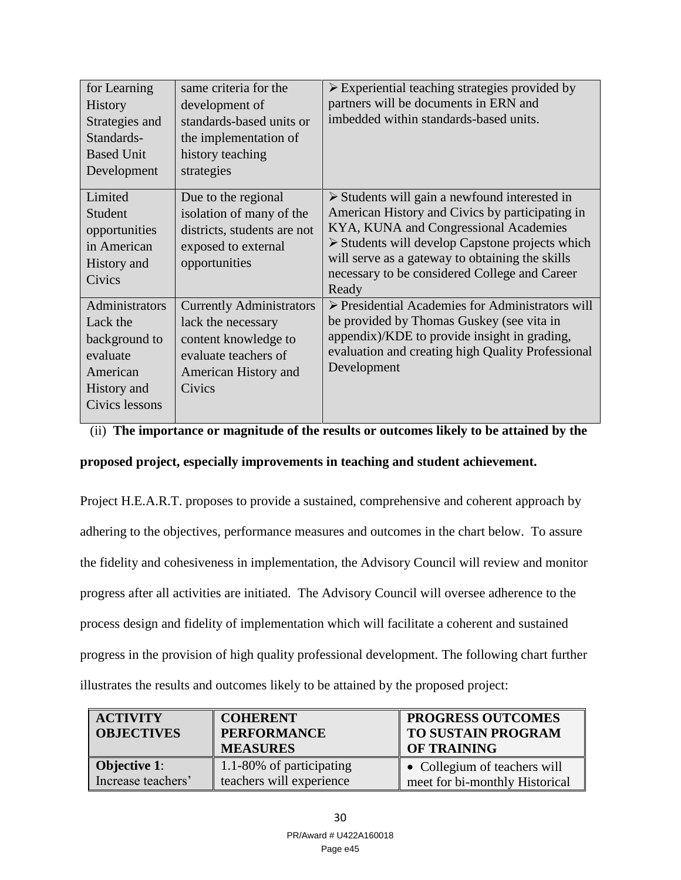| for Learning<br><b>History</b><br>Strategies and<br>Standards-<br><b>Based Unit</b><br>Development   | same criteria for the<br>development of<br>standards-based units or<br>the implementation of<br>history teaching<br>strategies          | $\triangleright$ Experiential teaching strategies provided by<br>partners will be documents in ERN and<br>imbedded within standards-based units.                                                                                                                                                                                        |
|------------------------------------------------------------------------------------------------------|-----------------------------------------------------------------------------------------------------------------------------------------|-----------------------------------------------------------------------------------------------------------------------------------------------------------------------------------------------------------------------------------------------------------------------------------------------------------------------------------------|
| Limited<br>Student<br>opportunities<br>in American<br>History and<br>Civics                          | Due to the regional<br>isolation of many of the<br>districts, students are not<br>exposed to external<br>opportunities                  | $\triangleright$ Students will gain a newfound interested in<br>American History and Civics by participating in<br>KYA, KUNA and Congressional Academies<br>$\triangleright$ Students will develop Capstone projects which<br>will serve as a gateway to obtaining the skills<br>necessary to be considered College and Career<br>Ready |
| Administrators<br>Lack the<br>background to<br>evaluate<br>American<br>History and<br>Civics lessons | <b>Currently Administrators</b><br>lack the necessary<br>content knowledge to<br>evaluate teachers of<br>American History and<br>Civics | $\triangleright$ Presidential Academies for Administrators will<br>be provided by Thomas Guskey (see vita in<br>appendix)/KDE to provide insight in grading,<br>evaluation and creating high Quality Professional<br>Development                                                                                                        |

## (ii) **The importance or magnitude of the results or outcomes likely to be attained by the**

## **proposed project, especially improvements in teaching and student achievement.**

Project H.E.A.R.T. proposes to provide a sustained, comprehensive and coherent approach by adhering to the objectives, performance measures and outcomes in the chart below. To assure the fidelity and cohesiveness in implementation, the Advisory Council will review and monitor progress after all activities are initiated. The Advisory Council will oversee adherence to the process design and fidelity of implementation which will facilitate a coherent and sustained progress in the provision of high quality professional development. The following chart further illustrates the results and outcomes likely to be attained by the proposed project:

| <b>ACTIVITY</b><br><b>OBJECTIVES</b> | <b>COHERENT</b><br><b>PERFORMANCE</b><br><b>MEASURES</b> | <b>PROGRESS OUTCOMES</b><br><b>TO SUSTAIN PROGRAM</b><br><b>OF TRAINING</b> |
|--------------------------------------|----------------------------------------------------------|-----------------------------------------------------------------------------|
| <b>Objective 1:</b>                  | 1.1-80% of participating                                 | $\bullet$ Collegium of teachers will                                        |
| Increase teachers'                   | teachers will experience                                 | meet for bi-monthly Historical                                              |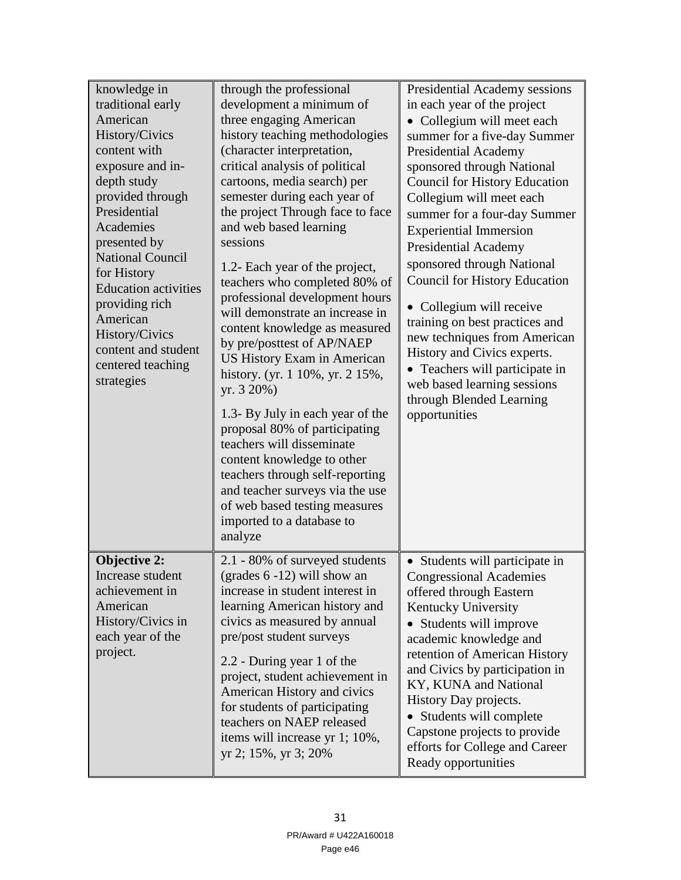| knowledge in                | through the professional           | Presidential Academy sessions        |
|-----------------------------|------------------------------------|--------------------------------------|
| traditional early           | development a minimum of           | in each year of the project          |
| American                    | three engaging American            | • Collegium will meet each           |
| History/Civics              | history teaching methodologies     | summer for a five-day Summer         |
| content with                | (character interpretation,         | <b>Presidential Academy</b>          |
| exposure and in-            | critical analysis of political     | sponsored through National           |
| depth study                 | cartoons, media search) per        | <b>Council for History Education</b> |
| provided through            | semester during each year of       | Collegium will meet each             |
| Presidential                | the project Through face to face   | summer for a four-day Summer         |
| Academies                   | and web based learning             | <b>Experiential Immersion</b>        |
| presented by                | sessions                           | <b>Presidential Academy</b>          |
| <b>National Council</b>     |                                    | sponsored through National           |
| for History                 | 1.2- Each year of the project,     | <b>Council for History Education</b> |
| <b>Education activities</b> | teachers who completed 80% of      |                                      |
| providing rich              | professional development hours     | • Collegium will receive             |
| American                    | will demonstrate an increase in    | training on best practices and       |
| History/Civics              | content knowledge as measured      | new techniques from American         |
| content and student         | by pre/posttest of AP/NAEP         | History and Civics experts.          |
| centered teaching           | <b>US History Exam in American</b> | • Teachers will participate in       |
| strategies                  | history. (yr. 1 10%, yr. 2 15%,    | web based learning sessions          |
|                             | yr. 3 20%)                         | through Blended Learning             |
|                             | 1.3- By July in each year of the   | opportunities                        |
|                             | proposal 80% of participating      |                                      |
|                             | teachers will disseminate          |                                      |
|                             | content knowledge to other         |                                      |
|                             | teachers through self-reporting    |                                      |
|                             | and teacher surveys via the use    |                                      |
|                             | of web based testing measures      |                                      |
|                             | imported to a database to          |                                      |
|                             | analyze                            |                                      |
|                             |                                    |                                      |
| <b>Objective 2:</b>         | 2.1 - 80% of surveyed students     | • Students will participate in       |
| Increase student            | (grades $6 - 12$ ) will show an    | <b>Congressional Academies</b>       |
| achievement in              | increase in student interest in    | offered through Eastern              |
| American                    | learning American history and      | Kentucky University                  |
| History/Civics in           | civics as measured by annual       | • Students will improve              |
| each year of the            | pre/post student surveys           | academic knowledge and               |
| project.                    | 2.2 - During year 1 of the         | retention of American History        |
|                             | project, student achievement in    | and Civics by participation in       |
|                             | American History and civics        | KY, KUNA and National                |
|                             | for students of participating      | History Day projects.                |
|                             | teachers on NAEP released          | • Students will complete             |
|                             | items will increase yr 1; 10%,     | Capstone projects to provide         |
|                             | yr 2; 15%, yr 3; 20%               | efforts for College and Career       |
|                             |                                    | Ready opportunities                  |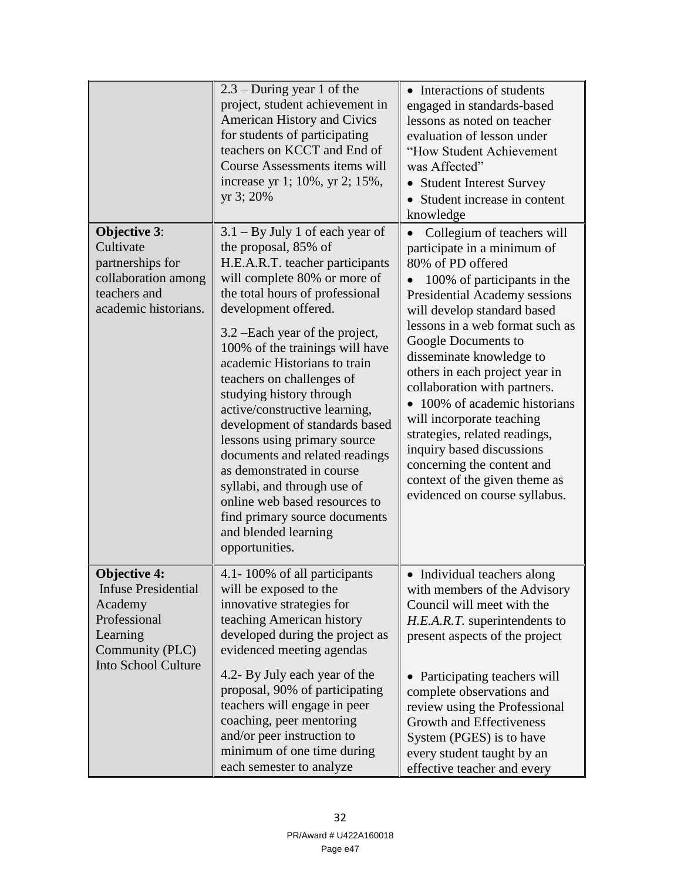|                                                                                                                                    | $2.3$ – During year 1 of the<br>project, student achievement in<br><b>American History and Civics</b><br>for students of participating<br>teachers on KCCT and End of<br>Course Assessments items will<br>increase yr 1; 10%, yr 2; 15%,<br>yr 3; 20%                                                                                                                                                                                                                                                                                                                                                                                                               | • Interactions of students<br>engaged in standards-based<br>lessons as noted on teacher<br>evaluation of lesson under<br>"How Student Achievement<br>was Affected"<br>• Student Interest Survey<br>Student increase in content<br>knowledge                                                                                                                                                                                                                                                                                                                                  |
|------------------------------------------------------------------------------------------------------------------------------------|---------------------------------------------------------------------------------------------------------------------------------------------------------------------------------------------------------------------------------------------------------------------------------------------------------------------------------------------------------------------------------------------------------------------------------------------------------------------------------------------------------------------------------------------------------------------------------------------------------------------------------------------------------------------|------------------------------------------------------------------------------------------------------------------------------------------------------------------------------------------------------------------------------------------------------------------------------------------------------------------------------------------------------------------------------------------------------------------------------------------------------------------------------------------------------------------------------------------------------------------------------|
| <b>Objective 3:</b><br>Cultivate<br>partnerships for<br>collaboration among<br>teachers and<br>academic historians.                | $3.1 - By July 1 of each year of$<br>the proposal, 85% of<br>H.E.A.R.T. teacher participants<br>will complete 80% or more of<br>the total hours of professional<br>development offered.<br>3.2 – Each year of the project,<br>100% of the trainings will have<br>academic Historians to train<br>teachers on challenges of<br>studying history through<br>active/constructive learning,<br>development of standards based<br>lessons using primary source<br>documents and related readings<br>as demonstrated in course<br>syllabi, and through use of<br>online web based resources to<br>find primary source documents<br>and blended learning<br>opportunities. | Collegium of teachers will<br>participate in a minimum of<br>80% of PD offered<br>100% of participants in the<br>Presidential Academy sessions<br>will develop standard based<br>lessons in a web format such as<br>Google Documents to<br>disseminate knowledge to<br>others in each project year in<br>collaboration with partners.<br>100% of academic historians<br>$\bullet$<br>will incorporate teaching<br>strategies, related readings,<br>inquiry based discussions<br>concerning the content and<br>context of the given theme as<br>evidenced on course syllabus. |
| <b>Objective 4:</b><br><b>Infuse Presidential</b><br>Academy<br>Professional<br>Learning<br>Community (PLC)<br>Into School Culture | 4.1-100% of all participants<br>will be exposed to the<br>innovative strategies for<br>teaching American history<br>developed during the project as<br>evidenced meeting agendas<br>4.2- By July each year of the<br>proposal, 90% of participating<br>teachers will engage in peer<br>coaching, peer mentoring<br>and/or peer instruction to<br>minimum of one time during<br>each semester to analyze                                                                                                                                                                                                                                                             | Individual teachers along<br>with members of the Advisory<br>Council will meet with the<br>H.E.A.R.T. superintendents to<br>present aspects of the project<br>Participating teachers will<br>$\bullet$<br>complete observations and<br>review using the Professional<br><b>Growth and Effectiveness</b><br>System (PGES) is to have<br>every student taught by an<br>effective teacher and every                                                                                                                                                                             |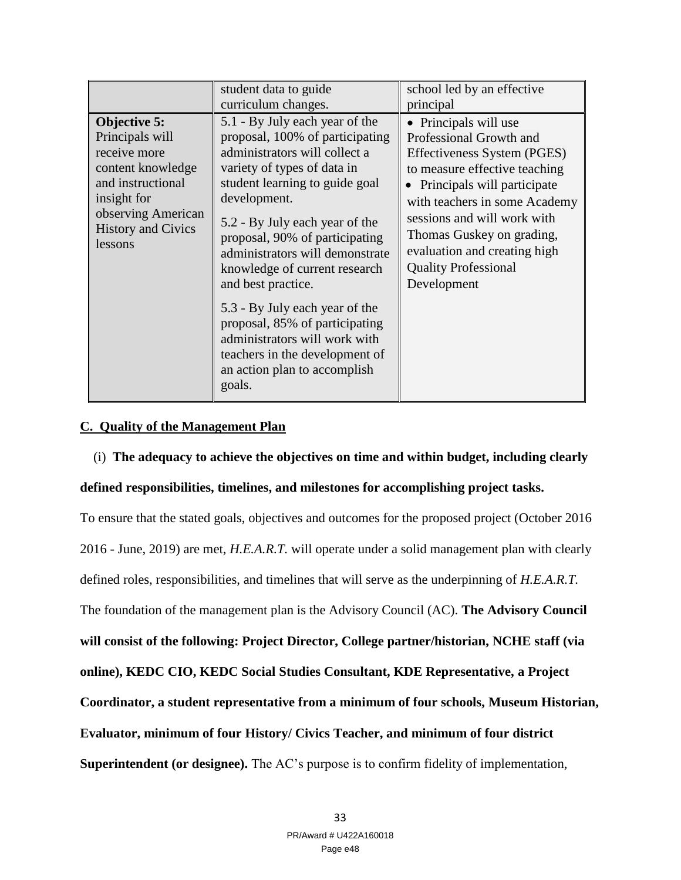|                                                                                                                                                                        | student data to guide<br>curriculum changes.                                                                                                                                                                                                                                                                                                      | school led by an effective<br>principal                                                                                                                                                                                                                                                                                      |
|------------------------------------------------------------------------------------------------------------------------------------------------------------------------|---------------------------------------------------------------------------------------------------------------------------------------------------------------------------------------------------------------------------------------------------------------------------------------------------------------------------------------------------|------------------------------------------------------------------------------------------------------------------------------------------------------------------------------------------------------------------------------------------------------------------------------------------------------------------------------|
| Objective 5:<br>Principals will<br>receive more<br>content knowledge<br>and instructional<br>insight for<br>observing American<br><b>History and Civics</b><br>lessons | 5.1 - By July each year of the<br>proposal, 100% of participating<br>administrators will collect a<br>variety of types of data in<br>student learning to guide goal<br>development.<br>5.2 - By July each year of the<br>proposal, 90% of participating<br>administrators will demonstrate<br>knowledge of current research<br>and best practice. | • Principals will use<br>Professional Growth and<br>Effectiveness System (PGES)<br>to measure effective teaching<br>• Principals will participate<br>with teachers in some Academy<br>sessions and will work with<br>Thomas Guskey on grading,<br>evaluation and creating high<br><b>Quality Professional</b><br>Development |
|                                                                                                                                                                        | 5.3 - By July each year of the<br>proposal, 85% of participating<br>administrators will work with<br>teachers in the development of<br>an action plan to accomplish<br>goals.                                                                                                                                                                     |                                                                                                                                                                                                                                                                                                                              |

## **C. Quality of the Management Plan**

(i) **The adequacy to achieve the objectives on time and within budget, including clearly** 

## **defined responsibilities, timelines, and milestones for accomplishing project tasks.**

To ensure that the stated goals, objectives and outcomes for the proposed project (October 2016 2016 - June, 2019) are met, *H.E.A.R.T.* will operate under a solid management plan with clearly defined roles, responsibilities, and timelines that will serve as the underpinning of *H.E.A.R.T.* The foundation of the management plan is the Advisory Council (AC). **The Advisory Council will consist of the following: Project Director, College partner/historian, NCHE staff (via online), KEDC CIO, KEDC Social Studies Consultant, KDE Representative, a Project Coordinator, a student representative from a minimum of four schools, Museum Historian, Evaluator, minimum of four History/ Civics Teacher, and minimum of four district Superintendent (or designee).** The AC's purpose is to confirm fidelity of implementation,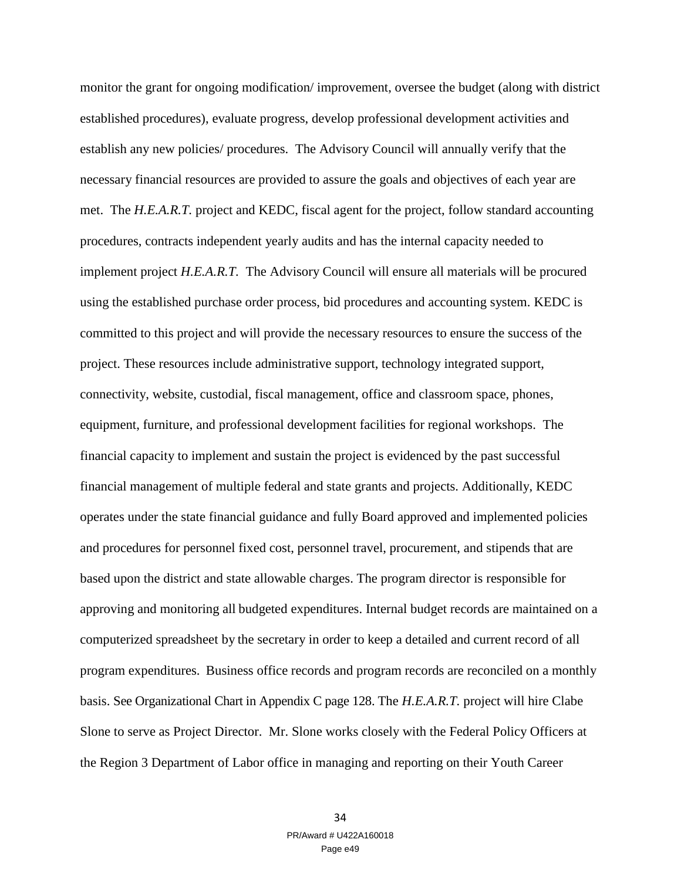monitor the grant for ongoing modification/ improvement, oversee the budget (along with district established procedures), evaluate progress, develop professional development activities and establish any new policies/ procedures. The Advisory Council will annually verify that the necessary financial resources are provided to assure the goals and objectives of each year are met. The *H.E.A.R.T.* project and KEDC, fiscal agent for the project, follow standard accounting procedures, contracts independent yearly audits and has the internal capacity needed to implement project *H.E.A.R.T.* The Advisory Council will ensure all materials will be procured using the established purchase order process, bid procedures and accounting system. KEDC is committed to this project and will provide the necessary resources to ensure the success of the project. These resources include administrative support, technology integrated support, connectivity, website, custodial, fiscal management, office and classroom space, phones, equipment, furniture, and professional development facilities for regional workshops. The financial capacity to implement and sustain the project is evidenced by the past successful financial management of multiple federal and state grants and projects. Additionally, KEDC operates under the state financial guidance and fully Board approved and implemented policies and procedures for personnel fixed cost, personnel travel, procurement, and stipends that are based upon the district and state allowable charges. The program director is responsible for approving and monitoring all budgeted expenditures. Internal budget records are maintained on a computerized spreadsheet by the secretary in order to keep a detailed and current record of all program expenditures. Business office records and program records are reconciled on a monthly basis. See Organizational Chart in Appendix C page 128. The *H.E.A.R.T.* project will hire Clabe Slone to serve as Project Director. Mr. Slone works closely with the Federal Policy Officers at the Region 3 Department of Labor office in managing and reporting on their Youth Career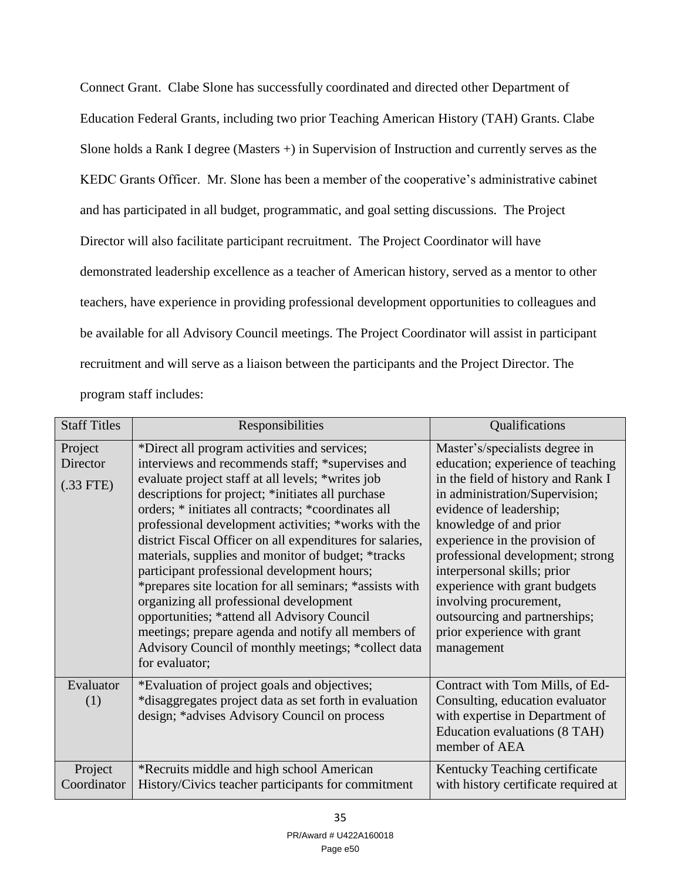Connect Grant. Clabe Slone has successfully coordinated and directed other Department of Education Federal Grants, including two prior Teaching American History (TAH) Grants. Clabe Slone holds a Rank I degree (Masters +) in Supervision of Instruction and currently serves as the KEDC Grants Officer. Mr. Slone has been a member of the cooperative's administrative cabinet and has participated in all budget, programmatic, and goal setting discussions. The Project Director will also facilitate participant recruitment. The Project Coordinator will have demonstrated leadership excellence as a teacher of American history, served as a mentor to other teachers, have experience in providing professional development opportunities to colleagues and be available for all Advisory Council meetings. The Project Coordinator will assist in participant recruitment and will serve as a liaison between the participants and the Project Director. The program staff includes:

| <b>Staff Titles</b>                | Responsibilities                                                                                                                                                                                                                                                                                                                                                                                                                                                                                                                                                                                                                                                                                                                                                                | Qualifications                                                                                                                                                                                                                                                                                                                                                                                                                                 |
|------------------------------------|---------------------------------------------------------------------------------------------------------------------------------------------------------------------------------------------------------------------------------------------------------------------------------------------------------------------------------------------------------------------------------------------------------------------------------------------------------------------------------------------------------------------------------------------------------------------------------------------------------------------------------------------------------------------------------------------------------------------------------------------------------------------------------|------------------------------------------------------------------------------------------------------------------------------------------------------------------------------------------------------------------------------------------------------------------------------------------------------------------------------------------------------------------------------------------------------------------------------------------------|
| Project<br>Director<br>$(.33$ FTE) | *Direct all program activities and services;<br>interviews and recommends staff; *supervises and<br>evaluate project staff at all levels; *writes job<br>descriptions for project; *initiates all purchase<br>orders; * initiates all contracts; *coordinates all<br>professional development activities; *works with the<br>district Fiscal Officer on all expenditures for salaries,<br>materials, supplies and monitor of budget; *tracks<br>participant professional development hours;<br>*prepares site location for all seminars; *assists with<br>organizing all professional development<br>opportunities; *attend all Advisory Council<br>meetings; prepare agenda and notify all members of<br>Advisory Council of monthly meetings; *collect data<br>for evaluator; | Master's/specialists degree in<br>education; experience of teaching<br>in the field of history and Rank I<br>in administration/Supervision;<br>evidence of leadership;<br>knowledge of and prior<br>experience in the provision of<br>professional development; strong<br>interpersonal skills; prior<br>experience with grant budgets<br>involving procurement,<br>outsourcing and partnerships;<br>prior experience with grant<br>management |
| Evaluator<br>(1)                   | *Evaluation of project goals and objectives;<br>*disaggregates project data as set forth in evaluation<br>design; *advises Advisory Council on process                                                                                                                                                                                                                                                                                                                                                                                                                                                                                                                                                                                                                          | Contract with Tom Mills, of Ed-<br>Consulting, education evaluator<br>with expertise in Department of<br>Education evaluations (8 TAH)<br>member of AEA                                                                                                                                                                                                                                                                                        |
| Project<br>Coordinator             | *Recruits middle and high school American<br>History/Civics teacher participants for commitment                                                                                                                                                                                                                                                                                                                                                                                                                                                                                                                                                                                                                                                                                 | Kentucky Teaching certificate<br>with history certificate required at                                                                                                                                                                                                                                                                                                                                                                          |

35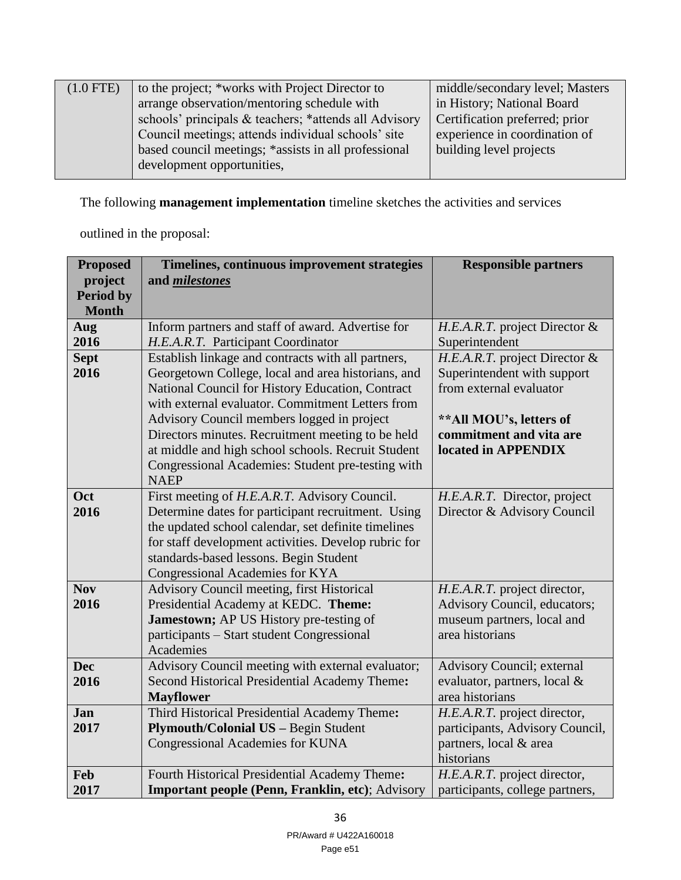| $(1.0$ FTE) | to the project; *works with Project Director to       | middle/secondary level; Masters |
|-------------|-------------------------------------------------------|---------------------------------|
|             | arrange observation/mentoring schedule with           | in History; National Board      |
|             | schools' principals & teachers; *attends all Advisory | Certification preferred; prior  |
|             | Council meetings; attends individual schools' site    | experience in coordination of   |
|             | based council meetings; *assists in all professional  | building level projects         |
|             | development opportunities,                            |                                 |
|             |                                                       |                                 |

The following **management implementation** timeline sketches the activities and services

outlined in the proposal:

| <b>Proposed</b>                                     | Timelines, continuous improvement strategies                                            | <b>Responsible partners</b>                     |
|-----------------------------------------------------|-----------------------------------------------------------------------------------------|-------------------------------------------------|
| project                                             | and <i>milestones</i>                                                                   |                                                 |
| <b>Period by</b>                                    |                                                                                         |                                                 |
| <b>Month</b>                                        |                                                                                         |                                                 |
| Aug<br>2016                                         | Inform partners and staff of award. Advertise for<br>H.E.A.R.T. Participant Coordinator | H.E.A.R.T. project Director &<br>Superintendent |
| <b>Sept</b>                                         | Establish linkage and contracts with all partners,                                      | H.E.A.R.T. project Director &                   |
| 2016                                                | Georgetown College, local and area historians, and                                      | Superintendent with support                     |
|                                                     | National Council for History Education, Contract                                        | from external evaluator                         |
|                                                     | with external evaluator. Commitment Letters from                                        |                                                 |
|                                                     | Advisory Council members logged in project                                              | ** All MOU's, letters of                        |
|                                                     | Directors minutes. Recruitment meeting to be held                                       | commitment and vita are                         |
|                                                     | at middle and high school schools. Recruit Student                                      | located in APPENDIX                             |
|                                                     | Congressional Academies: Student pre-testing with                                       |                                                 |
|                                                     | <b>NAEP</b>                                                                             |                                                 |
| Oct                                                 | First meeting of H.E.A.R.T. Advisory Council.                                           | H.E.A.R.T. Director, project                    |
| 2016                                                | Determine dates for participant recruitment. Using                                      | Director & Advisory Council                     |
|                                                     | the updated school calendar, set definite timelines                                     |                                                 |
|                                                     | for staff development activities. Develop rubric for                                    |                                                 |
|                                                     | standards-based lessons. Begin Student                                                  |                                                 |
| <b>Nov</b>                                          | Congressional Academies for KYA<br>Advisory Council meeting, first Historical           | H.E.A.R.T. project director,                    |
| 2016                                                | Presidential Academy at KEDC. Theme:                                                    | Advisory Council, educators;                    |
|                                                     | Jamestown; AP US History pre-testing of                                                 | museum partners, local and                      |
|                                                     | participants - Start student Congressional                                              | area historians                                 |
|                                                     | Academies                                                                               |                                                 |
| <b>Dec</b>                                          | Advisory Council meeting with external evaluator;                                       | <b>Advisory Council; external</b>               |
| 2016                                                | Second Historical Presidential Academy Theme:                                           | evaluator, partners, local &                    |
|                                                     | <b>Mayflower</b>                                                                        | area historians                                 |
| Jan                                                 | Third Historical Presidential Academy Theme:                                            | H.E.A.R.T. project director,                    |
| 2017<br><b>Plymouth/Colonial US - Begin Student</b> |                                                                                         | participants, Advisory Council,                 |
|                                                     | Congressional Academies for KUNA                                                        | partners, local & area                          |
|                                                     |                                                                                         | historians                                      |
| Feb                                                 | Fourth Historical Presidential Academy Theme:                                           | H.E.A.R.T. project director,                    |
| 2017                                                | Important people (Penn, Franklin, etc); Advisory                                        | participants, college partners,                 |

36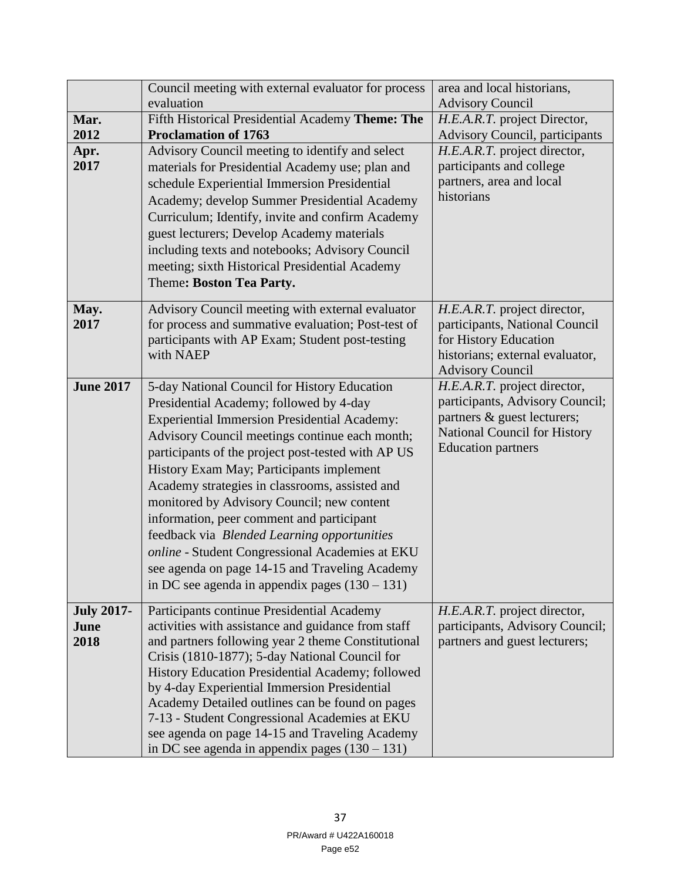|                                   | Council meeting with external evaluator for process                                                                                                                                                                                                                                                                                                                                                                                                                                                                                                                                                                                                     | area and local historians,                                                                                                                                  |
|-----------------------------------|---------------------------------------------------------------------------------------------------------------------------------------------------------------------------------------------------------------------------------------------------------------------------------------------------------------------------------------------------------------------------------------------------------------------------------------------------------------------------------------------------------------------------------------------------------------------------------------------------------------------------------------------------------|-------------------------------------------------------------------------------------------------------------------------------------------------------------|
|                                   | evaluation                                                                                                                                                                                                                                                                                                                                                                                                                                                                                                                                                                                                                                              | <b>Advisory Council</b>                                                                                                                                     |
| Mar.                              | Fifth Historical Presidential Academy Theme: The                                                                                                                                                                                                                                                                                                                                                                                                                                                                                                                                                                                                        | H.E.A.R.T. project Director,                                                                                                                                |
| 2012                              | <b>Proclamation of 1763</b>                                                                                                                                                                                                                                                                                                                                                                                                                                                                                                                                                                                                                             | Advisory Council, participants                                                                                                                              |
| Apr.<br>2017                      | Advisory Council meeting to identify and select<br>materials for Presidential Academy use; plan and<br>schedule Experiential Immersion Presidential<br>Academy; develop Summer Presidential Academy<br>Curriculum; Identify, invite and confirm Academy<br>guest lecturers; Develop Academy materials<br>including texts and notebooks; Advisory Council<br>meeting; sixth Historical Presidential Academy<br>Theme: Boston Tea Party.                                                                                                                                                                                                                  | H.E.A.R.T. project director,<br>participants and college<br>partners, area and local<br>historians                                                          |
| May.<br>2017                      | Advisory Council meeting with external evaluator<br>for process and summative evaluation; Post-test of<br>participants with AP Exam; Student post-testing<br>with NAEP                                                                                                                                                                                                                                                                                                                                                                                                                                                                                  | H.E.A.R.T. project director,<br>participants, National Council<br>for History Education<br>historians; external evaluator,<br><b>Advisory Council</b>       |
| <b>June 2017</b>                  | 5-day National Council for History Education<br>Presidential Academy; followed by 4-day<br><b>Experiential Immersion Presidential Academy:</b><br>Advisory Council meetings continue each month;<br>participants of the project post-tested with AP US<br>History Exam May; Participants implement<br>Academy strategies in classrooms, assisted and<br>monitored by Advisory Council; new content<br>information, peer comment and participant<br>feedback via Blended Learning opportunities<br>online - Student Congressional Academies at EKU<br>see agenda on page 14-15 and Traveling Academy<br>in DC see agenda in appendix pages $(130 – 131)$ | H.E.A.R.T. project director,<br>participants, Advisory Council;<br>partners & guest lecturers;<br>National Council for History<br><b>Education partners</b> |
| <b>July 2017-</b><br>June<br>2018 | Participants continue Presidential Academy<br>activities with assistance and guidance from staff<br>and partners following year 2 theme Constitutional<br>Crisis (1810-1877); 5-day National Council for<br>History Education Presidential Academy; followed<br>by 4-day Experiential Immersion Presidential<br>Academy Detailed outlines can be found on pages<br>7-13 - Student Congressional Academies at EKU<br>see agenda on page 14-15 and Traveling Academy<br>in DC see agenda in appendix pages $(130 – 131)$                                                                                                                                  | H.E.A.R.T. project director,<br>participants, Advisory Council;<br>partners and guest lecturers;                                                            |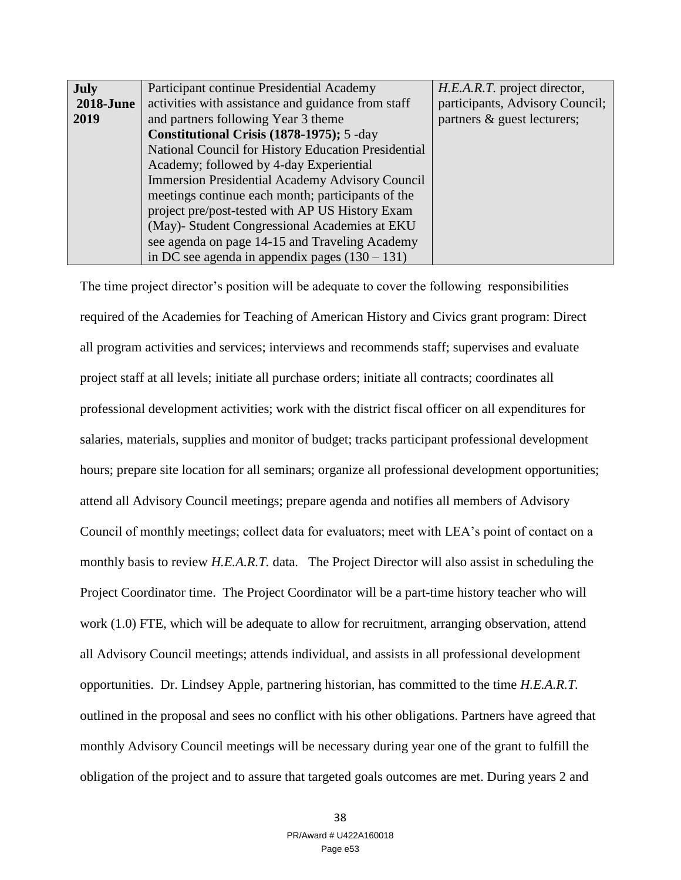| July             | Participant continue Presidential Academy              | H.E.A.R.T. project director,    |
|------------------|--------------------------------------------------------|---------------------------------|
| <b>2018-June</b> | activities with assistance and guidance from staff     | participants, Advisory Council; |
| 2019             | and partners following Year 3 theme                    | partners & guest lecturers;     |
|                  | Constitutional Crisis (1878-1975); 5 -day              |                                 |
|                  | National Council for History Education Presidential    |                                 |
|                  | Academy; followed by 4-day Experiential                |                                 |
|                  | <b>Immersion Presidential Academy Advisory Council</b> |                                 |
|                  | meetings continue each month; participants of the      |                                 |
|                  | project pre/post-tested with AP US History Exam        |                                 |
|                  | (May)- Student Congressional Academies at EKU          |                                 |
|                  | see agenda on page 14-15 and Traveling Academy         |                                 |
|                  | in DC see agenda in appendix pages $(130 - 131)$       |                                 |

The time project director's position will be adequate to cover the following responsibilities required of the Academies for Teaching of American History and Civics grant program: Direct all program activities and services; interviews and recommends staff; supervises and evaluate project staff at all levels; initiate all purchase orders; initiate all contracts; coordinates all professional development activities; work with the district fiscal officer on all expenditures for salaries, materials, supplies and monitor of budget; tracks participant professional development hours; prepare site location for all seminars; organize all professional development opportunities; attend all Advisory Council meetings; prepare agenda and notifies all members of Advisory Council of monthly meetings; collect data for evaluators; meet with LEA's point of contact on a monthly basis to review *H.E.A.R.T.* data. The Project Director will also assist in scheduling the Project Coordinator time. The Project Coordinator will be a part-time history teacher who will work (1.0) FTE, which will be adequate to allow for recruitment, arranging observation, attend all Advisory Council meetings; attends individual, and assists in all professional development opportunities. Dr. Lindsey Apple, partnering historian, has committed to the time *H.E.A.R.T.*  outlined in the proposal and sees no conflict with his other obligations. Partners have agreed that monthly Advisory Council meetings will be necessary during year one of the grant to fulfill the obligation of the project and to assure that targeted goals outcomes are met. During years 2 and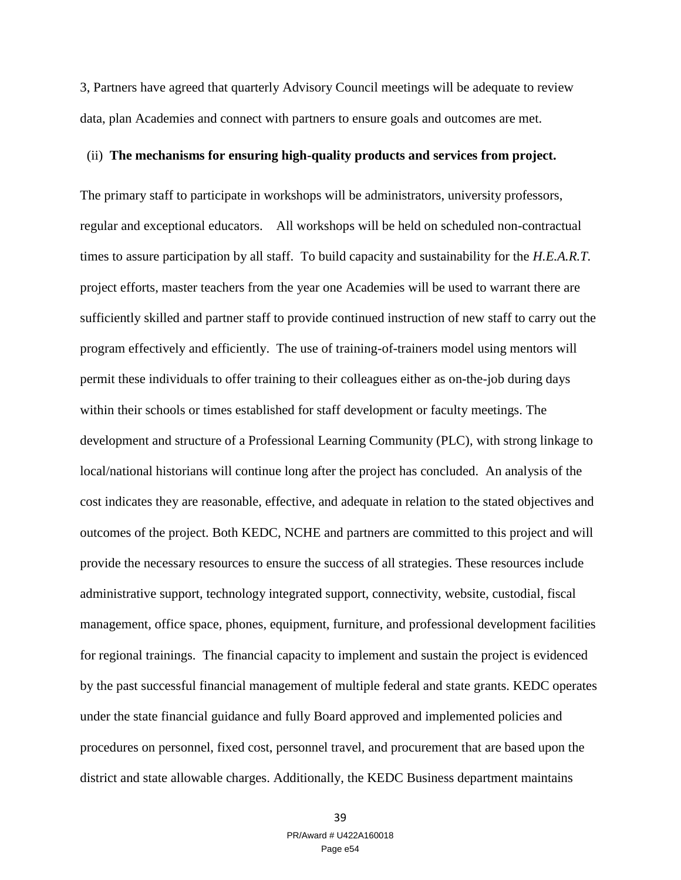3, Partners have agreed that quarterly Advisory Council meetings will be adequate to review data, plan Academies and connect with partners to ensure goals and outcomes are met.

## (ii) **The mechanisms for ensuring high-quality products and services from project.**

The primary staff to participate in workshops will be administrators, university professors, regular and exceptional educators. All workshops will be held on scheduled non-contractual times to assure participation by all staff. To build capacity and sustainability for the *H.E.A.R.T.* project efforts, master teachers from the year one Academies will be used to warrant there are sufficiently skilled and partner staff to provide continued instruction of new staff to carry out the program effectively and efficiently. The use of training-of-trainers model using mentors will permit these individuals to offer training to their colleagues either as on-the-job during days within their schools or times established for staff development or faculty meetings. The development and structure of a Professional Learning Community (PLC), with strong linkage to local/national historians will continue long after the project has concluded. An analysis of the cost indicates they are reasonable, effective, and adequate in relation to the stated objectives and outcomes of the project. Both KEDC, NCHE and partners are committed to this project and will provide the necessary resources to ensure the success of all strategies. These resources include administrative support, technology integrated support, connectivity, website, custodial, fiscal management, office space, phones, equipment, furniture, and professional development facilities for regional trainings. The financial capacity to implement and sustain the project is evidenced by the past successful financial management of multiple federal and state grants. KEDC operates under the state financial guidance and fully Board approved and implemented policies and procedures on personnel, fixed cost, personnel travel, and procurement that are based upon the district and state allowable charges. Additionally, the KEDC Business department maintains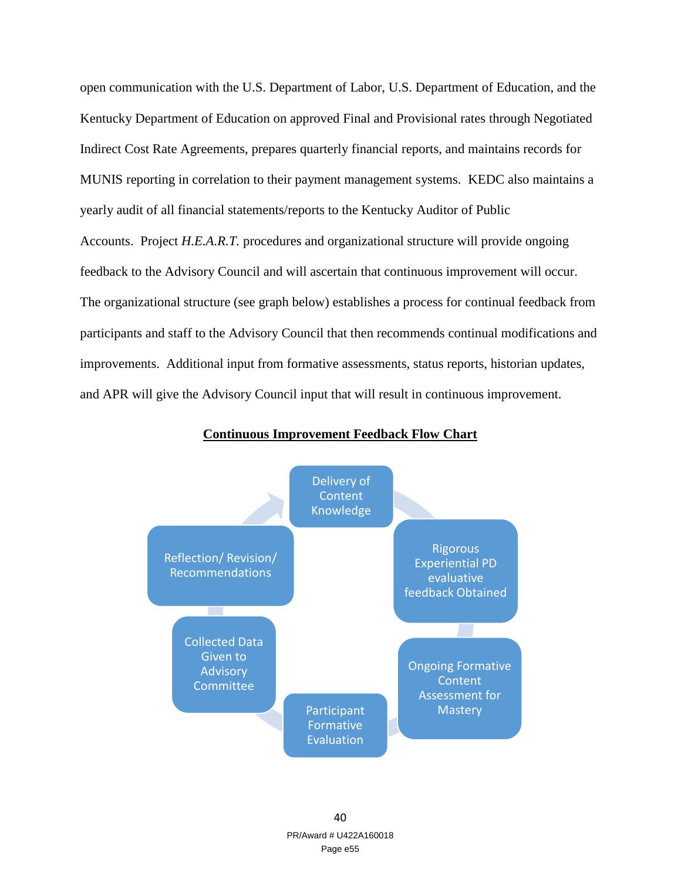open communication with the U.S. Department of Labor, U.S. Department of Education, and the Kentucky Department of Education on approved Final and Provisional rates through Negotiated Indirect Cost Rate Agreements, prepares quarterly financial reports, and maintains records for MUNIS reporting in correlation to their payment management systems. KEDC also maintains a yearly audit of all financial statements/reports to the Kentucky Auditor of Public Accounts. Project *H.E.A.R.T.* procedures and organizational structure will provide ongoing feedback to the Advisory Council and will ascertain that continuous improvement will occur. The organizational structure (see graph below) establishes a process for continual feedback from participants and staff to the Advisory Council that then recommends continual modifications and improvements. Additional input from formative assessments, status reports, historian updates, and APR will give the Advisory Council input that will result in continuous improvement.



## **Continuous Improvement Feedback Flow Chart**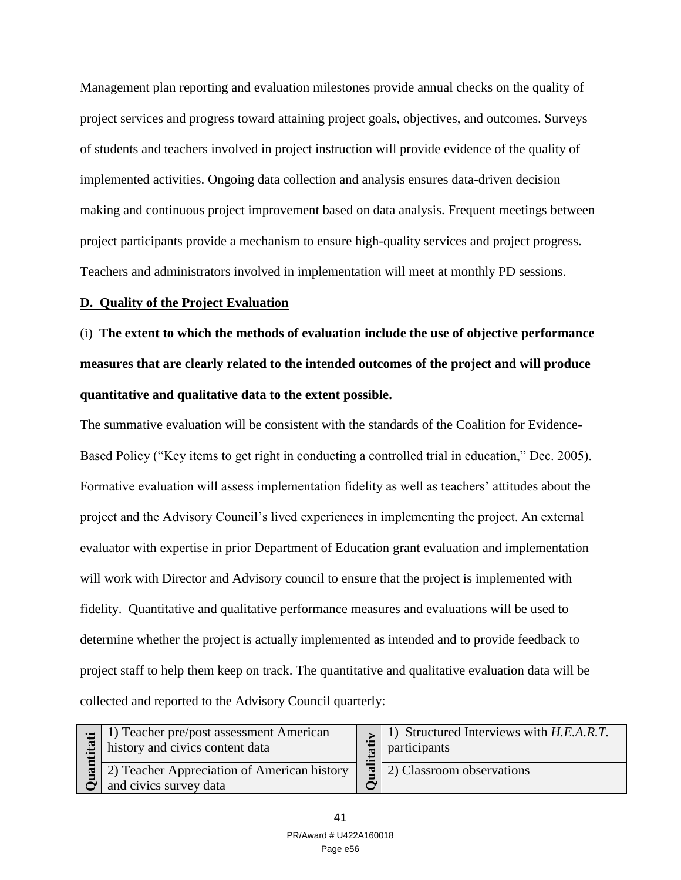Management plan reporting and evaluation milestones provide annual checks on the quality of project services and progress toward attaining project goals, objectives, and outcomes. Surveys of students and teachers involved in project instruction will provide evidence of the quality of implemented activities. Ongoing data collection and analysis ensures data-driven decision making and continuous project improvement based on data analysis. Frequent meetings between project participants provide a mechanism to ensure high-quality services and project progress. Teachers and administrators involved in implementation will meet at monthly PD sessions.

## **D. Quality of the Project Evaluation**

(i) **The extent to which the methods of evaluation include the use of objective performance measures that are clearly related to the intended outcomes of the project and will produce quantitative and qualitative data to the extent possible.** 

The summative evaluation will be consistent with the standards of the Coalition for Evidence-Based Policy ("Key items to get right in conducting a controlled trial in education," Dec. 2005). Formative evaluation will assess implementation fidelity as well as teachers' attitudes about the project and the Advisory Council's lived experiences in implementing the project. An external evaluator with expertise in prior Department of Education grant evaluation and implementation will work with Director and Advisory council to ensure that the project is implemented with fidelity. Quantitative and qualitative performance measures and evaluations will be used to determine whether the project is actually implemented as intended and to provide feedback to project staff to help them keep on track. The quantitative and qualitative evaluation data will be collected and reported to the Advisory Council quarterly:

| tita         | $\pm$ 1) Teacher pre/post assessment American<br>history and civics content data |       | $\vert \cdot \vert$ 1) Structured Interviews with H.E.A.R.T.<br>participants |
|--------------|----------------------------------------------------------------------------------|-------|------------------------------------------------------------------------------|
| $\mathbf{E}$ | 2) Teacher Appreciation of American history<br>and civics survey data            | त्न । | 2) Classroom observations                                                    |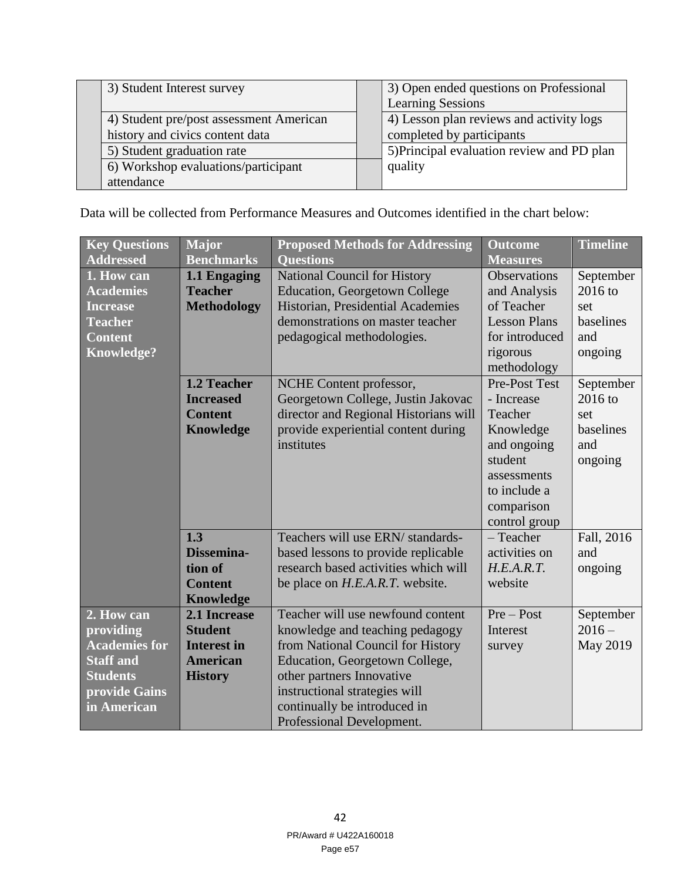|  | 3) Student Interest survey              |                          | 3) Open ended questions on Professional    |
|--|-----------------------------------------|--------------------------|--------------------------------------------|
|  |                                         | <b>Learning Sessions</b> |                                            |
|  | 4) Student pre/post assessment American |                          | 4) Lesson plan reviews and activity logs   |
|  | history and civics content data         |                          | completed by participants                  |
|  | 5) Student graduation rate              |                          | 5) Principal evaluation review and PD plan |
|  | 6) Workshop evaluations/participant     |                          | quality                                    |
|  | attendance                              |                          |                                            |

Data will be collected from Performance Measures and Outcomes identified in the chart below:

| <b>Key Questions</b><br><b>Addressed</b>                                                                               | <b>Major</b><br><b>Benchmarks</b>                                                         | <b>Proposed Methods for Addressing</b><br><b>Questions</b>                                                                                                                                                                                                             | <b>Outcome</b><br><b>Measures</b>                                                                                                           | <b>Timeline</b>                                              |
|------------------------------------------------------------------------------------------------------------------------|-------------------------------------------------------------------------------------------|------------------------------------------------------------------------------------------------------------------------------------------------------------------------------------------------------------------------------------------------------------------------|---------------------------------------------------------------------------------------------------------------------------------------------|--------------------------------------------------------------|
| 1. How can<br><b>Academies</b><br><b>Increase</b><br><b>Teacher</b><br><b>Content</b><br><b>Knowledge?</b>             | 1.1 Engaging<br><b>Teacher</b><br><b>Methodology</b>                                      | <b>National Council for History</b><br><b>Education, Georgetown College</b><br>Historian, Presidential Academies<br>demonstrations on master teacher<br>pedagogical methodologies.                                                                                     | Observations<br>and Analysis<br>of Teacher<br><b>Lesson Plans</b><br>for introduced<br>rigorous<br>methodology                              | September<br>$2016$ to<br>set<br>baselines<br>and<br>ongoing |
|                                                                                                                        | 1.2 Teacher<br><b>Increased</b><br><b>Content</b><br><b>Knowledge</b>                     | NCHE Content professor,<br>Georgetown College, Justin Jakovac<br>director and Regional Historians will<br>provide experiential content during<br>institutes                                                                                                            | Pre-Post Test<br>- Increase<br>Teacher<br>Knowledge<br>and ongoing<br>student<br>assessments<br>to include a<br>comparison<br>control group | September<br>2016 to<br>set<br>baselines<br>and<br>ongoing   |
|                                                                                                                        | 1.3<br>Dissemina-<br>tion of<br><b>Content</b><br><b>Knowledge</b>                        | Teachers will use ERN/ standards-<br>based lessons to provide replicable<br>research based activities which will<br>be place on <i>H.E.A.R.T.</i> website.                                                                                                             | - Teacher<br>activities on<br>H.E.A.R.T.<br>website                                                                                         | Fall, 2016<br>and<br>ongoing                                 |
| 2. How can<br>providing<br><b>Academies for</b><br><b>Staff and</b><br><b>Students</b><br>provide Gains<br>in American | 2.1 Increase<br><b>Student</b><br><b>Interest in</b><br><b>American</b><br><b>History</b> | Teacher will use newfound content<br>knowledge and teaching pedagogy<br>from National Council for History<br>Education, Georgetown College,<br>other partners Innovative<br>instructional strategies will<br>continually be introduced in<br>Professional Development. | $Pre - Post$<br>Interest<br>survey                                                                                                          | September<br>$2016 -$<br>May 2019                            |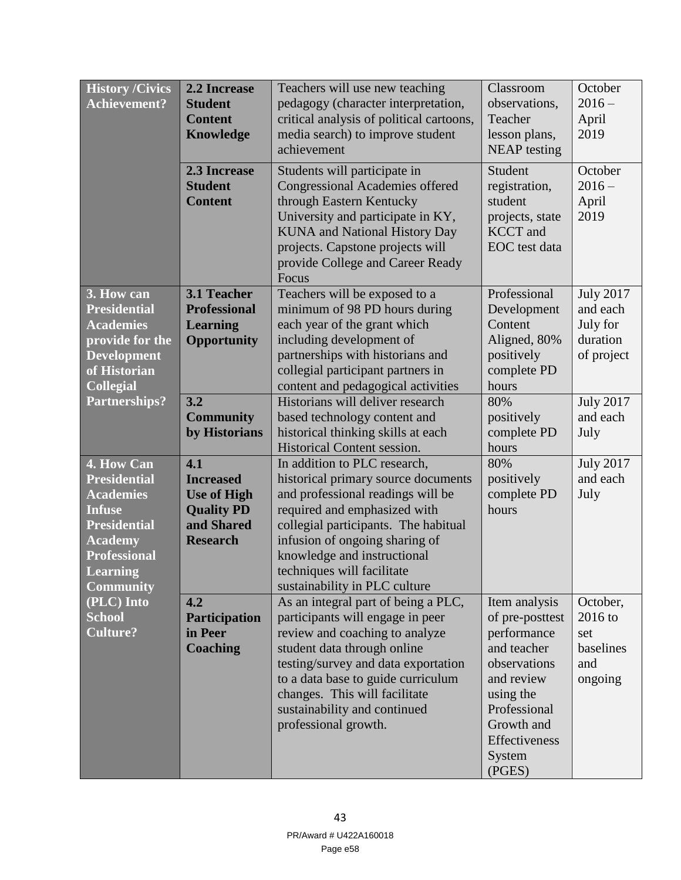| <b>History /Civics</b><br><b>Achievement?</b>                                                                                                                                 | 2.2 Increase<br><b>Student</b><br><b>Content</b><br><b>Knowledge</b><br>2.3 Increase<br><b>Student</b><br><b>Content</b> | Teachers will use new teaching<br>pedagogy (character interpretation,<br>critical analysis of political cartoons,<br>media search) to improve student<br>achievement<br>Students will participate in<br><b>Congressional Academies offered</b><br>through Eastern Kentucky<br>University and participate in KY,<br><b>KUNA</b> and National History Day<br>projects. Capstone projects will<br>provide College and Career Ready | Classroom<br>observations,<br>Teacher<br>lesson plans,<br><b>NEAP</b> testing<br>Student<br>registration,<br>student<br>projects, state<br><b>KCCT</b> and<br>EOC test data  | October<br>$2016 -$<br>April<br>2019<br>October<br>$2016 -$<br>April<br>2019                               |
|-------------------------------------------------------------------------------------------------------------------------------------------------------------------------------|--------------------------------------------------------------------------------------------------------------------------|---------------------------------------------------------------------------------------------------------------------------------------------------------------------------------------------------------------------------------------------------------------------------------------------------------------------------------------------------------------------------------------------------------------------------------|------------------------------------------------------------------------------------------------------------------------------------------------------------------------------|------------------------------------------------------------------------------------------------------------|
| 3. How can<br><b>Presidential</b><br><b>Academies</b><br>provide for the<br><b>Development</b><br>of Historian<br><b>Collegial</b><br><b>Partnerships?</b>                    | 3.1 Teacher<br><b>Professional</b><br><b>Learning</b><br><b>Opportunity</b><br>3.2<br><b>Community</b><br>by Historians  | Focus<br>Teachers will be exposed to a<br>minimum of 98 PD hours during<br>each year of the grant which<br>including development of<br>partnerships with historians and<br>collegial participant partners in<br>content and pedagogical activities<br>Historians will deliver research<br>based technology content and<br>historical thinking skills at each<br>Historical Content session.                                     | Professional<br>Development<br>Content<br>Aligned, 80%<br>positively<br>complete PD<br>hours<br>80%<br>positively<br>complete PD<br>hours                                    | <b>July 2017</b><br>and each<br>July for<br>duration<br>of project<br><b>July 2017</b><br>and each<br>July |
| 4. How Can<br><b>Presidential</b><br><b>Academies</b><br><b>Infuse</b><br><b>Presidential</b><br><b>Academy</b><br><b>Professional</b><br><b>Learning</b><br><b>Community</b> | 4.1<br><b>Increased</b><br><b>Use of High</b><br><b>Quality PD</b><br>and Shared<br><b>Research</b>                      | In addition to PLC research,<br>historical primary source documents<br>and professional readings will be<br>required and emphasized with<br>collegial participants. The habitual<br>infusion of ongoing sharing of<br>knowledge and instructional<br>techniques will facilitate<br>sustainability in PLC culture                                                                                                                | 80%<br>positively<br>complete PD<br>hours                                                                                                                                    | <b>July 2017</b><br>and each<br>July                                                                       |
| (PLC) Into<br><b>School</b><br><b>Culture?</b>                                                                                                                                | 4.2<br><b>Participation</b><br>in Peer<br><b>Coaching</b>                                                                | As an integral part of being a PLC,<br>participants will engage in peer<br>review and coaching to analyze<br>student data through online<br>testing/survey and data exportation<br>to a data base to guide curriculum<br>changes. This will facilitate<br>sustainability and continued<br>professional growth.                                                                                                                  | Item analysis<br>of pre-posttest<br>performance<br>and teacher<br>observations<br>and review<br>using the<br>Professional<br>Growth and<br>Effectiveness<br>System<br>(PGES) | October,<br>$2016$ to<br>set<br>baselines<br>and<br>ongoing                                                |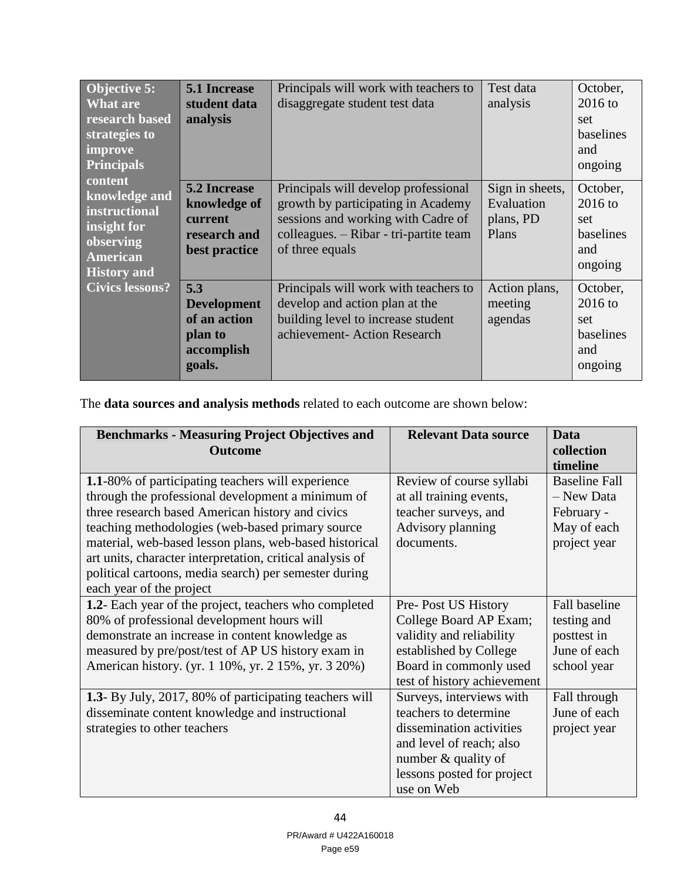| <b>Objective 5:</b><br><b>What are</b><br>research based<br>strategies to<br>improve<br><b>Principals</b>      | <b>5.1 Increase</b><br>student data<br>analysis                                 | Principals will work with teachers to<br>disaggregate student test data                                                                                                       | Test data<br>analysis                               | October,<br>$2016$ to<br>set<br>baselines<br>and<br>ongoing |
|----------------------------------------------------------------------------------------------------------------|---------------------------------------------------------------------------------|-------------------------------------------------------------------------------------------------------------------------------------------------------------------------------|-----------------------------------------------------|-------------------------------------------------------------|
| content<br>knowledge and<br>instructional<br>insight for<br>observing<br><b>American</b><br><b>History and</b> | <b>5.2 Increase</b><br>knowledge of<br>current<br>research and<br>best practice | Principals will develop professional<br>growth by participating in Academy<br>sessions and working with Cadre of<br>colleagues. - Ribar - tri-partite team<br>of three equals | Sign in sheets,<br>Evaluation<br>plans, PD<br>Plans | October,<br>$2016$ to<br>set<br>baselines<br>and<br>ongoing |
| <b>Civics lessons?</b>                                                                                         | 5.3<br><b>Development</b><br>of an action<br>plan to<br>accomplish<br>goals.    | Principals will work with teachers to<br>develop and action plan at the<br>building level to increase student<br>achievement- Action Research                                 | Action plans,<br>meeting<br>agendas                 | October,<br>$2016$ to<br>set<br>baselines<br>and<br>ongoing |

The **data sources and analysis methods** related to each outcome are shown below:

| <b>Benchmarks - Measuring Project Objectives and</b>           | <b>Relevant Data source</b> | <b>Data</b>            |
|----------------------------------------------------------------|-----------------------------|------------------------|
| <b>Outcome</b>                                                 |                             | collection<br>timeline |
| <b>1.1-80%</b> of participating teachers will experience       | Review of course syllabi    | <b>Baseline Fall</b>   |
| through the professional development a minimum of              | at all training events,     | - New Data             |
| three research based American history and civics               | teacher surveys, and        | February -             |
| teaching methodologies (web-based primary source               | Advisory planning           | May of each            |
| material, web-based lesson plans, web-based historical         | documents.                  | project year           |
| art units, character interpretation, critical analysis of      |                             |                        |
| political cartoons, media search) per semester during          |                             |                        |
| each year of the project                                       |                             |                        |
| 1.2- Each year of the project, teachers who completed          | Pre-Post US History         | Fall baseline          |
| 80% of professional development hours will                     | College Board AP Exam;      | testing and            |
| demonstrate an increase in content knowledge as                | validity and reliability    | posttest in            |
| measured by pre/post/test of AP US history exam in             | established by College      | June of each           |
| American history. (yr. 1 10%, yr. 2 15%, yr. 3 20%)            | Board in commonly used      | school year            |
|                                                                | test of history achievement |                        |
| <b>1.3</b> - By July, 2017, 80% of participating teachers will | Surveys, interviews with    | Fall through           |
| disseminate content knowledge and instructional                | teachers to determine       | June of each           |
| strategies to other teachers                                   | dissemination activities    | project year           |
|                                                                | and level of reach; also    |                        |
|                                                                | number & quality of         |                        |
|                                                                | lessons posted for project  |                        |
|                                                                | use on Web                  |                        |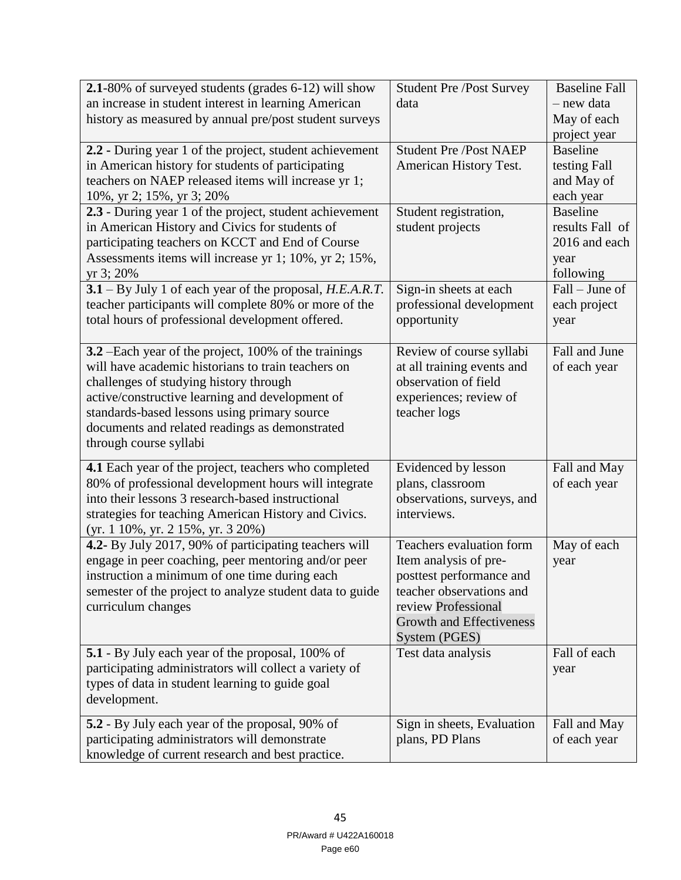| 2.1-80% of surveyed students (grades 6-12) will show                     | <b>Student Pre /Post Survey</b> | <b>Baseline Fall</b> |
|--------------------------------------------------------------------------|---------------------------------|----------------------|
| an increase in student interest in learning American                     | data                            | - new data           |
| history as measured by annual pre/post student surveys                   |                                 | May of each          |
|                                                                          |                                 | project year         |
| 2.2 - During year 1 of the project, student achievement                  | <b>Student Pre /Post NAEP</b>   | <b>Baseline</b>      |
| in American history for students of participating                        | American History Test.          | testing Fall         |
| teachers on NAEP released items will increase yr 1;                      |                                 | and May of           |
| 10%, yr 2; 15%, yr 3; 20%                                                |                                 | each year            |
| 2.3 - During year 1 of the project, student achievement                  | Student registration,           | <b>Baseline</b>      |
| in American History and Civics for students of                           | student projects                | results Fall of      |
| participating teachers on KCCT and End of Course                         |                                 | 2016 and each        |
| Assessments items will increase yr 1; 10%, yr 2; 15%,                    |                                 | year                 |
| yr 3; 20%                                                                |                                 | following            |
| $3.1 - By July 1 of each year of the proposal, H.E.A.R.T.$               | Sign-in sheets at each          | Fall – June of       |
| teacher participants will complete 80% or more of the                    | professional development        | each project         |
| total hours of professional development offered.                         | opportunity                     | year                 |
|                                                                          |                                 |                      |
| 3.2 – Each year of the project, 100% of the trainings                    | Review of course syllabi        | Fall and June        |
| will have academic historians to train teachers on                       | at all training events and      | of each year         |
| challenges of studying history through                                   | observation of field            |                      |
| active/constructive learning and development of                          | experiences; review of          |                      |
| standards-based lessons using primary source                             | teacher logs                    |                      |
| documents and related readings as demonstrated<br>through course syllabi |                                 |                      |
|                                                                          |                                 |                      |
| 4.1 Each year of the project, teachers who completed                     | Evidenced by lesson             | Fall and May         |
| 80% of professional development hours will integrate                     | plans, classroom                | of each year         |
| into their lessons 3 research-based instructional                        | observations, surveys, and      |                      |
| strategies for teaching American History and Civics.                     | interviews.                     |                      |
| $(yr. 110\%, yr. 215\%, yr. 320\%)$                                      |                                 |                      |
| 4.2- By July 2017, 90% of participating teachers will                    | Teachers evaluation form        | May of each          |
| engage in peer coaching, peer mentoring and/or peer                      | Item analysis of pre-           | year                 |
| instruction a minimum of one time during each                            | posttest performance and        |                      |
| semester of the project to analyze student data to guide                 | teacher observations and        |                      |
| curriculum changes                                                       | review Professional             |                      |
|                                                                          | <b>Growth and Effectiveness</b> |                      |
|                                                                          | System (PGES)                   |                      |
| <b>5.1</b> - By July each year of the proposal, 100% of                  | Test data analysis              | Fall of each         |
| participating administrators will collect a variety of                   |                                 | year                 |
| types of data in student learning to guide goal                          |                                 |                      |
| development.                                                             |                                 |                      |
| 5.2 - By July each year of the proposal, 90% of                          | Sign in sheets, Evaluation      | Fall and May         |
| participating administrators will demonstrate                            | plans, PD Plans                 | of each year         |
| knowledge of current research and best practice.                         |                                 |                      |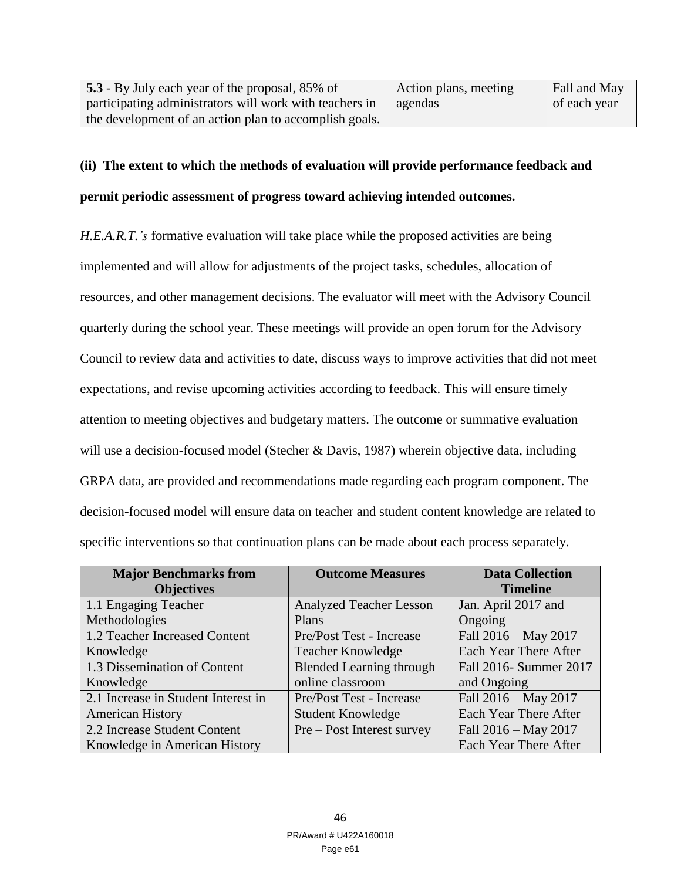| 5.3 - By July each year of the proposal, 85% of         | Action plans, meeting | Fall and May |
|---------------------------------------------------------|-----------------------|--------------|
| participating administrators will work with teachers in | agendas               | of each year |
| the development of an action plan to accomplish goals.  |                       |              |

## **(ii) The extent to which the methods of evaluation will provide performance feedback and**

## **permit periodic assessment of progress toward achieving intended outcomes.**

*H.E.A.R.T.'s* formative evaluation will take place while the proposed activities are being implemented and will allow for adjustments of the project tasks, schedules, allocation of resources, and other management decisions. The evaluator will meet with the Advisory Council quarterly during the school year. These meetings will provide an open forum for the Advisory Council to review data and activities to date, discuss ways to improve activities that did not meet expectations, and revise upcoming activities according to feedback. This will ensure timely attention to meeting objectives and budgetary matters. The outcome or summative evaluation will use a decision-focused model (Stecher & Davis, 1987) wherein objective data, including GRPA data, are provided and recommendations made regarding each program component. The decision-focused model will ensure data on teacher and student content knowledge are related to specific interventions so that continuation plans can be made about each process separately.

| <b>Major Benchmarks from</b>        | <b>Outcome Measures</b>         | <b>Data Collection</b> |
|-------------------------------------|---------------------------------|------------------------|
| <b>Objectives</b>                   |                                 | <b>Timeline</b>        |
| 1.1 Engaging Teacher                | <b>Analyzed Teacher Lesson</b>  | Jan. April 2017 and    |
| Methodologies                       | Plans                           | Ongoing                |
| 1.2 Teacher Increased Content       | Pre/Post Test - Increase        | Fall 2016 - May 2017   |
| Knowledge                           | <b>Teacher Knowledge</b>        | Each Year There After  |
| 1.3 Dissemination of Content        | <b>Blended Learning through</b> | Fall 2016- Summer 2017 |
| Knowledge                           | online classroom                | and Ongoing            |
| 2.1 Increase in Student Interest in | Pre/Post Test - Increase        | Fall 2016 - May 2017   |
| <b>American History</b>             | <b>Student Knowledge</b>        | Each Year There After  |
| 2.2 Increase Student Content        | Pre – Post Interest survey      | Fall 2016 - May 2017   |
| Knowledge in American History       |                                 | Each Year There After  |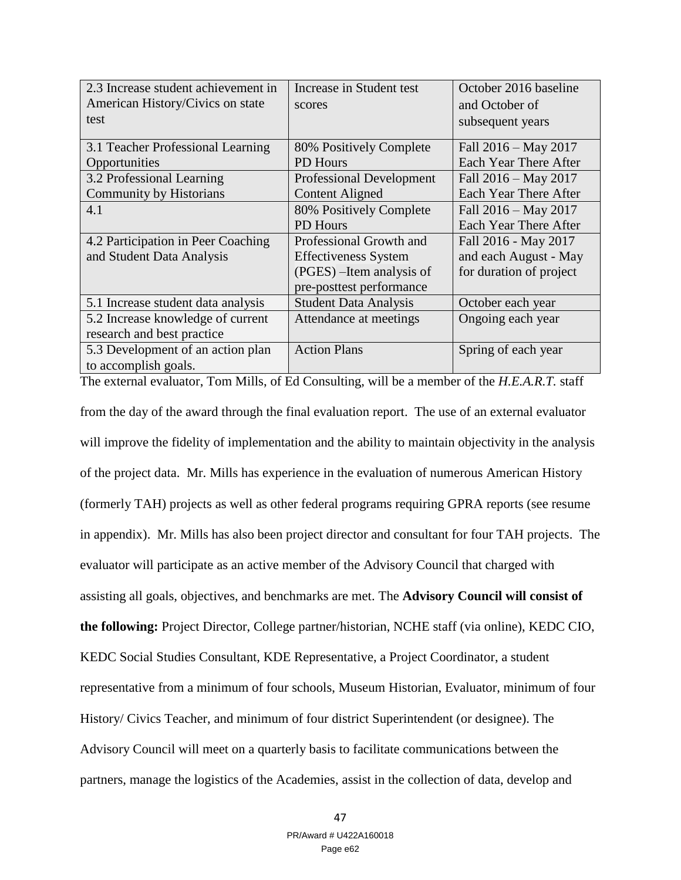| 2.3 Increase student achievement in | Increase in Student test        | October 2016 baseline   |
|-------------------------------------|---------------------------------|-------------------------|
| American History/Civics on state    | scores                          | and October of          |
| test                                |                                 | subsequent years        |
|                                     |                                 |                         |
| 3.1 Teacher Professional Learning   | 80% Positively Complete         | Fall $2016 - May 2017$  |
| Opportunities                       | <b>PD</b> Hours                 | Each Year There After   |
| 3.2 Professional Learning           | <b>Professional Development</b> | Fall 2016 – May 2017    |
| Community by Historians             | <b>Content Aligned</b>          | Each Year There After   |
| 4.1                                 | 80% Positively Complete         | Fall 2016 – May 2017    |
|                                     | <b>PD</b> Hours                 | Each Year There After   |
| 4.2 Participation in Peer Coaching  | Professional Growth and         | Fall 2016 - May 2017    |
| and Student Data Analysis           | <b>Effectiveness System</b>     | and each August - May   |
|                                     | (PGES) – Item analysis of       | for duration of project |
|                                     | pre-posttest performance        |                         |
| 5.1 Increase student data analysis  | <b>Student Data Analysis</b>    | October each year       |
| 5.2 Increase knowledge of current   | Attendance at meetings          | Ongoing each year       |
| research and best practice          |                                 |                         |
| 5.3 Development of an action plan   | <b>Action Plans</b>             | Spring of each year     |
| to accomplish goals.                |                                 |                         |

The external evaluator, Tom Mills, of Ed Consulting, will be a member of the *H.E.A.R.T.* staff from the day of the award through the final evaluation report. The use of an external evaluator will improve the fidelity of implementation and the ability to maintain objectivity in the analysis of the project data. Mr. Mills has experience in the evaluation of numerous American History (formerly TAH) projects as well as other federal programs requiring GPRA reports (see resume in appendix). Mr. Mills has also been project director and consultant for four TAH projects. The evaluator will participate as an active member of the Advisory Council that charged with assisting all goals, objectives, and benchmarks are met. The **Advisory Council will consist of the following:** Project Director, College partner/historian, NCHE staff (via online), KEDC CIO, KEDC Social Studies Consultant, KDE Representative, a Project Coordinator, a student representative from a minimum of four schools, Museum Historian, Evaluator, minimum of four History/ Civics Teacher, and minimum of four district Superintendent (or designee). The Advisory Council will meet on a quarterly basis to facilitate communications between the partners, manage the logistics of the Academies, assist in the collection of data, develop and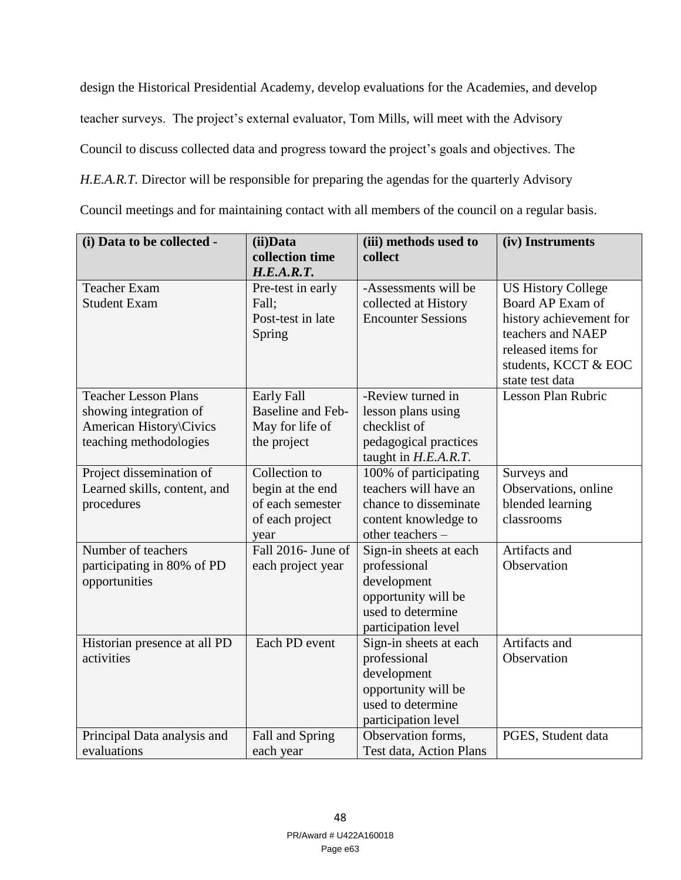design the Historical Presidential Academy, develop evaluations for the Academies, and develop teacher surveys. The project's external evaluator, Tom Mills, will meet with the Advisory Council to discuss collected data and progress toward the project's goals and objectives. The H.E.A.R.T. Director will be responsible for preparing the agendas for the quarterly Advisory Council meetings and for maintaining contact with all members of the council on a regular basis.

| (i) Data to be collected -   | (ii)Data                 | (iii) methods used to     | (iv) Instruments          |
|------------------------------|--------------------------|---------------------------|---------------------------|
|                              | collection time          | collect                   |                           |
|                              | H.E.A.R.T.               |                           |                           |
| <b>Teacher Exam</b>          | Pre-test in early        | -Assessments will be      | <b>US History College</b> |
| <b>Student Exam</b>          | Fall;                    | collected at History      | Board AP Exam of          |
|                              | Post-test in late        | <b>Encounter Sessions</b> | history achievement for   |
|                              | Spring                   |                           | teachers and NAEP         |
|                              |                          |                           | released items for        |
|                              |                          |                           | students, KCCT & EOC      |
|                              |                          |                           | state test data           |
| <b>Teacher Lesson Plans</b>  | Early Fall               | -Review turned in         | Lesson Plan Rubric        |
| showing integration of       | <b>Baseline and Feb-</b> | lesson plans using        |                           |
| American History\Civics      | May for life of          | checklist of              |                           |
| teaching methodologies       | the project              | pedagogical practices     |                           |
|                              |                          | taught in $H.E.A.R.T.$    |                           |
| Project dissemination of     | Collection to            | 100% of participating     | Surveys and               |
| Learned skills, content, and | begin at the end         | teachers will have an     | Observations, online      |
| procedures                   | of each semester         | chance to disseminate     | blended learning          |
|                              | of each project          | content knowledge to      | classrooms                |
|                              | year                     | other teachers -          |                           |
| Number of teachers           | Fall 2016- June of       | Sign-in sheets at each    | Artifacts and             |
| participating in 80% of PD   | each project year        | professional              | Observation               |
| opportunities                |                          | development               |                           |
|                              |                          | opportunity will be       |                           |
|                              |                          | used to determine         |                           |
|                              |                          | participation level       |                           |
| Historian presence at all PD | Each PD event            | Sign-in sheets at each    | Artifacts and             |
| activities                   |                          | professional              | Observation               |
|                              |                          | development               |                           |
|                              |                          | opportunity will be       |                           |
|                              |                          | used to determine         |                           |
|                              |                          | participation level       |                           |
| Principal Data analysis and  | Fall and Spring          | Observation forms,        | PGES, Student data        |
| evaluations                  | each year                | Test data, Action Plans   |                           |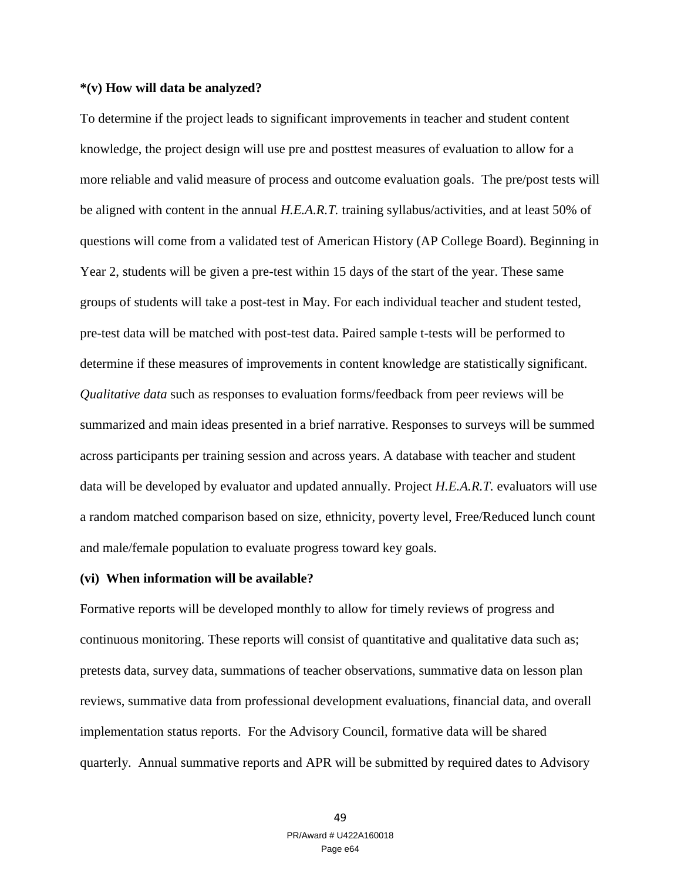## **\*(v) How will data be analyzed?**

To determine if the project leads to significant improvements in teacher and student content knowledge, the project design will use pre and posttest measures of evaluation to allow for a more reliable and valid measure of process and outcome evaluation goals. The pre/post tests will be aligned with content in the annual *H.E.A.R.T.* training syllabus/activities, and at least 50% of questions will come from a validated test of American History (AP College Board). Beginning in Year 2, students will be given a pre-test within 15 days of the start of the year. These same groups of students will take a post-test in May. For each individual teacher and student tested, pre-test data will be matched with post-test data. Paired sample t-tests will be performed to determine if these measures of improvements in content knowledge are statistically significant. *Qualitative data* such as responses to evaluation forms/feedback from peer reviews will be summarized and main ideas presented in a brief narrative. Responses to surveys will be summed across participants per training session and across years. A database with teacher and student data will be developed by evaluator and updated annually. Project *H.E.A.R.T.* evaluators will use a random matched comparison based on size, ethnicity, poverty level, Free/Reduced lunch count and male/female population to evaluate progress toward key goals.

#### **(vi) When information will be available?**

Formative reports will be developed monthly to allow for timely reviews of progress and continuous monitoring. These reports will consist of quantitative and qualitative data such as; pretests data, survey data, summations of teacher observations, summative data on lesson plan reviews, summative data from professional development evaluations, financial data, and overall implementation status reports. For the Advisory Council, formative data will be shared quarterly. Annual summative reports and APR will be submitted by required dates to Advisory